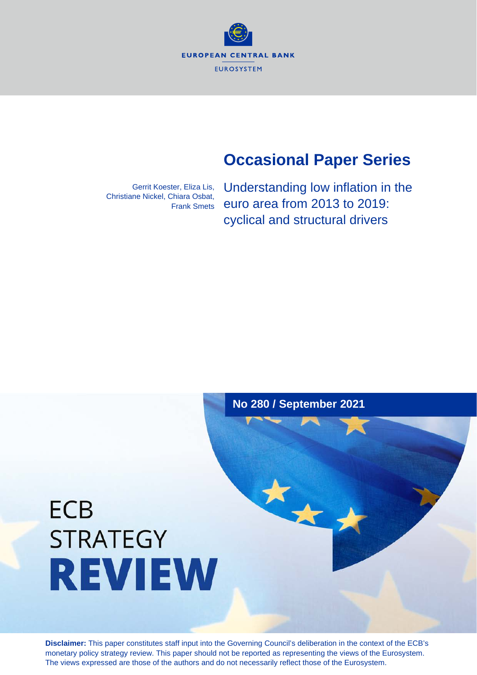**EUROPEAN CENTRAL BANK EUROSYSTEM** 

# **Occasional Paper Series**

Gerrit Koester, Eliza Lis, Christiane Nickel, Chiara Osbat, Frank Smets Understanding low inflation in the euro area from 2013 to 2019: cyclical and structural drivers

# **No 280 / September 2021**

大大

# **ECB STRATEGY REVIEW**

**Disclaimer:** This paper constitutes staff input into the Governing Council's deliberation in the context of the ECB's monetary policy strategy review. This paper should not be reported as representing the views of the Eurosystem. The views expressed are those of the authors and do not necessarily reflect those of the Eurosystem.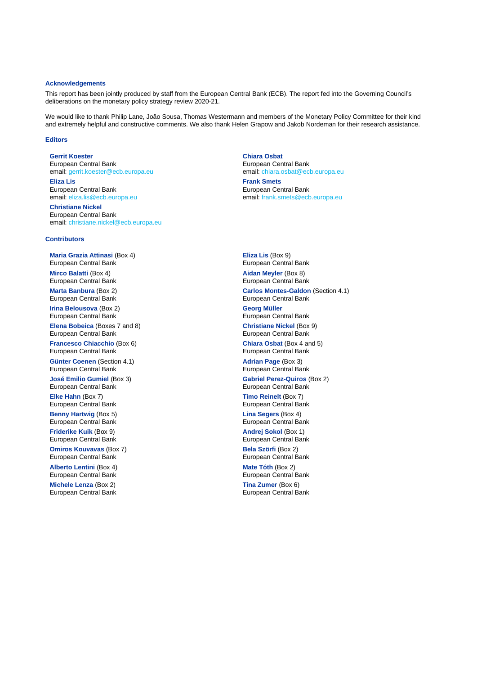#### **Acknowledgements**

This report has been jointly produced by staff from the European Central Bank (ECB). The report fed into the Governing Council's deliberations on the monetary policy strategy review 2020-21.

We would like to thank Philip Lane, João Sousa, Thomas Westermann and members of the Monetary Policy Committee for their kind and extremely helpful and constructive comments. We also thank Helen Grapow and Jakob Nordeman for their research assistance.

### **Editors**

# **Gerrit Koester**

European Central Bank email[: gerrit.koester@ecb.europa.eu](mailto:Gerrit.Koester@ecb.europa.eu) **Eliza Lis** European Central Bank email[: eliza.lis@ecb.europa.eu](mailto:Eliza.Lis@ecb.europa.eu)

**Christiane Nickel** European Central Bank email[: christiane.nickel@ecb.europa.eu](mailto:christiane.nickel@ecb.europa.eu)

### **Chiara Osbat** European Central Bank email: [chiara.osbat@ecb.europa.eu](mailto:chiara.osbat@ecb.europa.eu) **Frank Smets** European Central Bank email[: frank.smets@ecb.europa.eu](mailto:frank.smets@ecb.europa.eu)

#### **Contributors**

**Maria Grazia Attinasi** (Box 4) European Central Bank **Mirco Balatti** (Box 4)

European Central Bank **Marta Banbura** (Box 2) European Central Bank

**Irina Belousova** (Box 2) European Central Bank

**Elena Bobeica** (Boxes 7 and 8) European Central Bank

**Francesco Chiacchio** (Box 6) European Central Bank

**Günter Coenen** (Section 4.1) European Central Bank

**José Emilio Gumiel** (Box 3) European Central Bank

**Elke Hahn** (Box 7) European Central Bank

**Benny Hartwig** (Box 5) European Central Bank **Friderike Kuik** (Box 9) European Central Bank

**Omiros Kouvavas** (Box 7) European Central Bank

**Alberto Lentini** (Box 4) European Central Bank

**Michele Lenza** (Box 2) European Central Bank **Eliza Lis** (Box 9) European Central Bank **Aidan Meyler** (Box 8) European Central Bank

**Carlos Montes-Galdon** (Section 4.1) European Central Bank

**Georg Müller** European Central Bank **Christiane Nickel** (Box 9)

European Central Bank

**Chiara Osbat** (Box 4 and 5) European Central Bank

**Adrian Page** (Box 3) European Central Bank **Gabriel Perez-Quiros** (Box 2) European Central Bank

**Timo Reinelt** (Box 7) European Central Bank

**Lina Segers** (Box 4) European Central Bank **Andrej Sokol** (Box 1) European Central Bank

**Bela Szörfi** (Box 2) European Central Bank

**Mate Tóth** (Box 2) European Central Bank

**Tina Zumer** (Box 6) European Central Bank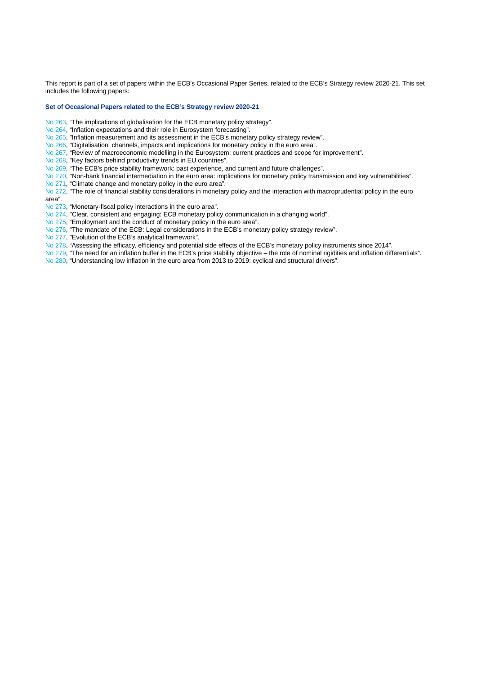This report is part of a set of papers within the ECB's Occasional Paper Series, related to the ECB's Strategy review 2020-21. This set includes the following papers:

#### **Set of Occasional Papers related to the ECB's Strategy review 2020-21**

- [No 263,](https://www.ecb.europa.eu/pub/pdf/scpops/ecb.op263%7E9b56a71297.en.pdf?8b6c8db92822ea9c641f03d91697ec34) "The implications of globalisation for the ECB monetary policy strategy".
- [No 264,](https://www.ecb.europa.eu/pub/pdf/scpops/ecb.op264%7Ec8a3ee35b5.en.pdf?0068e6a790ca6b69fda88e2803ff845b) "Inflation expectations and their role in Eurosystem forecasting".

[No 265,](https://www.ecb.europa.eu/pub/pdf/scpops/ecb.op265%7Ea3fb0b611d.en.pdf?2d183d622a95ae84f46982196b8a76ea) "Inflation measurement and its assessment in the ECB's monetary policy strategy review".

[No 266,](https://www.ecb.europa.eu/pub/pdf/scpops/ecb.op266%7E1056aea77c.en.pdf?54939c0df0b6393a6b8b45dc93d8f5ae) "Digitalisation: channels, impacts and implications for monetary policy in the euro area".

- [No 267,](https://www.ecb.europa.eu/pub/pdf/scpops/ecb.op267%7E63c1f094d6.en.pdf?af4842784348f851ba5f4c055411eb75) "Review of macroeconomic modelling in the Eurosystem: current practices and scope for improvement".
- [No 268,](https://www.ecb.europa.eu/pub/pdf/scpops/ecb.op268%7E73e6860c62.en.pdf?50475a2d2b751b94b8b984866508068d) "Key factors behind productivity trends in EU countries".

[No 269,](https://www.ecb.europa.eu/pub/pdf/scpops/ecb.op269%7E3f2619ac7a.en.pdf?1c987a0159c8294e9e34130f21a6b389) "The ECB's price stability framework: past experience, and current and future challenges".

[No 270,](https://www.ecb.europa.eu/pub/pdf/scpops/ecb.op270%7E36f79cd6ca.en.pdf?f78feebf8d1405a1b52eed090775b20a) "Non-bank financial intermediation in the euro area: implications for monetary policy transmission and key vulnerabilities".

[No 271,](https://www.ecb.europa.eu/pub/pdf/scpops/ecb.op271%7E36775d43c8.en.pdf?8068c39c5c19cd647e471b4ef8f60e5a) "Climate change and monetary policy in the euro area".

[No 272,](https://www.ecb.europa.eu/pub/pdf/scpops/ecb.op272%7Edd8168a8cc.en.pdf?cade83bfd242af419262f40118d4e4ae) "The role of financial stability considerations in monetary policy and the interaction with macroprudential policy in the euro area".

[No 273,](https://www.ecb.europa.eu/pub/pdf/scpops/ecb.op273%7Efae24ce432.en.pdf?43454399aaedea571985f4825dfb74e6) "Monetary-fiscal policy interactions in the euro area".

[No 274,](https://www.ecb.europa.eu/pub/pdf/scpops/ecb.op274%7E9aca14e6f6.en.pdf?a23702e7fbd3176e748c652fe1949d0e) "Clear, consistent and engaging: ECB monetary policy communication in a changing world".

[No 275,](https://www.ecb.europa.eu/pub/pdf/scpops/ecb.op275%7Ee76a79539d.en.pdf?8e0fa7207f6f7ba4b4a4c5f791530296) "Employment and the conduct of monetary policy in the euro area".

[No 276,](https://www.ecb.europa.eu/pub/pdf/scpops/ecb.op276%7E3c53a6755d.en.pdf?1c01b997e11da2c1945d9551bc9a5477) "The mandate of the ECB: Legal considerations in the ECB's monetary policy strategy review".

[No 277,](https://www.ecb.europa.eu/pub/pdf/scpops/ecb.op277%7Ea3fc2dd56e.en.pdf?e5fd4396900b70726aac158a691b2176) "Evolution of the ECB's analytical framework".

- [No 278,](https://www.ecb.europa.eu/pub/pdf/scpops/ecb.op278%7Ea1ca90a789.en.pdf?f7eb7e959d0a797ec11cc20220315a09) "Assessing the efficacy, efficiency and potential side effects of the ECB's monetary policy instruments since 2014".
- [No 279,](https://www.ecb.europa.eu/pub/pdf/scpops/ecb.op279%7E016b279f2e.en.pdf?7f28f23f39feb1a62391283f6dcf1b09) "The need for an inflation buffer in the ECB's price stability objective the role of nominal rigidities and inflation differentials".

[No 280,](https://www.ecb.europa.eu/pub/pdf/scpops/ecb.op280%7E697ef44c1e.en.pdf?79cab242322776ab26ee3c012517ba80) "Understanding low inflation in the euro area from 2013 to 2019: cyclical and structural drivers".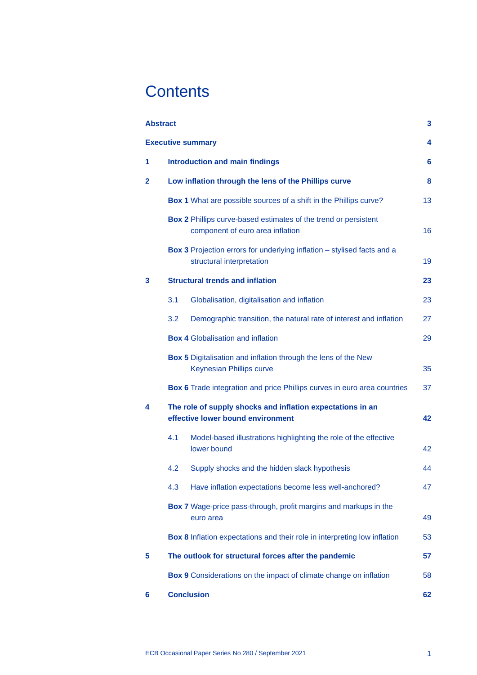# **Contents**

| <b>Abstract</b>          |                                                                                                      | 3  |
|--------------------------|------------------------------------------------------------------------------------------------------|----|
| <b>Executive summary</b> |                                                                                                      |    |
| 1                        | <b>Introduction and main findings</b>                                                                | 6  |
| $\mathbf{2}$             | Low inflation through the lens of the Phillips curve                                                 | 8  |
|                          | Box 1 What are possible sources of a shift in the Phillips curve?                                    | 13 |
|                          | Box 2 Phillips curve-based estimates of the trend or persistent<br>component of euro area inflation  | 16 |
|                          | Box 3 Projection errors for underlying inflation - stylised facts and a<br>structural interpretation | 19 |
| 3                        | <b>Structural trends and inflation</b>                                                               | 23 |
|                          | 3.1<br>Globalisation, digitalisation and inflation                                                   | 23 |
|                          | Demographic transition, the natural rate of interest and inflation<br>3.2                            | 27 |
|                          | <b>Box 4 Globalisation and inflation</b>                                                             | 29 |
|                          | Box 5 Digitalisation and inflation through the lens of the New<br><b>Keynesian Phillips curve</b>    | 35 |
|                          | Box 6 Trade integration and price Phillips curves in euro area countries                             | 37 |
| 4                        | The role of supply shocks and inflation expectations in an<br>effective lower bound environment      | 42 |
|                          | 4.1<br>Model-based illustrations highlighting the role of the effective<br>lower bound               | 42 |
|                          | Supply shocks and the hidden slack hypothesis<br>4.2                                                 | 44 |
|                          | 4.3<br>Have inflation expectations become less well-anchored?                                        | 47 |
|                          | Box 7 Wage-price pass-through, profit margins and markups in the<br>euro area                        | 49 |
|                          | Box 8 Inflation expectations and their role in interpreting low inflation                            | 53 |
| 5                        | The outlook for structural forces after the pandemic                                                 | 57 |
|                          | Box 9 Considerations on the impact of climate change on inflation                                    | 58 |
| 6                        | <b>Conclusion</b>                                                                                    | 62 |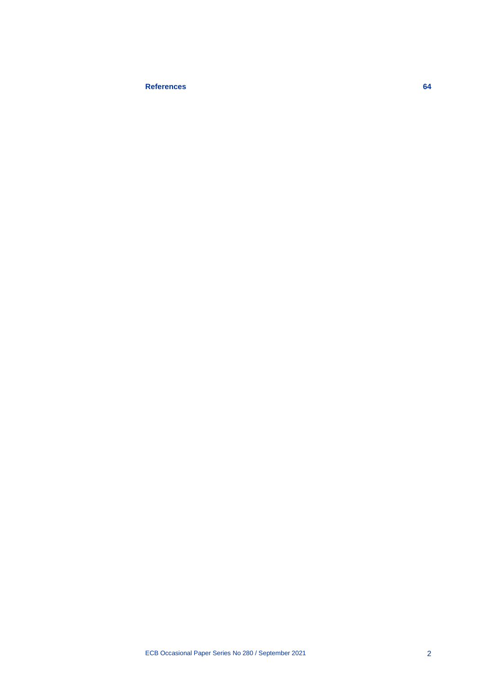# **[References](#page-66-0) 64**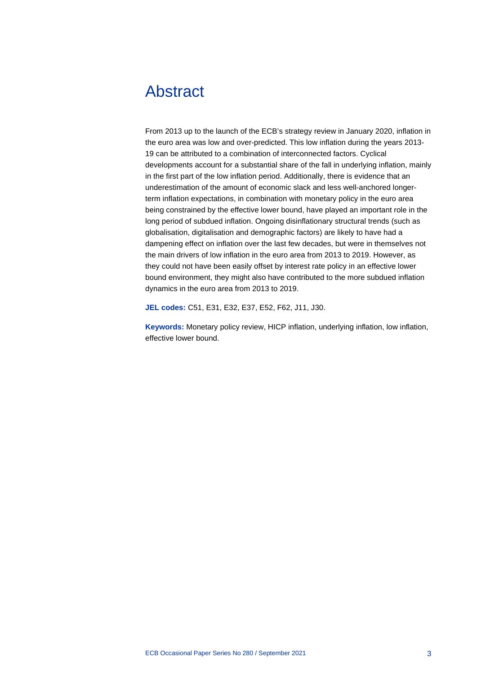# <span id="page-5-0"></span>Abstract

From 2013 up to the launch of the ECB's strategy review in January 2020, inflation in the euro area was low and over-predicted. This low inflation during the years 2013- 19 can be attributed to a combination of interconnected factors. Cyclical developments account for a substantial share of the fall in underlying inflation, mainly in the first part of the low inflation period. Additionally, there is evidence that an underestimation of the amount of economic slack and less well-anchored longerterm inflation expectations, in combination with monetary policy in the euro area being constrained by the effective lower bound, have played an important role in the long period of subdued inflation. Ongoing disinflationary structural trends (such as globalisation, digitalisation and demographic factors) are likely to have had a dampening effect on inflation over the last few decades, but were in themselves not the main drivers of low inflation in the euro area from 2013 to 2019. However, as they could not have been easily offset by interest rate policy in an effective lower bound environment, they might also have contributed to the more subdued inflation dynamics in the euro area from 2013 to 2019.

**JEL codes:** C51, E31, E32, E37, E52, F62, J11, J30.

**Keywords:** Monetary policy review, HICP inflation, underlying inflation, low inflation, effective lower bound.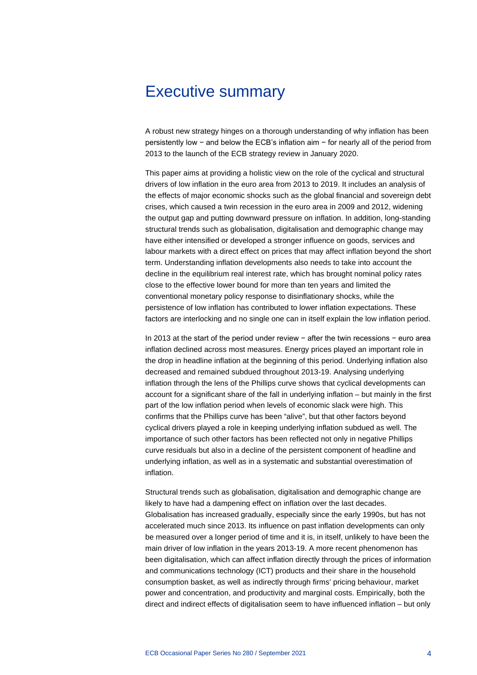# <span id="page-6-0"></span>Executive summary

A robust new strategy hinges on a thorough understanding of why inflation has been persistently low − and below the ECB's inflation aim − for nearly all of the period from 2013 to the launch of the ECB strategy review in January 2020.

This paper aims at providing a holistic view on the role of the cyclical and structural drivers of low inflation in the euro area from 2013 to 2019. It includes an analysis of the effects of major economic shocks such as the global financial and sovereign debt crises, which caused a twin recession in the euro area in 2009 and 2012, widening the output gap and putting downward pressure on inflation. In addition, long-standing structural trends such as globalisation, digitalisation and demographic change may have either intensified or developed a stronger influence on goods, services and labour markets with a direct effect on prices that may affect inflation beyond the short term. Understanding inflation developments also needs to take into account the decline in the equilibrium real interest rate, which has brought nominal policy rates close to the effective lower bound for more than ten years and limited the conventional monetary policy response to disinflationary shocks, while the persistence of low inflation has contributed to lower inflation expectations. These factors are interlocking and no single one can in itself explain the low inflation period.

In 2013 at the start of the period under review − after the twin recessions − euro area inflation declined across most measures. Energy prices played an important role in the drop in headline inflation at the beginning of this period. Underlying inflation also decreased and remained subdued throughout 2013-19. Analysing underlying inflation through the lens of the Phillips curve shows that cyclical developments can account for a significant share of the fall in underlying inflation – but mainly in the first part of the low inflation period when levels of economic slack were high. This confirms that the Phillips curve has been "alive", but that other factors beyond cyclical drivers played a role in keeping underlying inflation subdued as well. The importance of such other factors has been reflected not only in negative Phillips curve residuals but also in a decline of the persistent component of headline and underlying inflation, as well as in a systematic and substantial overestimation of inflation.

Structural trends such as globalisation, digitalisation and demographic change are likely to have had a dampening effect on inflation over the last decades. Globalisation has increased gradually, especially since the early 1990s, but has not accelerated much since 2013. Its influence on past inflation developments can only be measured over a longer period of time and it is, in itself, unlikely to have been the main driver of low inflation in the years 2013-19. A more recent phenomenon has been digitalisation, which can affect inflation directly through the prices of information and communications technology (ICT) products and their share in the household consumption basket, as well as indirectly through firms' pricing behaviour, market power and concentration, and productivity and marginal costs. Empirically, both the direct and indirect effects of digitalisation seem to have influenced inflation – but only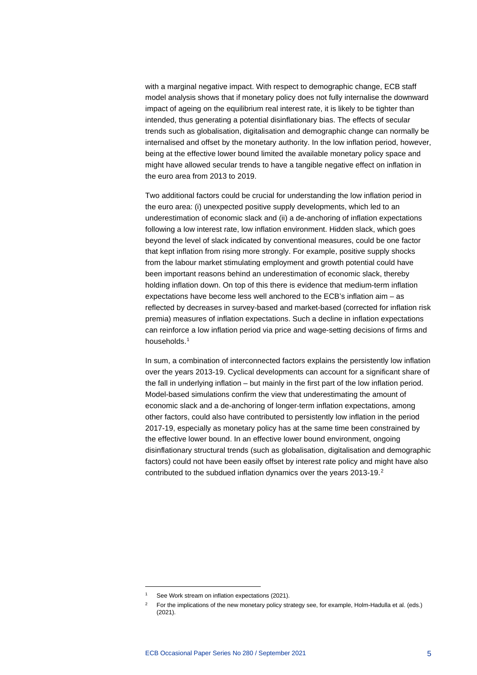with a marginal negative impact. With respect to demographic change, ECB staff model analysis shows that if monetary policy does not fully internalise the downward impact of ageing on the equilibrium real interest rate, it is likely to be tighter than intended, thus generating a potential disinflationary bias. The effects of secular trends such as globalisation, digitalisation and demographic change can normally be internalised and offset by the monetary authority. In the low inflation period, however, being at the effective lower bound limited the available monetary policy space and might have allowed secular trends to have a tangible negative effect on inflation in the euro area from 2013 to 2019.

Two additional factors could be crucial for understanding the low inflation period in the euro area: (i) unexpected positive supply developments, which led to an underestimation of economic slack and (ii) a de-anchoring of inflation expectations following a low interest rate, low inflation environment. Hidden slack, which goes beyond the level of slack indicated by conventional measures, could be one factor that kept inflation from rising more strongly. For example, positive supply shocks from the labour market stimulating employment and growth potential could have been important reasons behind an underestimation of economic slack, thereby holding inflation down. On top of this there is evidence that medium-term inflation expectations have become less well anchored to the ECB's inflation aim – as reflected by decreases in survey-based and market-based (corrected for inflation risk premia) measures of inflation expectations. Such a decline in inflation expectations can reinforce a low inflation period via price and wage-setting decisions of firms and households.[1](#page-7-0)

In sum, a combination of interconnected factors explains the persistently low inflation over the years 2013-19. Cyclical developments can account for a significant share of the fall in underlying inflation – but mainly in the first part of the low inflation period. Model-based simulations confirm the view that underestimating the amount of economic slack and a de-anchoring of longer-term inflation expectations, among other factors, could also have contributed to persistently low inflation in the period 2017-19, especially as monetary policy has at the same time been constrained by the effective lower bound. In an effective lower bound environment, ongoing disinflationary structural trends (such as globalisation, digitalisation and demographic factors) could not have been easily offset by interest rate policy and might have also contributed to the subdued inflation dynamics over the years [2](#page-7-1)013-19.<sup>2</sup>

See Work stream on inflation expectations (2021).

<span id="page-7-1"></span><span id="page-7-0"></span><sup>&</sup>lt;sup>2</sup> For the implications of the new monetary policy strategy see, for example, Holm-Hadulla et al. (eds.) (2021).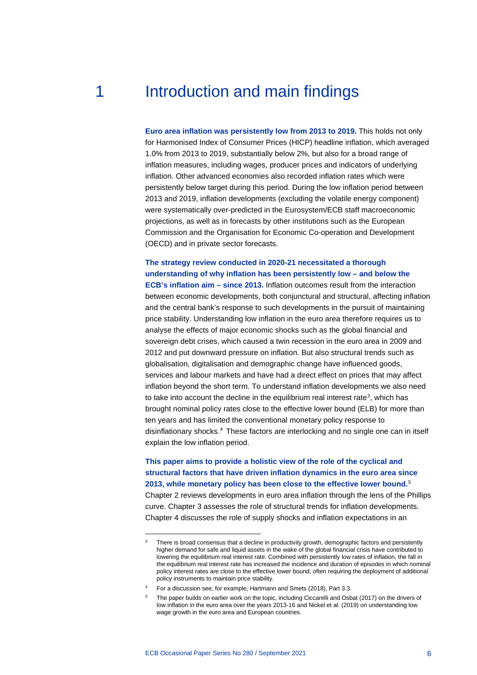# <span id="page-8-0"></span>1 **Introduction and main findings**

**Euro area inflation was persistently low from 2013 to 2019.** This holds not only for Harmonised Index of Consumer Prices (HICP) headline inflation, which averaged 1.0% from 2013 to 2019, substantially below 2%, but also for a broad range of inflation measures, including wages, producer prices and indicators of underlying inflation. Other advanced economies also recorded inflation rates which were persistently below target during this period. During the low inflation period between 2013 and 2019, inflation developments (excluding the volatile energy component) were systematically over-predicted in the Eurosystem/ECB staff macroeconomic projections, as well as in forecasts by other institutions such as the European Commission and the Organisation for Economic Co-operation and Development (OECD) and in private sector forecasts.

**The strategy review conducted in 2020-21 necessitated a thorough understanding of why inflation has been persistently low – and below the ECB's inflation aim – since 2013.** Inflation outcomes result from the interaction between economic developments, both conjunctural and structural, affecting inflation and the central bank's response to such developments in the pursuit of maintaining price stability. Understanding low inflation in the euro area therefore requires us to analyse the effects of major economic shocks such as the global financial and sovereign debt crises, which caused a twin recession in the euro area in 2009 and 2012 and put downward pressure on inflation. But also structural trends such as globalisation, digitalisation and demographic change have influenced goods, services and labour markets and have had a direct effect on prices that may affect inflation beyond the short term. To understand inflation developments we also need to take into account the decline in the equilibrium real interest rate<sup>[3](#page-8-1)</sup>, which has brought nominal policy rates close to the effective lower bound (ELB) for more than ten years and has limited the conventional monetary policy response to disinflationary shocks.<sup>[4](#page-8-2)</sup> These factors are interlocking and no single one can in itself explain the low inflation period.

**This paper aims to provide a holistic view of the role of the cyclical and structural factors that have driven inflation dynamics in the euro area since 2013, while monetary policy has been close to the effective lower bound.**[5](#page-8-3) Chapter 2 reviews developments in euro area inflation through the lens of the Phillips curve. Chapter 3 assesses the role of structural trends for inflation developments. Chapter 4 discusses the role of supply shocks and inflation expectations in an

<span id="page-8-1"></span><sup>&</sup>lt;sup>3</sup> There is broad consensus that a decline in productivity growth, demographic factors and persistently higher demand for safe and liquid assets in the wake of the global financial crisis have contributed to lowering the equilibrium real interest rate. Combined with persistently low rates of inflation, the fall in the equilibrium real interest rate has increased the incidence and duration of episodes in which nominal policy interest rates are close to the effective lower bound, often requiring the deployment of additional policy instruments to maintain price stability.

<span id="page-8-3"></span><span id="page-8-2"></span><sup>4</sup> For a discussion see, for example, Hartmann and Smets (2018), Part 3.3.

The paper builds on earlier work on the topic, including Ciccarelli and Osbat (2017) on the drivers of low inflation in the euro area over the years 2013-16 and Nickel et al. (2019) on understanding low wage growth in the euro area and European countries.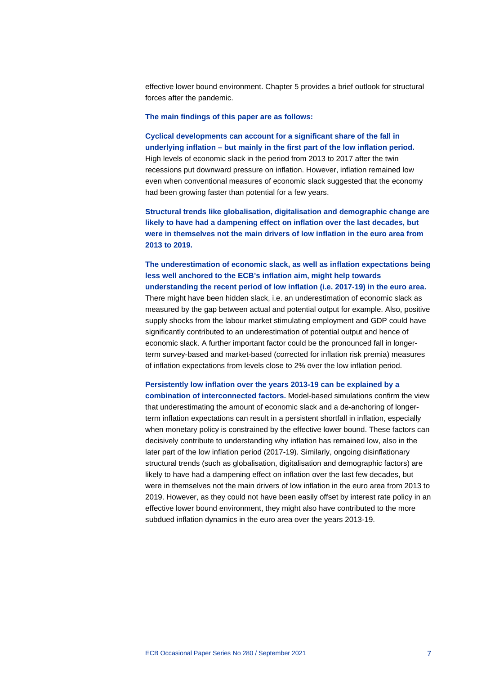effective lower bound environment. Chapter 5 provides a brief outlook for structural forces after the pandemic.

### **The main findings of this paper are as follows:**

**Cyclical developments can account for a significant share of the fall in underlying inflation – but mainly in the first part of the low inflation period.** High levels of economic slack in the period from 2013 to 2017 after the twin recessions put downward pressure on inflation. However, inflation remained low even when conventional measures of economic slack suggested that the economy had been growing faster than potential for a few years.

**Structural trends like globalisation, digitalisation and demographic change are likely to have had a dampening effect on inflation over the last decades, but were in themselves not the main drivers of low inflation in the euro area from 2013 to 2019.**

**The underestimation of economic slack, as well as inflation expectations being less well anchored to the ECB's inflation aim, might help towards understanding the recent period of low inflation (i.e. 2017-19) in the euro area.** There might have been hidden slack, i.e. an underestimation of economic slack as measured by the gap between actual and potential output for example. Also, positive supply shocks from the labour market stimulating employment and GDP could have significantly contributed to an underestimation of potential output and hence of economic slack. A further important factor could be the pronounced fall in longerterm survey-based and market-based (corrected for inflation risk premia) measures of inflation expectations from levels close to 2% over the low inflation period.

# **Persistently low inflation over the years 2013-19 can be explained by a**

**combination of interconnected factors.** Model-based simulations confirm the view that underestimating the amount of economic slack and a de-anchoring of longerterm inflation expectations can result in a persistent shortfall in inflation, especially when monetary policy is constrained by the effective lower bound. These factors can decisively contribute to understanding why inflation has remained low, also in the later part of the low inflation period (2017-19). Similarly, ongoing disinflationary structural trends (such as globalisation, digitalisation and demographic factors) are likely to have had a dampening effect on inflation over the last few decades, but were in themselves not the main drivers of low inflation in the euro area from 2013 to 2019. However, as they could not have been easily offset by interest rate policy in an effective lower bound environment, they might also have contributed to the more subdued inflation dynamics in the euro area over the years 2013-19.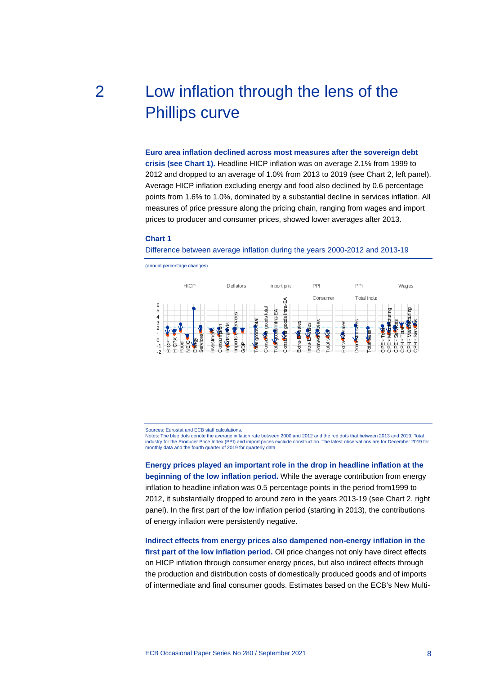# <span id="page-10-0"></span>2 Low inflation through the lens of the Phillips curve

**Euro area inflation declined across most measures after the sovereign debt crisis (see Chart 1).** Headline HICP inflation was on average 2.1% from 1999 to 2012 and dropped to an average of 1.0% from 2013 to 2019 (see Chart 2, left panel). Average HICP inflation excluding energy and food also declined by 0.6 percentage points from 1.6% to 1.0%, dominated by a substantial decline in services inflation. All measures of price pressure along the pricing chain, ranging from wages and import prices to producer and consumer prices, showed lower averages after 2013.

### **Chart 1**

Difference between average inflation during the years 2000-2012 and 2013-19



(annual percentage changes)

Sources: Eurostat and ECB staff calculations.

Notes: The blue dots denote the average inflation rate between 2000 and 2012 and the red dots that between 2013 and 2019. Total industry for the Producer Price Index (PPI) and import prices exclude construction. The latest observations are for December 2019 for monthly data and the fourth quarter of 2019 for quarterly data.

**Energy prices played an important role in the drop in headline inflation at the beginning of the low inflation period.** While the average contribution from energy inflation to headline inflation was 0.5 percentage points in the period from1999 to 2012, it substantially dropped to around zero in the years 2013-19 (see Chart 2, right panel). In the first part of the low inflation period (starting in 2013), the contributions of energy inflation were persistently negative.

**Indirect effects from energy prices also dampened non-energy inflation in the first part of the low inflation period.** Oil price changes not only have direct effects on HICP inflation through consumer energy prices, but also indirect effects through the production and distribution costs of domestically produced goods and of imports of intermediate and final consumer goods. Estimates based on the ECB's New Multi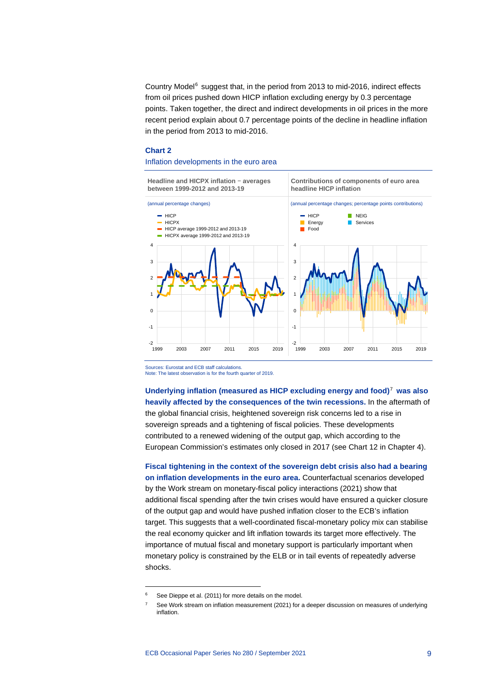Country Model $6$  suggest that, in the period from 2013 to mid-2016, indirect effects from oil prices pushed down HICP inflation excluding energy by 0.3 percentage points. Taken together, the direct and indirect developments in oil prices in the more recent period explain about 0.7 percentage points of the decline in headline inflation in the period from 2013 to mid-2016.

#### **Chart 2**

# Inflation developments in the euro area

**Headline and HICPX inflation** − **averages between 1999-2012 and 2013-19**

**Contributions of components of euro area headline HICP inflation**



Sources: Eurostat and ECB staff calculations. Note: The latest observation is for the fourth quarter of 2019.

**Underlying inflation (measured as HICP excluding energy and food)**[7](#page-11-1) **was also heavily affected by the consequences of the twin recessions.** In the aftermath of the global financial crisis, heightened sovereign risk concerns led to a rise in sovereign spreads and a tightening of fiscal policies. These developments contributed to a renewed widening of the output gap, which according to the European Commission's estimates only closed in 2017 (see Chart 12 in Chapter 4).

**Fiscal tightening in the context of the sovereign debt crisis also had a bearing on inflation developments in the euro area.** Counterfactual scenarios developed by the Work stream on monetary-fiscal policy interactions (2021) show that additional fiscal spending after the twin crises would have ensured a quicker closure of the output gap and would have pushed inflation closer to the ECB's inflation target. This suggests that a well-coordinated fiscal-monetary policy mix can stabilise the real economy quicker and lift inflation towards its target more effectively. The importance of mutual fiscal and monetary support is particularly important when monetary policy is constrained by the ELB or in tail events of repeatedly adverse shocks.

<span id="page-11-1"></span><span id="page-11-0"></span>See Dieppe et al. (2011) for more details on the model.

See Work stream on inflation measurement (2021) for a deeper discussion on measures of underlying inflation.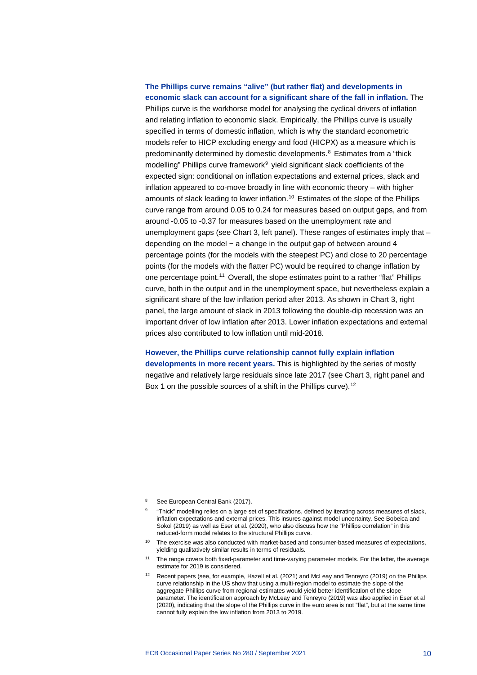# **The Phillips curve remains "alive" (but rather flat) and developments in economic slack can account for a significant share of the fall in inflation.** The Phillips curve is the workhorse model for analysing the cyclical drivers of inflation

and relating inflation to economic slack. Empirically, the Phillips curve is usually specified in terms of domestic inflation, which is why the standard econometric models refer to HICP excluding energy and food (HICPX) as a measure which is predominantly determined by domestic developments.<sup>[8](#page-12-0)</sup> Estimates from a "thick modelling" Phillips curve framework<sup>[9](#page-12-1)</sup> yield significant slack coefficients of the expected sign: conditional on inflation expectations and external prices, slack and inflation appeared to co-move broadly in line with economic theory – with higher amounts of slack leading to lower inflation.<sup>[10](#page-12-2)</sup> Estimates of the slope of the Phillips curve range from around 0.05 to 0.24 for measures based on output gaps, and from around -0.05 to -0.37 for measures based on the unemployment rate and unemployment gaps (see Chart 3, left panel). These ranges of estimates imply that – depending on the model − a change in the output gap of between around 4 percentage points (for the models with the steepest PC) and close to 20 percentage points (for the models with the flatter PC) would be required to change inflation by one percentage point.<sup>[11](#page-12-3)</sup> Overall, the slope estimates point to a rather "flat" Phillips curve, both in the output and in the unemployment space, but nevertheless explain a significant share of the low inflation period after 2013. As shown in Chart 3, right panel, the large amount of slack in 2013 following the double-dip recession was an important driver of low inflation after 2013. Lower inflation expectations and external prices also contributed to low inflation until mid-2018.

# **However, the Phillips curve relationship cannot fully explain inflation**

**developments in more recent years.** This is highlighted by the series of mostly negative and relatively large residuals since late 2017 (see Chart 3, right panel and Box 1 on the possible sources of a shift in the Phillips curve).<sup>[12](#page-12-4)</sup>

<span id="page-12-1"></span><span id="page-12-0"></span>See European Central Bank (2017).

<sup>9</sup> "Thick" modelling relies on a large set of specifications, defined by iterating across measures of slack, inflation expectations and external prices. This insures against model uncertainty. See Bobeica and Sokol (2019) as well as Eser et al. (2020), who also discuss how the "Phillips correlation" in this reduced-form model relates to the structural Phillips curve.

<span id="page-12-2"></span><sup>&</sup>lt;sup>10</sup> The exercise was also conducted with market-based and consumer-based measures of expectations, yielding qualitatively similar results in terms of residuals.

<span id="page-12-3"></span><sup>&</sup>lt;sup>11</sup> The range covers both fixed-parameter and time-varying parameter models. For the latter, the average estimate for 2019 is considered.

<span id="page-12-4"></span><sup>12</sup> Recent papers (see, for example, Hazell et al. (2021) and McLeay and Tenreyro (2019) on the Phillips curve relationship in the US show that using a multi-region model to estimate the slope of the aggregate Phillips curve from regional estimates would yield better identification of the slope parameter. The identification approach by McLeay and Tenreyro (2019) was also applied in Eser et al (2020), indicating that the slope of the Phillips curve in the euro area is not "flat", but at the same time cannot fully explain the low inflation from 2013 to 2019.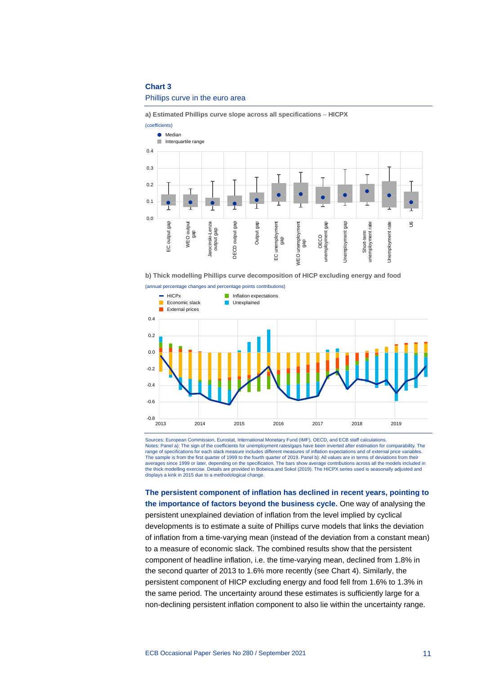# **Chart 3**

### Phillips curve in the euro area

**a) Estimated Phillips curve slope across all specifications** – **HICPX**



**b) Thick modelling Phillips curve decomposition of HICP excluding energy and food**



Sources: European Commission, Eurostat, International Monetary Fund (IMF), OECD, and ECB staff calculations. Notes: Panel a): The sign of the coefficients for unemployment rates/gaps have been inverted after estimation for comparability. The range of specifications for each slack measure includes different measures of inflation expectations and of external price variables.<br>The sample is from the first quarter of 1999 to the fourth quarter of 2019. Panel b): Al averages since 1999 or later, depending on the specification. The bars show average contributions across all the models included in<br>the thick modelling exercise. Details are provided in Bobeica.and Sokol (2019). The HICPX displays a kink in 2015 due to a methodological change.

**The persistent component of inflation has declined in recent years, pointing to the importance of factors beyond the business cycle.** One way of analysing the persistent unexplained deviation of inflation from the level implied by cyclical developments is to estimate a suite of Phillips curve models that links the deviation of inflation from a time-varying mean (instead of the deviation from a constant mean) to a measure of economic slack. The combined results show that the persistent component of headline inflation, i.e. the time-varying mean, declined from 1.8% in the second quarter of 2013 to 1.6% more recently (see Chart 4). Similarly, the persistent component of HICP excluding energy and food fell from 1.6% to 1.3% in the same period. The uncertainty around these estimates is sufficiently large for a non-declining persistent inflation component to also lie within the uncertainty range.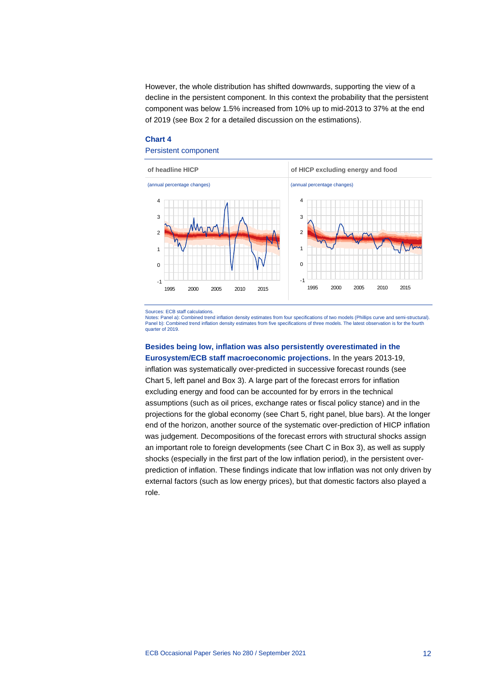However, the whole distribution has shifted downwards, supporting the view of a decline in the persistent component. In this context the probability that the persistent component was below 1.5% increased from 10% up to mid-2013 to 37% at the end of 2019 (see Box 2 for a detailed discussion on the estimations).

# **Chart 4**

# Persistent component



Sources: ECB staff calculations.

Notes: Panel a): Combined trend inflation density estimates from four specifications of two models (Phillips curve and semi-structural). Panel b): Combined trend inflation density estimates from five specifications of three models. The latest observation is for the fourth quarter of 2019.

# **Besides being low, inflation was also persistently overestimated in the Eurosystem/ECB staff macroeconomic projections.** In the years 2013-19,

inflation was systematically over-predicted in successive forecast rounds (see Chart 5, left panel and Box 3). A large part of the forecast errors for inflation excluding energy and food can be accounted for by errors in the technical assumptions (such as oil prices, exchange rates or fiscal policy stance) and in the projections for the global economy (see Chart 5, right panel, blue bars). At the longer end of the horizon, another source of the systematic over-prediction of HICP inflation was judgement. Decompositions of the forecast errors with structural shocks assign an important role to foreign developments (see Chart C in Box 3), as well as supply shocks (especially in the first part of the low inflation period), in the persistent overprediction of inflation. These findings indicate that low inflation was not only driven by external factors (such as low energy prices), but that domestic factors also played a role.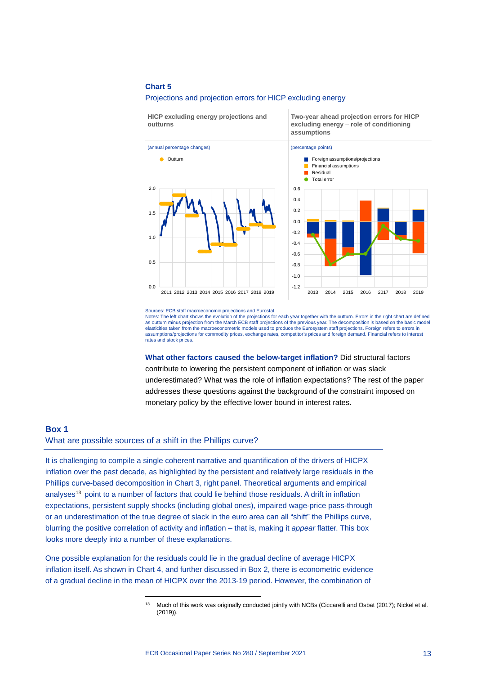# **Chart 5**

#### Projections and projection errors for HICP excluding energy

**HICP excluding energy projections and outturns**





**Two-year ahead projection errors for HICP excluding energy** – **role of conditioning** 

**assumptions**

Notes: The left chart shows the evolution of the projections for each year together with the outturn. Errors in the right chart are defined<br>as outturn minus projection from the March ECB staff projections of the previous y elasticities taken from the macroeconometric models used to produce the Eurosystem staff projections. Foreign refers to errors in assumptions/projections for commodity prices, exchange rates, competitor's prices and foreign demand. Financial refers to interest rates and stock prices.

**What other factors caused the below-target inflation?** Did structural factors contribute to lowering the persistent component of inflation or was slack underestimated? What was the role of inflation expectations? The rest of the paper addresses these questions against the background of the constraint imposed on monetary policy by the effective lower bound in interest rates.

# <span id="page-15-0"></span>**Box 1**

# What are possible sources of a shift in the Phillips curve?

It is challenging to compile a single coherent narrative and quantification of the drivers of HICPX inflation over the past decade, as highlighted by the persistent and relatively large residuals in the Phillips curve-based decomposition in Chart 3, right panel. Theoretical arguments and empirical analyses<sup>[13](#page-15-1)</sup> point to a number of factors that could lie behind those residuals. A drift in inflation expectations, persistent supply shocks (including global ones), impaired wage-price pass-through or an underestimation of the true degree of slack in the euro area can all "shift" the Phillips curve, blurring the positive correlation of activity and inflation – that is, making it *appear* flatter. This box looks more deeply into a number of these explanations.

<span id="page-15-1"></span>One possible explanation for the residuals could lie in the gradual decline of average HICPX inflation itself. As shown in Chart 4, and further discussed in Box 2, there is econometric evidence of a gradual decline in the mean of HICPX over the 2013-19 period. However, the combination of

Sources: ECB staff macroeconomic projections and Eurostat.

<sup>&</sup>lt;sup>13</sup> Much of this work was originally conducted jointly with NCBs (Ciccarelli and Osbat (2017); Nickel et al. (2019)).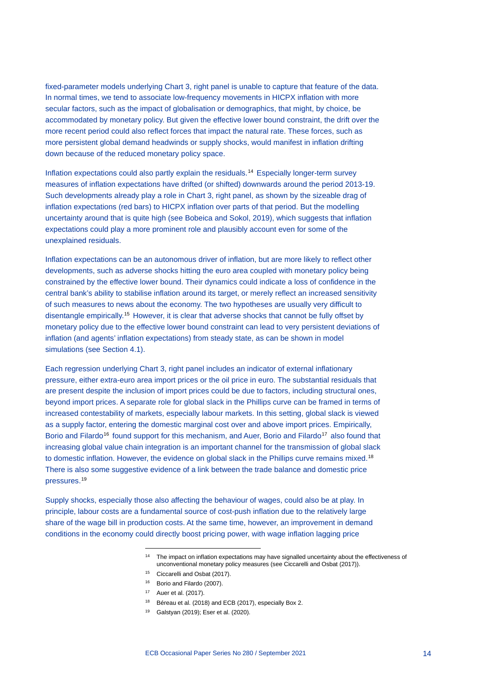fixed-parameter models underlying Chart 3, right panel is unable to capture that feature of the data. In normal times, we tend to associate low-frequency movements in HICPX inflation with more secular factors, such as the impact of globalisation or demographics, that might, by choice, be accommodated by monetary policy. But given the effective lower bound constraint, the drift over the more recent period could also reflect forces that impact the natural rate. These forces, such as more persistent global demand headwinds or supply shocks, would manifest in inflation drifting down because of the reduced monetary policy space.

Inflation expectations could also partly explain the residuals.[14](#page-16-0) Especially longer-term survey measures of inflation expectations have drifted (or shifted) downwards around the period 2013-19. Such developments already play a role in Chart 3, right panel, as shown by the sizeable drag of inflation expectations (red bars) to HICPX inflation over parts of that period. But the modelling uncertainty around that is quite high (see Bobeica and Sokol, 2019), which suggests that inflation expectations could play a more prominent role and plausibly account even for some of the unexplained residuals.

Inflation expectations can be an autonomous driver of inflation, but are more likely to reflect other developments, such as adverse shocks hitting the euro area coupled with monetary policy being constrained by the effective lower bound. Their dynamics could indicate a loss of confidence in the central bank's ability to stabilise inflation around its target, or merely reflect an increased sensitivity of such measures to news about the economy. The two hypotheses are usually very difficult to disentangle empirically.[15](#page-16-1) However, it is clear that adverse shocks that cannot be fully offset by monetary policy due to the effective lower bound constraint can lead to very persistent deviations of inflation (and agents' inflation expectations) from steady state, as can be shown in model simulations (see Section 4.1).

Each regression underlying Chart 3, right panel includes an indicator of external inflationary pressure, either extra-euro area import prices or the oil price in euro. The substantial residuals that are present despite the inclusion of import prices could be due to factors, including structural ones, beyond import prices. A separate role for global slack in the Phillips curve can be framed in terms of increased contestability of markets, especially labour markets. In this setting, global slack is viewed as a supply factor, entering the domestic marginal cost over and above import prices. Empirically, Borio and Filardo<sup>16</sup> found support for this mechanism, and Auer, Borio and Filardo<sup>[17](#page-16-3)</sup> also found that increasing global value chain integration is an important channel for the transmission of global slack to domestic inflation. However, the evidence on global slack in the Phillips curve remains mixed.<sup>[18](#page-16-4)</sup> There is also some suggestive evidence of a link between the trade balance and domestic price pressures.[19](#page-16-5)

<span id="page-16-5"></span><span id="page-16-4"></span><span id="page-16-3"></span><span id="page-16-2"></span><span id="page-16-1"></span><span id="page-16-0"></span>Supply shocks, especially those also affecting the behaviour of wages, could also be at play. In principle, labour costs are a fundamental source of cost-push inflation due to the relatively large share of the wage bill in production costs. At the same time, however, an improvement in demand conditions in the economy could directly boost pricing power, with wage inflation lagging price

- <sup>14</sup> The impact on inflation expectations may have signalled uncertainty about the effectiveness of unconventional monetary policy measures (see Ciccarelli and Osbat (2017)).
- <sup>15</sup> Ciccarelli and Osbat (2017).
- <sup>16</sup> Borio and Filardo (2007).
- <sup>17</sup> Auer et al. (2017).
- <sup>18</sup> Béreau et al. (2018) and ECB (2017), especially Box 2.
- <sup>19</sup> Galstyan (2019); Eser et al. (2020).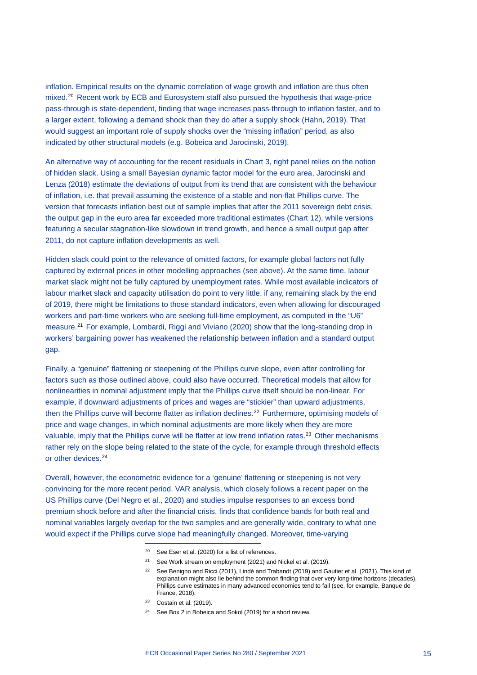inflation. Empirical results on the dynamic correlation of wage growth and inflation are thus often mixed.[20](#page-17-0) Recent work by ECB and Eurosystem staff also pursued the hypothesis that wage-price pass-through is state-dependent, finding that wage increases pass-through to inflation faster, and to a larger extent, following a demand shock than they do after a supply shock (Hahn, 2019). That would suggest an important role of supply shocks over the "missing inflation" period, as also indicated by other structural models (e.g. Bobeica and Jarocinski, 2019).

An alternative way of accounting for the recent residuals in Chart 3, right panel relies on the notion of hidden slack. Using a small Bayesian dynamic factor model for the euro area, Jarocinski and Lenza (2018) estimate the deviations of output from its trend that are consistent with the behaviour of inflation, i.e. that prevail assuming the existence of a stable and non-flat Phillips curve. The version that forecasts inflation best out of sample implies that after the 2011 sovereign debt crisis, the output gap in the euro area far exceeded more traditional estimates (Chart 12), while versions featuring a secular stagnation-like slowdown in trend growth, and hence a small output gap after 2011, do not capture inflation developments as well.

Hidden slack could point to the relevance of omitted factors, for example global factors not fully captured by external prices in other modelling approaches (see above). At the same time, labour market slack might not be fully captured by unemployment rates. While most available indicators of labour market slack and capacity utilisation do point to very little, if any, remaining slack by the end of 2019, there might be limitations to those standard indicators, even when allowing for discouraged workers and part-time workers who are seeking full-time employment, as computed in the "U6" measure.<sup>[21](#page-17-1)</sup> For example, Lombardi, Riggi and Viviano (2020) show that the long-standing drop in workers' bargaining power has weakened the relationship between inflation and a standard output gap.

Finally, a "genuine" flattening or steepening of the Phillips curve slope, even after controlling for factors such as those outlined above, could also have occurred. Theoretical models that allow for nonlinearities in nominal adjustment imply that the Phillips curve itself should be non-linear. For example, if downward adjustments of prices and wages are "stickier" than upward adjustments, then the Phillips curve will become flatter as inflation declines.<sup>[22](#page-17-2)</sup> Furthermore, optimising models of price and wage changes, in which nominal adjustments are more likely when they are more valuable, imply that the Phillips curve will be flatter at low trend inflation rates.<sup>[23](#page-17-3)</sup> Other mechanisms rather rely on the slope being related to the state of the cycle, for example through threshold effects or other devices.<sup>[24](#page-17-4)</sup>

<span id="page-17-4"></span><span id="page-17-3"></span><span id="page-17-2"></span><span id="page-17-1"></span><span id="page-17-0"></span>Overall, however, the econometric evidence for a 'genuine' flattening or steepening is not very convincing for the more recent period. VAR analysis, which closely follows a recent paper on the US Phillips curve (Del Negro et al., 2020) and studies impulse responses to an excess bond premium shock before and after the financial crisis, finds that confidence bands for both real and nominal variables largely overlap for the two samples and are generally wide, contrary to what one would expect if the Phillips curve slope had meaningfully changed. Moreover, time-varying

- <sup>20</sup> See Eser et al. (2020) for a list of references.
- <sup>21</sup> See Work stream on employment (2021) and Nickel et al. (2019).
- <sup>22</sup> See Benigno and Ricci (2011), Lindé and Trabandt (2019) and Gautier et al. (2021). This kind of explanation might also lie behind the common finding that over very long-time horizons (decades), Phillips curve estimates in many advanced economies tend to fall (see, for example, Banque de France, 2018).
- $23$  Costain et al. (2019).
- <sup>24</sup> See Box 2 in Bobeica and Sokol (2019) for a short review.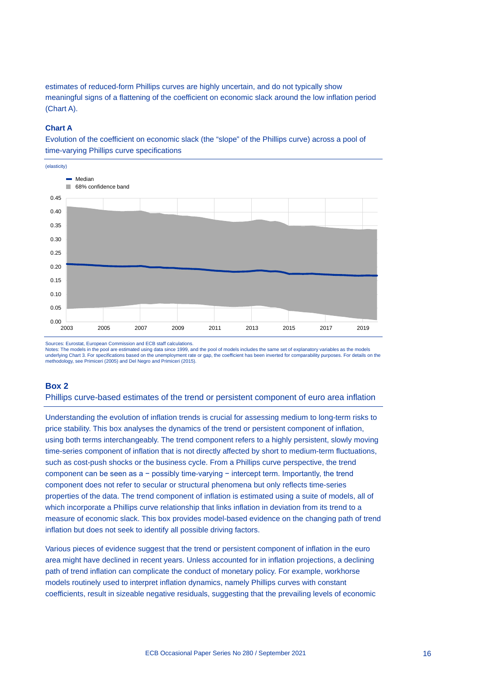estimates of reduced-form Phillips curves are highly uncertain, and do not typically show meaningful signs of a flattening of the coefficient on economic slack around the low inflation period (Chart A).

# **Chart A**

Evolution of the coefficient on economic slack (the "slope" of the Phillips curve) across a pool of time-varying Phillips curve specifications



Sources: Eurostat, European Commission and ECB staff calculations.

Notes: The models in the pool are estimated using data since 1999, and the pool of models includes the same set of explanatory variables as the models underlying Chart 3. For specifications based on the unemployment rate or gap, the coefficient has been inverted for comparability purposes. For details on the methodology, see Primiceri (2005) and Del Negro and Primiceri (2015).

# <span id="page-18-0"></span>**Box 2**

Phillips curve-based estimates of the trend or persistent component of euro area inflation

Understanding the evolution of inflation trends is crucial for assessing medium to long-term risks to price stability. This box analyses the dynamics of the trend or persistent component of inflation, using both terms interchangeably. The trend component refers to a highly persistent, slowly moving time-series component of inflation that is not directly affected by short to medium-term fluctuations, such as cost-push shocks or the business cycle. From a Phillips curve perspective, the trend component can be seen as a − possibly time-varying − intercept term. Importantly, the trend component does not refer to secular or structural phenomena but only reflects time-series properties of the data. The trend component of inflation is estimated using a suite of models, all of which incorporate a Phillips curve relationship that links inflation in deviation from its trend to a measure of economic slack. This box provides model-based evidence on the changing path of trend inflation but does not seek to identify all possible driving factors.

Various pieces of evidence suggest that the trend or persistent component of inflation in the euro area might have declined in recent years. Unless accounted for in inflation projections, a declining path of trend inflation can complicate the conduct of monetary policy. For example, workhorse models routinely used to interpret inflation dynamics, namely Phillips curves with constant coefficients, result in sizeable negative residuals, suggesting that the prevailing levels of economic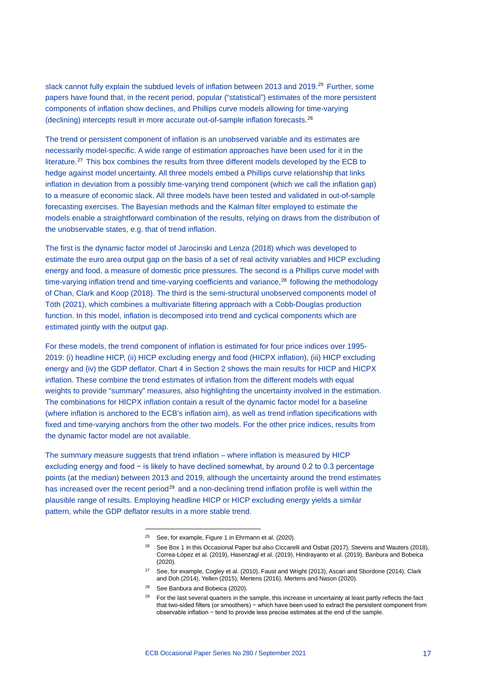slack cannot fully explain the subdued levels of inflation between 2013 and 2019.<sup>[25](#page-19-0)</sup> Further, some papers have found that, in the recent period, popular ("statistical") estimates of the more persistent components of inflation show declines, and Phillips curve models allowing for time-varying (declining) intercepts result in more accurate out-of-sample inflation forecasts.[26](#page-19-1)

The trend or persistent component of inflation is an unobserved variable and its estimates are necessarily model-specific. A wide range of estimation approaches have been used for it in the literature.[27](#page-19-2) This box combines the results from three different models developed by the ECB to hedge against model uncertainty. All three models embed a Phillips curve relationship that links inflation in deviation from a possibly time-varying trend component (which we call the inflation gap) to a measure of economic slack. All three models have been tested and validated in out-of-sample forecasting exercises. The Bayesian methods and the Kalman filter employed to estimate the models enable a straightforward combination of the results, relying on draws from the distribution of the unobservable states, e.g. that of trend inflation.

The first is the dynamic factor model of Jarocinski and Lenza (2018) which was developed to estimate the euro area output gap on the basis of a set of real activity variables and HICP excluding energy and food, a measure of domestic price pressures. The second is a Phillips curve model with time-varying inflation trend and time-varying coefficients and variance, $28$  following the methodology of Chan, Clark and Koop (2018). The third is the semi-structural unobserved components model of Tóth (2021), which combines a multivariate filtering approach with a Cobb-Douglas production function. In this model, inflation is decomposed into trend and cyclical components which are estimated jointly with the output gap.

For these models, the trend component of inflation is estimated for four price indices over 1995- 2019: (i) headline HICP, (ii) HICP excluding energy and food (HICPX inflation), (iii) HICP excluding energy and (iv) the GDP deflator. Chart 4 in Section 2 shows the main results for HICP and HICPX inflation. These combine the trend estimates of inflation from the different models with equal weights to provide "summary" measures, also highlighting the uncertainty involved in the estimation. The combinations for HICPX inflation contain a result of the dynamic factor model for a baseline (where inflation is anchored to the ECB's inflation aim), as well as trend inflation specifications with fixed and time-varying anchors from the other two models. For the other price indices, results from the dynamic factor model are not available.

<span id="page-19-3"></span><span id="page-19-2"></span><span id="page-19-1"></span><span id="page-19-0"></span>The summary measure suggests that trend inflation – where inflation is measured by HICP excluding energy and food − is likely to have declined somewhat, by around 0.2 to 0.3 percentage points (at the median) between 2013 and 2019, although the uncertainty around the trend estimates has increased over the recent period<sup>[29](#page-19-4)</sup> and a non-declining trend inflation profile is well within the plausible range of results. Employing headline HICP or HICP excluding energy yields a similar pattern, while the GDP deflator results in a more stable trend.

<sup>&</sup>lt;sup>25</sup> See, for example, Figure 1 in Ehrmann et al. (2020).

<sup>&</sup>lt;sup>26</sup> See Box 1 in this Occasional Paper but also Ciccarelli and Osbat (2017), Stevens and Wauters (2018), Correa-López et al. (2019), Hasenzagl et al. (2019), Hindrayanto et al. (2019), Banbura and Bobeica (2020).

<sup>&</sup>lt;sup>27</sup> See, for example, Cogley et al. (2010), Faust and Wright (2013), Ascari and Sbordone (2014), Clark and Doh (2014), Yellen (2015), Mertens (2016), Mertens and Nason (2020).

<span id="page-19-4"></span><sup>28</sup> See Banbura and Bobeica (2020).

<sup>&</sup>lt;sup>29</sup> For the last several quarters in the sample, this increase in uncertainty at least partly reflects the fact that two-sided filters (or smoothers) − which have been used to extract the persistent component from observable inflation − tend to provide less precise estimates at the end of the sample.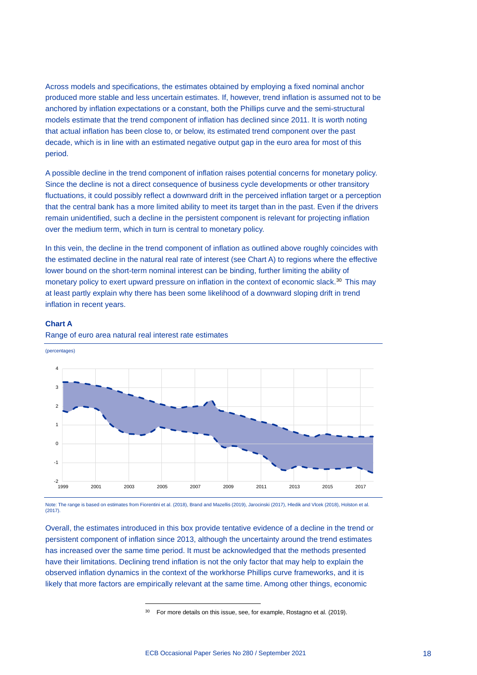Across models and specifications, the estimates obtained by employing a fixed nominal anchor produced more stable and less uncertain estimates. If, however, trend inflation is assumed not to be anchored by inflation expectations or a constant, both the Phillips curve and the semi-structural models estimate that the trend component of inflation has declined since 2011. It is worth noting that actual inflation has been close to, or below, its estimated trend component over the past decade, which is in line with an estimated negative output gap in the euro area for most of this period.

A possible decline in the trend component of inflation raises potential concerns for monetary policy. Since the decline is not a direct consequence of business cycle developments or other transitory fluctuations, it could possibly reflect a downward drift in the perceived inflation target or a perception that the central bank has a more limited ability to meet its target than in the past. Even if the drivers remain unidentified, such a decline in the persistent component is relevant for projecting inflation over the medium term, which in turn is central to monetary policy.

In this vein, the decline in the trend component of inflation as outlined above roughly coincides with the estimated decline in the natural real rate of interest (see Chart A) to regions where the effective lower bound on the short-term nominal interest can be binding, further limiting the ability of monetary policy to exert upward pressure on inflation in the context of economic slack.<sup>[30](#page-20-0)</sup> This may at least partly explain why there has been some likelihood of a downward sloping drift in trend inflation in recent years.

# **Chart A**

(percentages)





Note: The range is based on estimates from Fiorentini et al. (2018), Brand and Mazellis (2019), Jarocinski (2017), Hledik and Vlcek (2018), Holston et al. (2017).

<span id="page-20-0"></span>Overall, the estimates introduced in this box provide tentative evidence of a decline in the trend or persistent component of inflation since 2013, although the uncertainty around the trend estimates has increased over the same time period. It must be acknowledged that the methods presented have their limitations. Declining trend inflation is not the only factor that may help to explain the observed inflation dynamics in the context of the workhorse Phillips curve frameworks, and it is likely that more factors are empirically relevant at the same time. Among other things, economic

<sup>&</sup>lt;sup>30</sup> For more details on this issue, see, for example, Rostagno et al. (2019).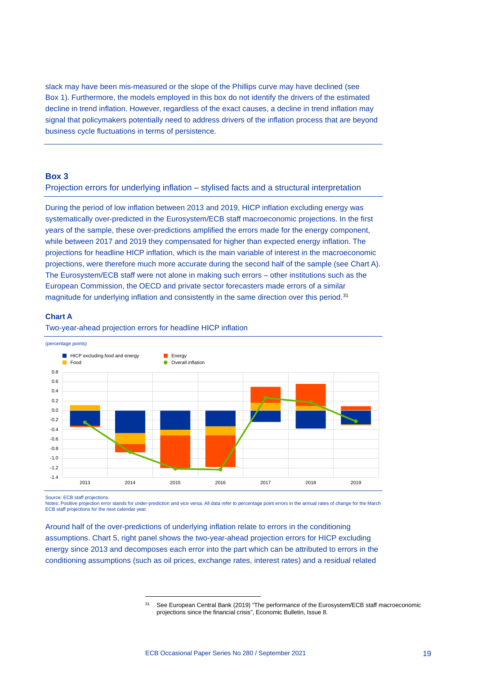slack may have been mis-measured or the slope of the Phillips curve may have declined (see Box 1). Furthermore, the models employed in this box do not identify the drivers of the estimated decline in trend inflation. However, regardless of the exact causes, a decline in trend inflation may signal that policymakers potentially need to address drivers of the inflation process that are beyond business cycle fluctuations in terms of persistence.

# <span id="page-21-0"></span>**Box 3**

# Projection errors for underlying inflation – stylised facts and a structural interpretation

During the period of low inflation between 2013 and 2019, HICP inflation excluding energy was systematically over-predicted in the Eurosystem/ECB staff macroeconomic projections. In the first years of the sample, these over-predictions amplified the errors made for the energy component, while between 2017 and 2019 they compensated for higher than expected energy inflation. The projections for headline HICP inflation, which is the main variable of interest in the macroeconomic projections, were therefore much more accurate during the second half of the sample (see Chart A). The Eurosystem/ECB staff were not alone in making such errors – other institutions such as the European Commission, the OECD and private sector forecasters made errors of a similar magnitude for underlying inflation and consistently in the same direction over this period.<sup>[31](#page-21-1)</sup>

### **Chart A**

Two-year-ahead projection errors for headline HICP inflation



Source: ECB staff projections.

Notes: Positive projection error stands for under-prediction and vice versa. All data refer to percentage point errors in the annual rates of change for the March ECB staff projections for the next calendar year.

<span id="page-21-1"></span>Around half of the over-predictions of underlying inflation relate to errors in the conditioning assumptions. Chart 5, right panel shows the two-year-ahead projection errors for HICP excluding energy since 2013 and decomposes each error into the part which can be attributed to errors in the conditioning assumptions (such as oil prices, exchange rates, interest rates) and a residual related

<sup>&</sup>lt;sup>31</sup> See European Central Bank (2019) "The performance of the Eurosystem/ECB staff macroeconomic projections since the financial crisis", Economic Bulletin, Issue 8.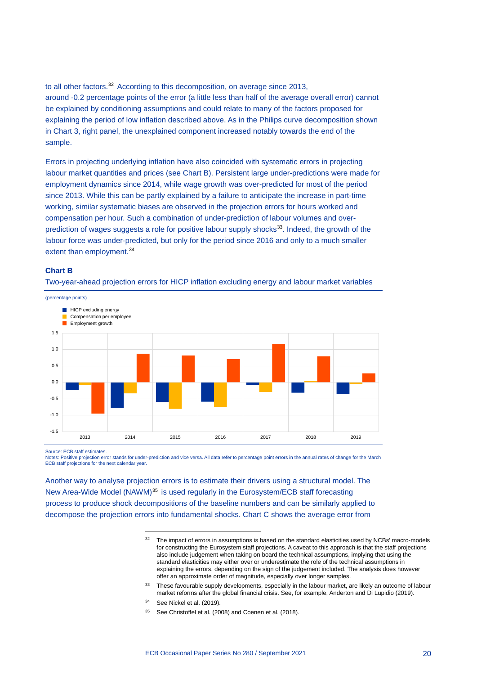to all other factors.<sup>[32](#page-22-0)</sup> According to this decomposition, on average since 2013, around -0.2 percentage points of the error (a little less than half of the average overall error) cannot be explained by conditioning assumptions and could relate to many of the factors proposed for explaining the period of low inflation described above. As in the Philips curve decomposition shown in Chart 3, right panel, the unexplained component increased notably towards the end of the sample.

Errors in projecting underlying inflation have also coincided with systematic errors in projecting labour market quantities and prices (see Chart B). Persistent large under-predictions were made for employment dynamics since 2014, while wage growth was over-predicted for most of the period since 2013. While this can be partly explained by a failure to anticipate the increase in part-time working, similar systematic biases are observed in the projection errors for hours worked and compensation per hour. Such a combination of under-prediction of labour volumes and overprediction of wages suggests a role for positive labour supply shocks<sup>33</sup>. Indeed, the growth of the labour force was under-predicted, but only for the period since 2016 and only to a much smaller extent than employment.<sup>[34](#page-22-2)</sup>

# **Chart B**



Two-year-ahead projection errors for HICP inflation excluding energy and labour market variables

Source: ECB staff estimates.

Notes: Positive projection error stands for under-prediction and vice versa. All data refer to percentage point errors in the annual rates of change for the March ECB staff projections for the next calendar year.

<span id="page-22-3"></span><span id="page-22-2"></span><span id="page-22-1"></span><span id="page-22-0"></span>Another way to analyse projection errors is to estimate their drivers using a structural model. The New Area-Wide Model (NAWM)<sup>[35](#page-22-3)</sup> is used regularly in the Eurosystem/ECB staff forecasting process to produce shock decompositions of the baseline numbers and can be similarly applied to decompose the projection errors into fundamental shocks. Chart C shows the average error from

- <sup>34</sup> See Nickel et al. (2019).
- <sup>35</sup> See Christoffel et al. (2008) and Coenen et al. (2018).

<sup>&</sup>lt;sup>32</sup> The impact of errors in assumptions is based on the standard elasticities used by NCBs' macro-models for constructing the Eurosystem staff projections. A caveat to this approach is that the staff projections also include judgement when taking on board the technical assumptions, implying that using the standard elasticities may either over or underestimate the role of the technical assumptions in explaining the errors, depending on the sign of the judgement included. The analysis does however offer an approximate order of magnitude, especially over longer samples.

<sup>&</sup>lt;sup>33</sup> These favourable supply developments, especially in the labour market, are likely an outcome of labour market reforms after the global financial crisis. See, for example, Anderton and Di Lupidio (2019).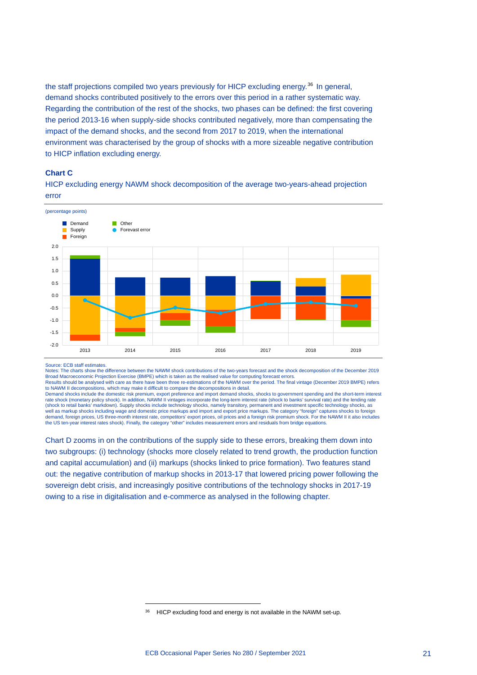the staff projections compiled two years previously for HICP excluding energy.<sup>[36](#page-23-0)</sup> In general, demand shocks contributed positively to the errors over this period in a rather systematic way. Regarding the contribution of the rest of the shocks, two phases can be defined: the first covering the period 2013-16 when supply-side shocks contributed negatively, more than compensating the impact of the demand shocks, and the second from 2017 to 2019, when the international environment was characterised by the group of shocks with a more sizeable negative contribution to HICP inflation excluding energy.

# **Chart C**

HICP excluding energy NAWM shock decomposition of the average two-years-ahead projection error



#### Source: ECB staff estimates.

Notes: The charts show the difference between the NAWM shock contributions of the two-years forecast and the shock decomposition of the December 2019<br>Broad Macroeconomic Projection Exercise (BMPE) which is taken as the rea Results should be analysed with care as there have been three re-estimations of the NAWM over the period. The final vintage (December 2019 BMPE) refers

to NAWM II decompositions, which may make it difficult to compare the decompositions in detail.<br>Demand shocks include the domestic risk premium, export preference and import demand shocks, shocks to government spending and rate shock (monetary policy shock). In addition, NAWM II vintages incorporate the long-term interest rate (shock to banks' survival rate) and the lending rate (shock to retail banks' markdown). Supply shocks include technology shocks, namely transitory, permanent and investment specific technology shocks, as well as markup shocks including wage and domestic price markups and import and export price markups. The category "foreign" captures shocks to foreign demand, foreign prices, US three-month interest rate, competitors' export prices, oil prices and a foreign risk premium shock. For the NAWM II it also includes<br>the US ten-year interest rates shock). Finally, the category "

Chart D zooms in on the contributions of the supply side to these errors, breaking them down into two subgroups: (i) technology (shocks more closely related to trend growth, the production function and capital accumulation) and (ii) markups (shocks linked to price formation). Two features stand out: the negative contribution of markup shocks in 2013-17 that lowered pricing power following the sovereign debt crisis, and increasingly positive contributions of the technology shocks in 2017-19 owing to a rise in digitalisation and e-commerce as analysed in the following chapter.

<span id="page-23-0"></span><sup>&</sup>lt;sup>36</sup> HICP excluding food and energy is not available in the NAWM set-up.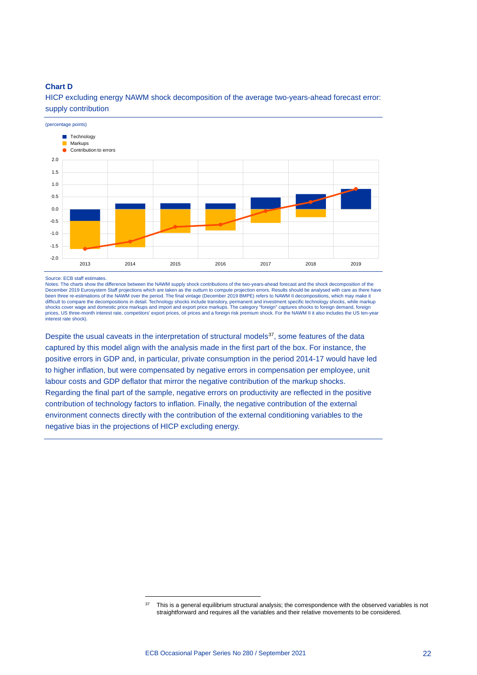# **Chart D**



HICP excluding energy NAWM shock decomposition of the average two-years-ahead forecast error: supply contribution

#### Source: ECB staff estimates.

Notes: The charts show the difference between the NAWM supply shock contributions of the two-years-ahead forecast and the shock decomposition of the December 2019 Eurosystem Staff projections which are taken as the outturn to compute projection errors. Results should be analysed with care as there have<br>been three re-estimations of the NAWM over the period. The final vi difficult to compare the decompositions in detail. Technology shocks include transitory, permanent and investment specific technology shocks, while markup<br>shocks cover wage and domestic price markups and import and export interest rate shock).

Despite the usual caveats in the interpretation of structural models<sup>[37](#page-24-0)</sup>, some features of the data captured by this model align with the analysis made in the first part of the box. For instance, the positive errors in GDP and, in particular, private consumption in the period 2014-17 would have led to higher inflation, but were compensated by negative errors in compensation per employee, unit labour costs and GDP deflator that mirror the negative contribution of the markup shocks. Regarding the final part of the sample, negative errors on productivity are reflected in the positive contribution of technology factors to inflation. Finally, the negative contribution of the external environment connects directly with the contribution of the external conditioning variables to the negative bias in the projections of HICP excluding energy.

<span id="page-24-0"></span><sup>&</sup>lt;sup>37</sup> This is a general equilibrium structural analysis; the correspondence with the observed variables is not straightforward and requires all the variables and their relative movements to be considered.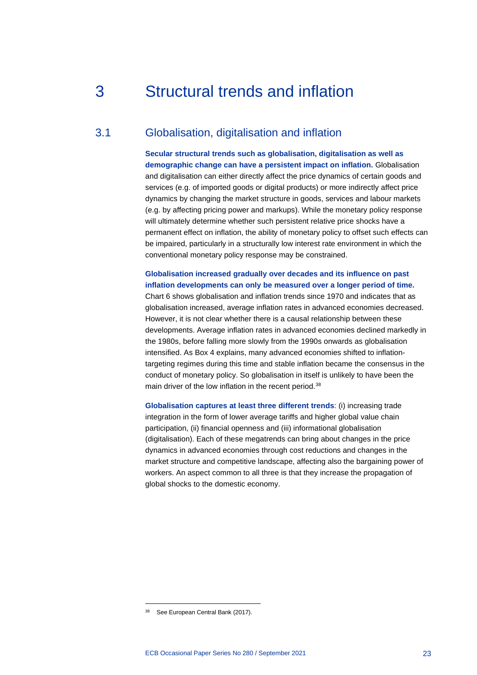# <span id="page-25-0"></span>3 Structural trends and inflation

# 3.1 Globalisation, digitalisation and inflation

<span id="page-25-1"></span>**Secular structural trends such as globalisation, digitalisation as well as demographic change can have a persistent impact on inflation.** Globalisation and digitalisation can either directly affect the price dynamics of certain goods and services (e.g. of imported goods or digital products) or more indirectly affect price dynamics by changing the market structure in goods, services and labour markets (e.g. by affecting pricing power and markups). While the monetary policy response will ultimately determine whether such persistent relative price shocks have a permanent effect on inflation, the ability of monetary policy to offset such effects can be impaired, particularly in a structurally low interest rate environment in which the conventional monetary policy response may be constrained.

# **Globalisation increased gradually over decades and its influence on past inflation developments can only be measured over a longer period of time.**

Chart 6 shows globalisation and inflation trends since 1970 and indicates that as globalisation increased, average inflation rates in advanced economies decreased. However, it is not clear whether there is a causal relationship between these developments. Average inflation rates in advanced economies declined markedly in the 1980s, before falling more slowly from the 1990s onwards as globalisation intensified. As Box 4 explains, many advanced economies shifted to inflationtargeting regimes during this time and stable inflation became the consensus in the conduct of monetary policy. So globalisation in itself is unlikely to have been the main driver of the low inflation in the recent period.<sup>[38](#page-25-2)</sup>

**Globalisation captures at least three different trends**: (i) increasing trade integration in the form of lower average tariffs and higher global value chain participation, (ii) financial openness and (iii) informational globalisation (digitalisation). Each of these megatrends can bring about changes in the price dynamics in advanced economies through cost reductions and changes in the market structure and competitive landscape, affecting also the bargaining power of workers. An aspect common to all three is that they increase the propagation of global shocks to the domestic economy.

<span id="page-25-2"></span><sup>&</sup>lt;sup>38</sup> See European Central Bank (2017).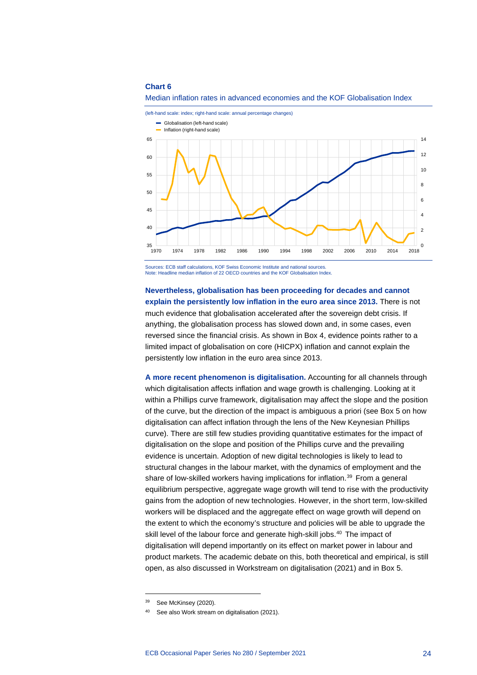#### **Chart 6**





Sources: ECB staff calculations, KOF Swiss Economic Institute and national sources. Note: Headline median inflation of 22 OECD countries and the KOF Globalisation Index.

**Nevertheless, globalisation has been proceeding for decades and cannot explain the persistently low inflation in the euro area since 2013.** There is not much evidence that globalisation accelerated after the sovereign debt crisis. If anything, the globalisation process has slowed down and, in some cases, even reversed since the financial crisis. As shown in Box 4, evidence points rather to a limited impact of globalisation on core (HICPX) inflation and cannot explain the persistently low inflation in the euro area since 2013.

**A more recent phenomenon is digitalisation.** Accounting for all channels through which digitalisation affects inflation and wage growth is challenging. Looking at it within a Phillips curve framework, digitalisation may affect the slope and the position of the curve, but the direction of the impact is ambiguous a priori (see Box 5 on how digitalisation can affect inflation through the lens of the New Keynesian Phillips curve). There are still few studies providing quantitative estimates for the impact of digitalisation on the slope and position of the Phillips curve and the prevailing evidence is uncertain. Adoption of new digital technologies is likely to lead to structural changes in the labour market, with the dynamics of employment and the share of low-skilled workers having implications for inflation.<sup>[39](#page-26-0)</sup> From a general equilibrium perspective, aggregate wage growth will tend to rise with the productivity gains from the adoption of new technologies. However, in the short term, low-skilled workers will be displaced and the aggregate effect on wage growth will depend on the extent to which the economy's structure and policies will be able to upgrade the skill level of the labour force and generate high-skill jobs.<sup>[40](#page-26-1)</sup> The impact of digitalisation will depend importantly on its effect on market power in labour and product markets. The academic debate on this, both theoretical and empirical, is still open, as also discussed in Workstream on digitalisation (2021) and in Box 5.

<sup>39</sup> See McKinsey (2020).

<span id="page-26-1"></span><span id="page-26-0"></span><sup>40</sup> See also Work stream on digitalisation (2021).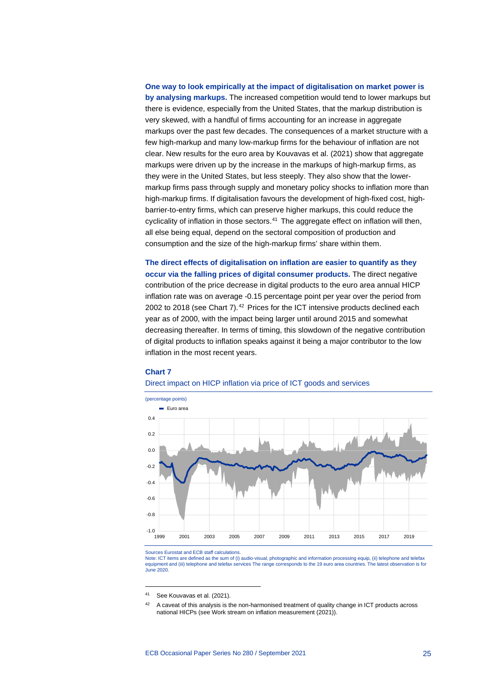# **One way to look empirically at the impact of digitalisation on market power is by analysing markups.** The increased competition would tend to lower markups but there is evidence, especially from the United States, that the markup distribution is very skewed, with a handful of firms accounting for an increase in aggregate markups over the past few decades. The consequences of a market structure with a few high-markup and many low-markup firms for the behaviour of inflation are not clear. New results for the euro area by Kouvavas et al. (2021) show that aggregate markups were driven up by the increase in the markups of high-markup firms, as they were in the United States, but less steeply. They also show that the lowermarkup firms pass through supply and monetary policy shocks to inflation more than high-markup firms. If digitalisation favours the development of high-fixed cost, highbarrier-to-entry firms, which can preserve higher markups, this could reduce the cyclicality of inflation in those sectors.<sup>[41](#page-27-0)</sup> The aggregate effect on inflation will then, all else being equal, depend on the sectoral composition of production and consumption and the size of the high-markup firms' share within them.

**The direct effects of digitalisation on inflation are easier to quantify as they occur via the falling prices of digital consumer products.** The direct negative contribution of the price decrease in digital products to the euro area annual HICP inflation rate was on average -0.15 percentage point per year over the period from 2002 to 2018 (see Chart 7).<sup>[42](#page-27-1)</sup> Prices for the ICT intensive products declined each year as of 2000, with the impact being larger until around 2015 and somewhat decreasing thereafter. In terms of timing, this slowdown of the negative contribution of digital products to inflation speaks against it being a major contributor to the low inflation in the most recent years.

# **Chart 7**

# Direct impact on HICP inflation via price of ICT goods and services



Sources Eurostat and ECB staff calculations.

Note: ICT items are defined as the sum of (i) audio-visual, photographic and information processing equip, (ii) telephone and telefax equipment and (iii) telephone and telefax services The range corresponds to the 19 euro area countries. The latest observation is for June 2020.

<span id="page-27-0"></span><sup>41</sup> See Kouvavas et al. (2021).

<span id="page-27-1"></span><sup>&</sup>lt;sup>42</sup> A caveat of this analysis is the non-harmonised treatment of quality change in ICT products across national HICPs (see Work stream on inflation measurement (2021)).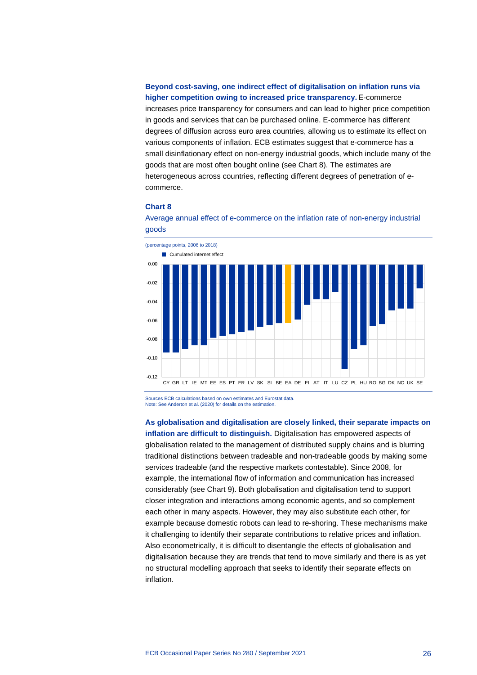**Beyond cost-saving, one indirect effect of digitalisation on inflation runs via higher competition owing to increased price transparency.** E-commerce increases price transparency for consumers and can lead to higher price competition in goods and services that can be purchased online. E-commerce has different degrees of diffusion across euro area countries, allowing us to estimate its effect on various components of inflation. ECB estimates suggest that e-commerce has a small disinflationary effect on non-energy industrial goods, which include many of the goods that are most often bought online (see Chart 8). The estimates are heterogeneous across countries, reflecting different degrees of penetration of ecommerce.

# **Chart 8**





Sources ECB calculations based on own estimates and Eurostat data. Note: See Anderton et al. (2020) for details on the estimation.

### **As globalisation and digitalisation are closely linked, their separate impacts on**

**inflation are difficult to distinguish.** Digitalisation has empowered aspects of globalisation related to the management of distributed supply chains and is blurring traditional distinctions between tradeable and non-tradeable goods by making some services tradeable (and the respective markets contestable). Since 2008, for example, the international flow of information and communication has increased considerably (see Chart 9). Both globalisation and digitalisation tend to support closer integration and interactions among economic agents, and so complement each other in many aspects. However, they may also substitute each other, for example because domestic robots can lead to re-shoring. These mechanisms make it challenging to identify their separate contributions to relative prices and inflation. Also econometrically, it is difficult to disentangle the effects of globalisation and digitalisation because they are trends that tend to move similarly and there is as yet no structural modelling approach that seeks to identify their separate effects on inflation.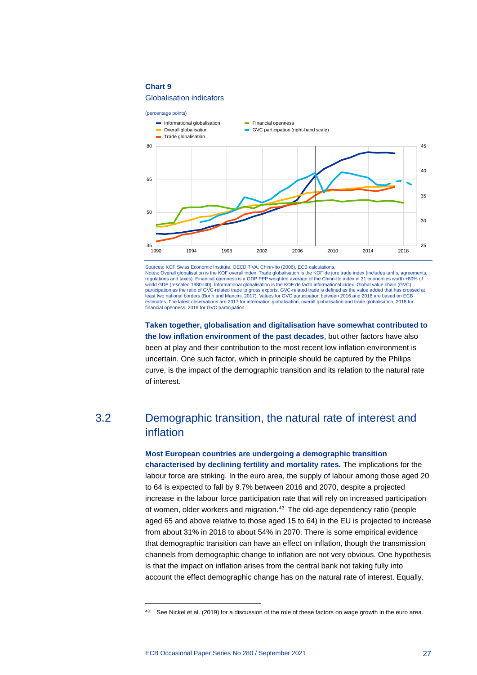# **Chart 9**

# Globalisation indicators



Sources: KOF Swiss Economic Institute, OECD TiVA, Chinn-Ito (2006), ECB calculations. Notes: Overall globalisation is the KOF overall index. Trade globalisation is the KOF de jure trade index (includes tariffs, agreements, regulations and taxes). Financial openness is a GDP PPP weighted average of the Chinn regulations and taxes). Financial openness is a GDP PPP weighted average of the Chinn-Ito index in 31 economies worth world GDP (rescaled 1980=40). Informational globalisation is the KOF de facto informational index. Global value chain (GVC) participation as the ratio of GVC-related trade to gross exports. GVC-related trade is defined as the value added that has crossed at least two national borders (Borin and Mancini, 2017). Values for GVC participation between 2016 and 2018 are based on ECB estimates. The latest observations are 2017 for information globalisation, overall globalisation and trade globalisation, 2018 for financial openness, 2019 for GVC participation.

**Taken together, globalisation and digitalisation have somewhat contributed to the low inflation environment of the past decades**, but other factors have also been at play and their contribution to the most recent low inflation environment is uncertain. One such factor, which in principle should be captured by the Philips curve, is the impact of the demographic transition and its relation to the natural rate of interest.

# <span id="page-29-0"></span>3.2 Demographic transition, the natural rate of interest and inflation

**Most European countries are undergoing a demographic transition characterised by declining fertility and mortality rates.** The implications for the labour force are striking. In the euro area, the supply of labour among those aged 20 to 64 is expected to fall by 9.7% between 2016 and 2070, despite a projected increase in the labour force participation rate that will rely on increased participation of women, older workers and migration.<sup>[43](#page-29-1)</sup> The old-age dependency ratio (people aged 65 and above relative to those aged 15 to 64) in the EU is projected to increase from about 31% in 2018 to about 54% in 2070. There is some empirical evidence that demographic transition can have an effect on inflation, though the transmission channels from demographic change to inflation are not very obvious. One hypothesis is that the impact on inflation arises from the central bank not taking fully into account the effect demographic change has on the natural rate of interest. Equally,

<span id="page-29-1"></span><sup>&</sup>lt;sup>43</sup> See Nickel et al. (2019) for a discussion of the role of these factors on wage growth in the euro area.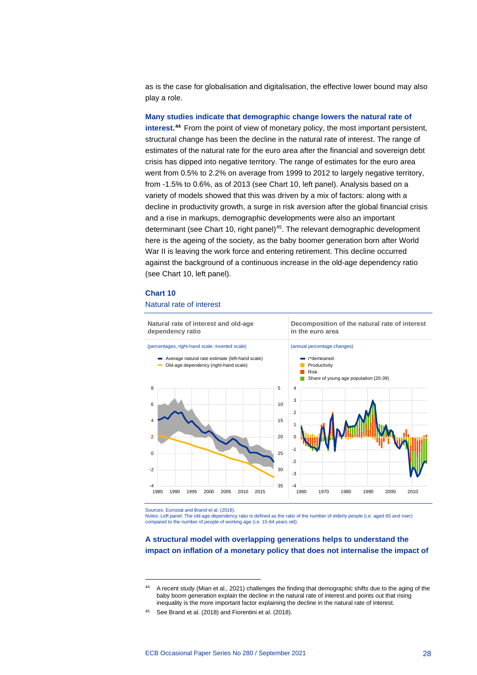as is the case for globalisation and digitalisation, the effective lower bound may also play a role.

**Many studies indicate that demographic change lowers the natural rate of interest.[44](#page-30-0)** From the point of view of monetary policy, the most important persistent, structural change has been the decline in the natural rate of interest. The range of estimates of the natural rate for the euro area after the financial and sovereign debt crisis has dipped into negative territory. The range of estimates for the euro area went from 0.5% to 2.2% on average from 1999 to 2012 to largely negative territory, from -1.5% to 0.6%, as of 2013 (see Chart 10, left panel). Analysis based on a variety of models showed that this was driven by a mix of factors: along with a decline in productivity growth, a surge in risk aversion after the global financial crisis and a rise in markups, demographic developments were also an important determinant (see Chart 10, right panel)<sup>45</sup>. The relevant demographic development here is the ageing of the society, as the baby boomer generation born after World War II is leaving the work force and entering retirement. This decline occurred against the background of a continuous increase in the old-age dependency ratio (see Chart 10, left panel).

# **Chart 10**

# Natural rate of interest



Sources: Eurostat and Brand et al. (2018).

Notes: Left panel: The old-age dependency ratio is defined as the ratio of the number of elderly people (i.e. aged 65 and over) compared to the number of people of working age (i.e. 15-64 years old).

# **A structural model with overlapping generations helps to understand the impact on inflation of a monetary policy that does not internalise the impact of**

<span id="page-30-0"></span><sup>&</sup>lt;sup>44</sup> A recent study (Mian et al., 2021) challenges the finding that demographic shifts due to the aging of the baby boom generation explain the decline in the natural rate of interest and points out that rising inequality is the more important factor explaining the decline in the natural rate of interest.

<span id="page-30-1"></span><sup>45</sup> See Brand et al. (2018) and Fiorentini et al. (2018).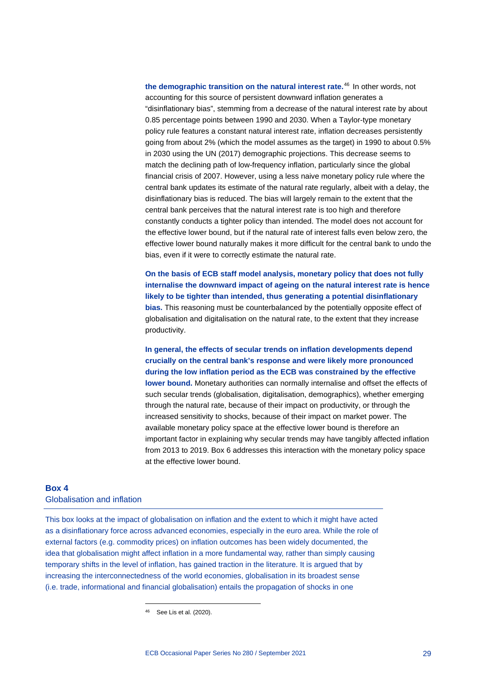**the demographic transition on the natural interest rate.**[46](#page-31-1) In other words, not accounting for this source of persistent downward inflation generates a "disinflationary bias", stemming from a decrease of the natural interest rate by about 0.85 percentage points between 1990 and 2030. When a Taylor-type monetary policy rule features a constant natural interest rate, inflation decreases persistently going from about 2% (which the model assumes as the target) in 1990 to about 0.5% in 2030 using the UN (2017) demographic projections. This decrease seems to match the declining path of low-frequency inflation, particularly since the global financial crisis of 2007. However, using a less naive monetary policy rule where the central bank updates its estimate of the natural rate regularly, albeit with a delay, the disinflationary bias is reduced. The bias will largely remain to the extent that the central bank perceives that the natural interest rate is too high and therefore constantly conducts a tighter policy than intended. The model does not account for the effective lower bound, but if the natural rate of interest falls even below zero, the effective lower bound naturally makes it more difficult for the central bank to undo the bias, even if it were to correctly estimate the natural rate.

**On the basis of ECB staff model analysis, monetary policy that does not fully internalise the downward impact of ageing on the natural interest rate is hence likely to be tighter than intended, thus generating a potential disinflationary bias.** This reasoning must be counterbalanced by the potentially opposite effect of globalisation and digitalisation on the natural rate, to the extent that they increase productivity.

**In general, the effects of secular trends on inflation developments depend crucially on the central bank's response and were likely more pronounced during the low inflation period as the ECB was constrained by the effective lower bound.** Monetary authorities can normally internalise and offset the effects of such secular trends (globalisation, digitalisation, demographics), whether emerging through the natural rate, because of their impact on productivity, or through the increased sensitivity to shocks, because of their impact on market power. The available monetary policy space at the effective lower bound is therefore an important factor in explaining why secular trends may have tangibly affected inflation from 2013 to 2019. Box 6 addresses this interaction with the monetary policy space at the effective lower bound.

# <span id="page-31-0"></span>**Box 4** Globalisation and inflation

<span id="page-31-1"></span>This box looks at the impact of globalisation on inflation and the extent to which it might have acted as a disinflationary force across advanced economies, especially in the euro area. While the role of external factors (e.g. commodity prices) on inflation outcomes has been widely documented, the idea that globalisation might affect inflation in a more fundamental way, rather than simply causing temporary shifts in the level of inflation, has gained traction in the literature. It is argued that by increasing the interconnectedness of the world economies, globalisation in its broadest sense (i.e. trade, informational and financial globalisation) entails the propagation of shocks in one

<sup>46</sup> See Lis et al. (2020).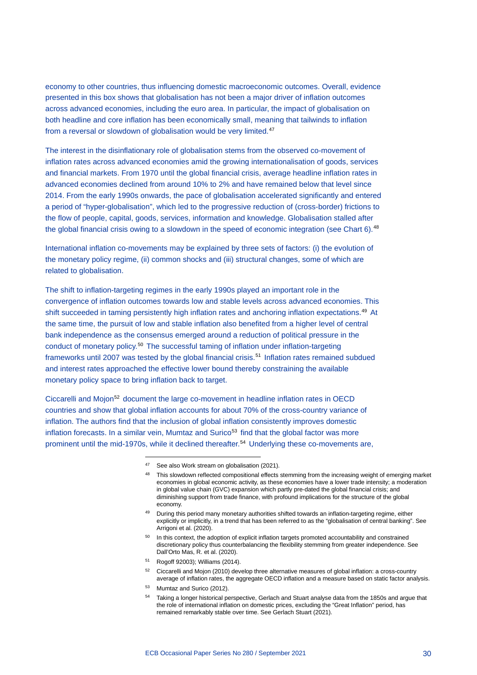economy to other countries, thus influencing domestic macroeconomic outcomes. Overall, evidence presented in this box shows that globalisation has not been a major driver of inflation outcomes across advanced economies, including the euro area. In particular, the impact of globalisation on both headline and core inflation has been economically small, meaning that tailwinds to inflation from a reversal or slowdown of globalisation would be very limited.<sup>[47](#page-32-0)</sup>

The interest in the disinflationary role of globalisation stems from the observed co-movement of inflation rates across advanced economies amid the growing internationalisation of goods, services and financial markets. From 1970 until the global financial crisis, average headline inflation rates in advanced economies declined from around 10% to 2% and have remained below that level since 2014. From the early 1990s onwards, the pace of globalisation accelerated significantly and entered a period of "hyper-globalisation", which led to the progressive reduction of (cross-border) frictions to the flow of people, capital, goods, services, information and knowledge. Globalisation stalled after the global financial crisis owing to a slowdown in the speed of economic integration (see Chart 6).<sup>[48](#page-32-1)</sup>

International inflation co-movements may be explained by three sets of factors: (i) the evolution of the monetary policy regime, (ii) common shocks and (iii) structural changes, some of which are related to globalisation.

The shift to inflation-targeting regimes in the early 1990s played an important role in the convergence of inflation outcomes towards low and stable levels across advanced economies. This shift succeeded in taming persistently high inflation rates and anchoring inflation expectations.[49](#page-32-2) At the same time, the pursuit of low and stable inflation also benefited from a higher level of central bank independence as the consensus emerged around a reduction of political pressure in the conduct of monetary policy.<sup>[50](#page-32-3)</sup> The successful taming of inflation under inflation-targeting frameworks until 2007 was tested by the global financial crisis.[51](#page-32-4) Inflation rates remained subdued and interest rates approached the effective lower bound thereby constraining the available monetary policy space to bring inflation back to target.

<span id="page-32-2"></span><span id="page-32-1"></span><span id="page-32-0"></span>Ciccarelli and Mojon[52](#page-32-5) document the large co-movement in headline inflation rates in OECD countries and show that global inflation accounts for about 70% of the cross-country variance of inflation. The authors find that the inclusion of global inflation consistently improves domestic inflation forecasts. In a similar vein, Mumtaz and Surico<sup>53</sup> find that the global factor was more prominent until the mid-1970s, while it declined thereafter.[54](#page-32-7) Underlying these co-movements are,

- <span id="page-32-7"></span><span id="page-32-6"></span><span id="page-32-5"></span><span id="page-32-4"></span><sup>53</sup> Mumtaz and Surico (2012).
- <sup>54</sup> Taking a longer historical perspective, Gerlach and Stuart analyse data from the 1850s and argue that the role of international inflation on domestic prices, excluding the "Great Inflation" period, has remained remarkably stable over time. See Gerlach Stuart (2021).

<sup>&</sup>lt;sup>47</sup> See also Work stream on globalisation (2021).

<sup>48</sup> This slowdown reflected compositional effects stemming from the increasing weight of emerging market economies in global economic activity, as these economies have a lower trade intensity; a moderation in global value chain (GVC) expansion which partly pre-dated the global financial crisis; and diminishing support from trade finance, with profound implications for the structure of the global economy.

<sup>49</sup> During this period many monetary authorities shifted towards an inflation-targeting regime, either explicitly or implicitly, in a trend that has been referred to as the "globalisation of central banking". See Arrigoni et al. (2020).

<span id="page-32-3"></span><sup>&</sup>lt;sup>50</sup> In this context, the adoption of explicit inflation targets promoted accountability and constrained discretionary policy thus counterbalancing the flexibility stemming from greater independence. See Dall'Orto Mas, R. et al. (2020).

<sup>51</sup> Rogoff 92003); Williams (2014).

<sup>52</sup> Ciccarelli and Mojon (2010) develop three alternative measures of global inflation: a cross-country average of inflation rates, the aggregate OECD inflation and a measure based on static factor analysis.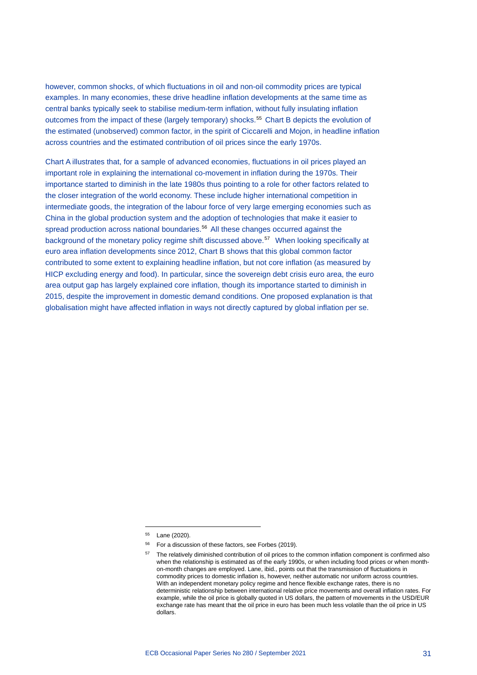however, common shocks, of which fluctuations in oil and non-oil commodity prices are typical examples. In many economies, these drive headline inflation developments at the same time as central banks typically seek to stabilise medium-term inflation, without fully insulating inflation outcomes from the impact of these (largely temporary) shocks.[55](#page-33-0) Chart B depicts the evolution of the estimated (unobserved) common factor, in the spirit of Ciccarelli and Mojon, in headline inflation across countries and the estimated contribution of oil prices since the early 1970s.

Chart A illustrates that, for a sample of advanced economies, fluctuations in oil prices played an important role in explaining the international co-movement in inflation during the 1970s. Their importance started to diminish in the late 1980s thus pointing to a role for other factors related to the closer integration of the world economy. These include higher international competition in intermediate goods, the integration of the labour force of very large emerging economies such as China in the global production system and the adoption of technologies that make it easier to spread production across national boundaries.<sup>[56](#page-33-1)</sup> All these changes occurred against the background of the monetary policy regime shift discussed above.<sup>[57](#page-33-2)</sup> When looking specifically at euro area inflation developments since 2012, Chart B shows that this global common factor contributed to some extent to explaining headline inflation, but not core inflation (as measured by HICP excluding energy and food). In particular, since the sovereign debt crisis euro area, the euro area output gap has largely explained core inflation, though its importance started to diminish in 2015, despite the improvement in domestic demand conditions. One proposed explanation is that globalisation might have affected inflation in ways not directly captured by global inflation per se.

<sup>55</sup> Lane (2020).

<span id="page-33-2"></span><span id="page-33-1"></span><span id="page-33-0"></span><sup>&</sup>lt;sup>56</sup> For a discussion of these factors, see Forbes (2019).

The relatively diminished contribution of oil prices to the common inflation component is confirmed also when the relationship is estimated as of the early 1990s, or when including food prices or when monthon-month changes are employed. Lane, ibid., points out that the transmission of fluctuations in commodity prices to domestic inflation is, however, neither automatic nor uniform across countries. With an independent monetary policy regime and hence flexible exchange rates, there is no deterministic relationship between international relative price movements and overall inflation rates. For example, while the oil price is globally quoted in US dollars, the pattern of movements in the USD/EUR exchange rate has meant that the oil price in euro has been much less volatile than the oil price in US dollars.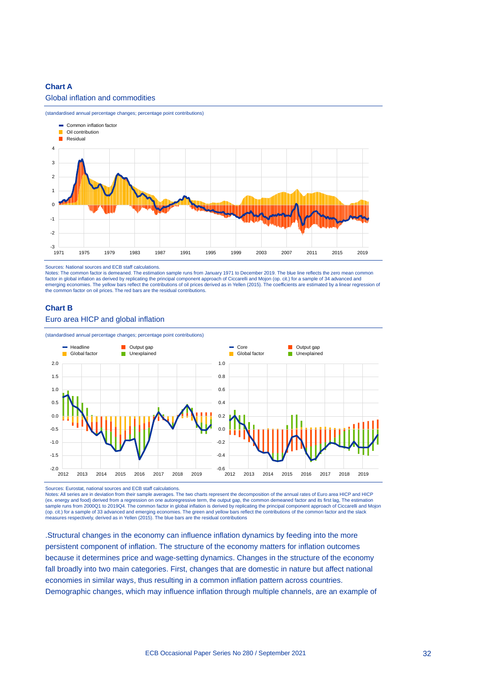# **Chart A**

# Global inflation and commodities



(standardised annual percentage changes; percentage point contributions)

Sources: National sources and ECB staff calculations.

Notes: The common factor is demeaned. The estimation sample runs from January 1971 to December 2019. The blue line reflects the zero mean common factor in global inflation as derived by replicating the principal component approach of Ciccarelli and Mojon (op. cit.) for a sample of 34 advanced and emerging economies. The yellow bars reflect the contributions of oil prices derived as in Yellen (2015). The coefficients are estimated by a linear regression of the common factor on oil prices. The red bars are the residual contributions.

### **Chart B**

# Euro area HICP and global inflation



Sources: Eurostat, national sources and ECB staff calculations.

Notes: All series are in deviation from their sample averages. The two charts represent the decomposition of the annual rates of Euro area HICP and HICP (ex. energy and food) derived from a regression on one autoregressive term, the output gap, the common demeaned factor and its first lag, The estimation sample runs from 2000Q1 to 2019Q4. The common factor in global inflation is derived by replicating the principal component approach of Ciccarelli and Mojon (op. cit.) for a sample of 33 advanced and emerging economies. The green and yellow bars reflect the contributions of the common factor and the slack<br>measures respectively, derived as in Yellen (2015). The blue bars are th

.Structural changes in the economy can influence inflation dynamics by feeding into the more persistent component of inflation. The structure of the economy matters for inflation outcomes because it determines price and wage-setting dynamics. Changes in the structure of the economy fall broadly into two main categories. First, changes that are domestic in nature but affect national economies in similar ways, thus resulting in a common inflation pattern across countries. Demographic changes, which may influence inflation through multiple channels, are an example of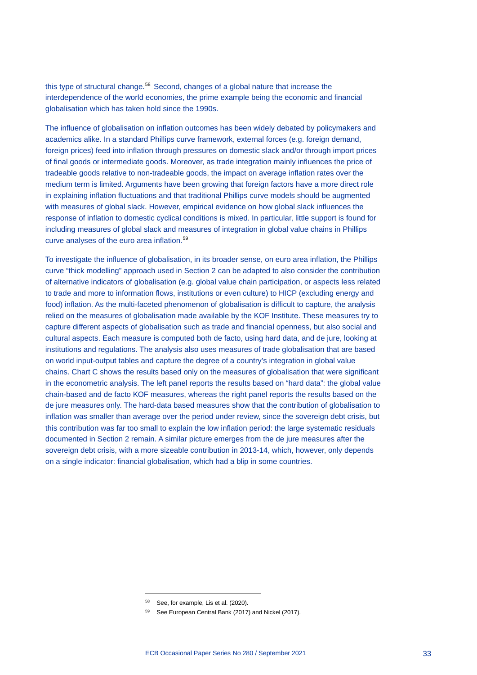this type of structural change.<sup>[58](#page-35-0)</sup> Second, changes of a global nature that increase the interdependence of the world economies, the prime example being the economic and financial globalisation which has taken hold since the 1990s.

The influence of globalisation on inflation outcomes has been widely debated by policymakers and academics alike. In a standard Phillips curve framework, external forces (e.g. foreign demand, foreign prices) feed into inflation through pressures on domestic slack and/or through import prices of final goods or intermediate goods. Moreover, as trade integration mainly influences the price of tradeable goods relative to non-tradeable goods, the impact on average inflation rates over the medium term is limited. Arguments have been growing that foreign factors have a more direct role in explaining inflation fluctuations and that traditional Phillips curve models should be augmented with measures of global slack. However, empirical evidence on how global slack influences the response of inflation to domestic cyclical conditions is mixed. In particular, little support is found for including measures of global slack and measures of integration in global value chains in Phillips curve analyses of the euro area inflation.[59](#page-35-1)

To investigate the influence of globalisation, in its broader sense, on euro area inflation, the Phillips curve "thick modelling" approach used in Section 2 can be adapted to also consider the contribution of alternative indicators of globalisation (e.g. global value chain participation, or aspects less related to trade and more to information flows, institutions or even culture) to HICP (excluding energy and food) inflation. As the multi-faceted phenomenon of globalisation is difficult to capture, the analysis relied on the measures of globalisation made available by the KOF Institute. These measures try to capture different aspects of globalisation such as trade and financial openness, but also social and cultural aspects. Each measure is computed both de facto, using hard data, and de jure, looking at institutions and regulations. The analysis also uses measures of trade globalisation that are based on world input-output tables and capture the degree of a country's integration in global value chains. Chart C shows the results based only on the measures of globalisation that were significant in the econometric analysis. The left panel reports the results based on "hard data": the global value chain-based and de facto KOF measures, whereas the right panel reports the results based on the de jure measures only. The hard-data based measures show that the contribution of globalisation to inflation was smaller than average over the period under review, since the sovereign debt crisis, but this contribution was far too small to explain the low inflation period: the large systematic residuals documented in Section 2 remain. A similar picture emerges from the de jure measures after the sovereign debt crisis, with a more sizeable contribution in 2013-14, which, however, only depends on a single indicator: financial globalisation, which had a blip in some countries.

<sup>58</sup> See, for example, Lis et al. (2020).

<span id="page-35-1"></span><span id="page-35-0"></span><sup>59</sup> See European Central Bank (2017) and Nickel (2017).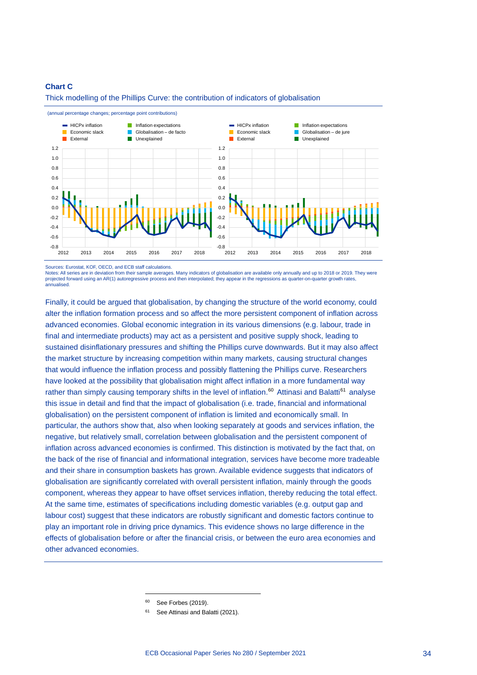#### **Chart C**



Thick modelling of the Phillips Curve: the contribution of indicators of globalisation

(annual percentage changes; percentage point contributions)

Sources: Eurostat, KOF, OECD, and ECB staff calculations.

Notes: All series are in deviation from their sample averages. Many indicators of globalisation are available only annually and up to 2018 or 2019. They were projected forward using an AR(1) autoregressive process and then interpolated; they appear in the regressions as quarter-on-quarter growth rates annualised.

Finally, it could be argued that globalisation, by changing the structure of the world economy, could alter the inflation formation process and so affect the more persistent component of inflation across advanced economies. Global economic integration in its various dimensions (e.g. labour, trade in final and intermediate products) may act as a persistent and positive supply shock, leading to sustained disinflationary pressures and shifting the Phillips curve downwards. But it may also affect the market structure by increasing competition within many markets, causing structural changes that would influence the inflation process and possibly flattening the Phillips curve. Researchers have looked at the possibility that globalisation might affect inflation in a more fundamental way rather than simply causing temporary shifts in the level of inflation.<sup>[60](#page-36-0)</sup> Attinasi and Balatti<sup>[61](#page-36-1)</sup> analyse this issue in detail and find that the impact of globalisation (i.e. trade, financial and informational globalisation) on the persistent component of inflation is limited and economically small. In particular, the authors show that, also when looking separately at goods and services inflation, the negative, but relatively small, correlation between globalisation and the persistent component of inflation across advanced economies is confirmed. This distinction is motivated by the fact that, on the back of the rise of financial and informational integration, services have become more tradeable and their share in consumption baskets has grown. Available evidence suggests that indicators of globalisation are significantly correlated with overall persistent inflation, mainly through the goods component, whereas they appear to have offset services inflation, thereby reducing the total effect. At the same time, estimates of specifications including domestic variables (e.g. output gap and labour cost) suggest that these indicators are robustly significant and domestic factors continue to play an important role in driving price dynamics. This evidence shows no large difference in the effects of globalisation before or after the financial crisis, or between the euro area economies and other advanced economies.

<sup>60</sup> See Forbes (2019).

<span id="page-36-1"></span><span id="page-36-0"></span><sup>&</sup>lt;sup>61</sup> See Attinasi and Balatti (2021).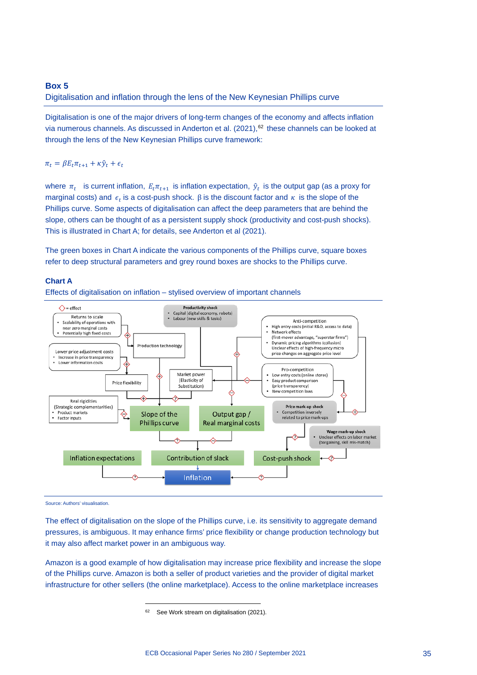## **Box 5**

Digitalisation and inflation through the lens of the New Keynesian Phillips curve

Digitalisation is one of the major drivers of long-term changes of the economy and affects inflation via numerous channels. As discussed in Anderton et al.  $(2021)$ ,  $62$  these channels can be looked at through the lens of the New Keynesian Phillips curve framework:

 $\pi_t = \beta E_t \pi_{t+1} + \kappa \hat{y}_t + \epsilon_t$ 

where  $\pi_t$  is current inflation,  $E_t \pi_{t+1}$  is inflation expectation,  $\hat{y}_t$  is the output gap (as a proxy for marginal costs) and  $\epsilon_t$  is a cost-push shock. β is the discount factor and  $\kappa$  is the slope of the Phillips curve. Some aspects of digitalisation can affect the deep parameters that are behind the slope, others can be thought of as a persistent supply shock (productivity and cost-push shocks). This is illustrated in Chart A; for details, see Anderton et al (2021).

The green boxes in Chart A indicate the various components of the Phillips curve, square boxes refer to deep structural parameters and grey round boxes are shocks to the Phillips curve.

## **Chart A**





Source: Authors' visualisation.

The effect of digitalisation on the slope of the Phillips curve, i.e. its sensitivity to aggregate demand pressures, is ambiguous. It may enhance firms' price flexibility or change production technology but it may also affect market power in an ambiguous way.

<span id="page-37-0"></span>Amazon is a good example of how digitalisation may increase price flexibility and increase the slope of the Phillips curve. Amazon is both a seller of product varieties and the provider of digital market infrastructure for other sellers (the online marketplace). Access to the online marketplace increases

<sup>&</sup>lt;sup>62</sup> See Work stream on digitalisation (2021).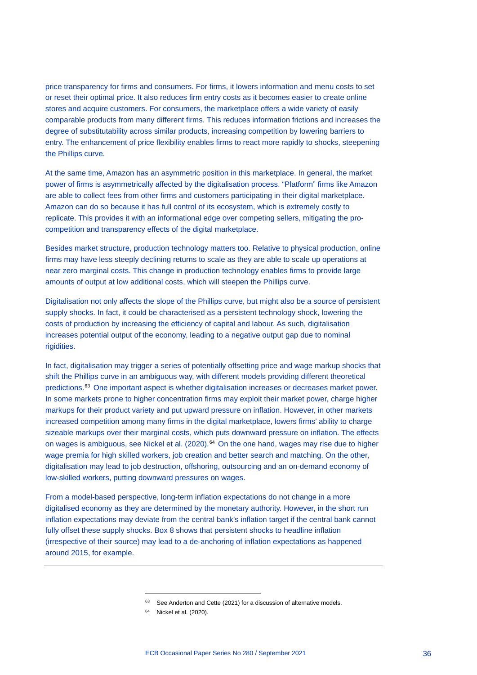price transparency for firms and consumers. For firms, it lowers information and menu costs to set or reset their optimal price. It also reduces firm entry costs as it becomes easier to create online stores and acquire customers. For consumers, the marketplace offers a wide variety of easily comparable products from many different firms. This reduces information frictions and increases the degree of substitutability across similar products, increasing competition by lowering barriers to entry. The enhancement of price flexibility enables firms to react more rapidly to shocks, steepening the Phillips curve.

At the same time, Amazon has an asymmetric position in this marketplace. In general, the market power of firms is asymmetrically affected by the digitalisation process. "Platform" firms like Amazon are able to collect fees from other firms and customers participating in their digital marketplace. Amazon can do so because it has full control of its ecosystem, which is extremely costly to replicate. This provides it with an informational edge over competing sellers, mitigating the procompetition and transparency effects of the digital marketplace.

Besides market structure, production technology matters too. Relative to physical production, online firms may have less steeply declining returns to scale as they are able to scale up operations at near zero marginal costs. This change in production technology enables firms to provide large amounts of output at low additional costs, which will steepen the Phillips curve.

Digitalisation not only affects the slope of the Phillips curve, but might also be a source of persistent supply shocks. In fact, it could be characterised as a persistent technology shock, lowering the costs of production by increasing the efficiency of capital and labour. As such, digitalisation increases potential output of the economy, leading to a negative output gap due to nominal rigidities.

In fact, digitalisation may trigger a series of potentially offsetting price and wage markup shocks that shift the Phillips curve in an ambiguous way, with different models providing different theoretical predictions.[63](#page-38-0) One important aspect is whether digitalisation increases or decreases market power. In some markets prone to higher concentration firms may exploit their market power, charge higher markups for their product variety and put upward pressure on inflation. However, in other markets increased competition among many firms in the digital marketplace, lowers firms' ability to charge sizeable markups over their marginal costs, which puts downward pressure on inflation. The effects on wages is ambiguous, see Nickel et al. (2020).<sup>[64](#page-38-1)</sup> On the one hand, wages may rise due to higher wage premia for high skilled workers, job creation and better search and matching. On the other, digitalisation may lead to job destruction, offshoring, outsourcing and an on-demand economy of low-skilled workers, putting downward pressures on wages.

<span id="page-38-1"></span><span id="page-38-0"></span>From a model-based perspective, long-term inflation expectations do not change in a more digitalised economy as they are determined by the monetary authority. However, in the short run inflation expectations may deviate from the central bank's inflation target if the central bank cannot fully offset these supply shocks. Box 8 shows that persistent shocks to headline inflation (irrespective of their source) may lead to a de-anchoring of inflation expectations as happened around 2015, for example.

 $63$  See Anderton and Cette (2021) for a discussion of alternative models.

<sup>64</sup> Nickel et al. (2020).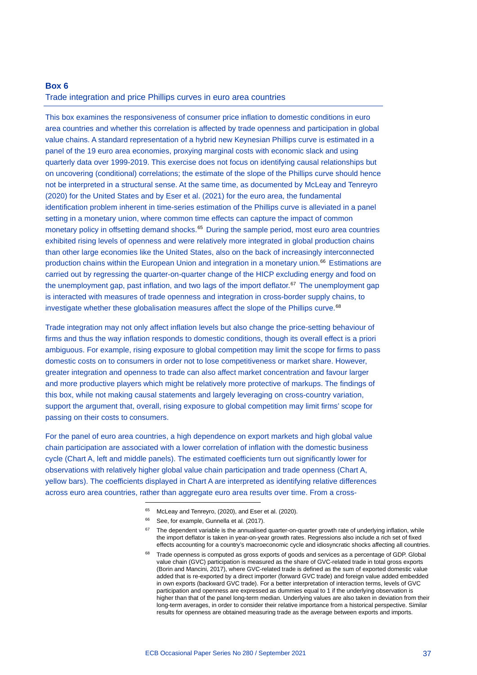# **Box 6** Trade integration and price Phillips curves in euro area countries

This box examines the responsiveness of consumer price inflation to domestic conditions in euro area countries and whether this correlation is affected by trade openness and participation in global value chains. A standard representation of a hybrid new Keynesian Phillips curve is estimated in a panel of the 19 euro area economies, proxying marginal costs with economic slack and using quarterly data over 1999-2019. This exercise does not focus on identifying causal relationships but on uncovering (conditional) correlations; the estimate of the slope of the Phillips curve should hence not be interpreted in a structural sense. At the same time, as documented by McLeay and Tenreyro (2020) for the United States and by Eser et al. (2021) for the euro area, the fundamental identification problem inherent in time-series estimation of the Phillips curve is alleviated in a panel setting in a monetary union, where common time effects can capture the impact of common monetary policy in offsetting demand shocks.<sup>[65](#page-39-0)</sup> During the sample period, most euro area countries exhibited rising levels of openness and were relatively more integrated in global production chains than other large economies like the United States, also on the back of increasingly interconnected production chains within the European Union and integration in a monetary union.[66](#page-39-1) Estimations are carried out by regressing the quarter-on-quarter change of the HICP excluding energy and food on the unemployment gap, past inflation, and two lags of the import deflator.<sup>[67](#page-39-2)</sup> The unemployment gap is interacted with measures of trade openness and integration in cross-border supply chains, to investigate whether these globalisation measures affect the slope of the Phillips curve.<sup>[68](#page-39-3)</sup>

Trade integration may not only affect inflation levels but also change the price-setting behaviour of firms and thus the way inflation responds to domestic conditions, though its overall effect is a priori ambiguous. For example, rising exposure to global competition may limit the scope for firms to pass domestic costs on to consumers in order not to lose competitiveness or market share. However, greater integration and openness to trade can also affect market concentration and favour larger and more productive players which might be relatively more protective of markups. The findings of this box, while not making causal statements and largely leveraging on cross-country variation, support the argument that, overall, rising exposure to global competition may limit firms' scope for passing on their costs to consumers.

<span id="page-39-3"></span><span id="page-39-2"></span><span id="page-39-1"></span><span id="page-39-0"></span>For the panel of euro area countries, a high dependence on export markets and high global value chain participation are associated with a lower correlation of inflation with the domestic business cycle (Chart A, left and middle panels). The estimated coefficients turn out significantly lower for observations with relatively higher global value chain participation and trade openness (Chart A, yellow bars). The coefficients displayed in Chart A are interpreted as identifying relative differences across euro area countries, rather than aggregate euro area results over time. From a cross-

- <sup>65</sup> McLeay and Tenreyro, (2020), and Eser et al. (2020).
- <sup>66</sup> See, for example, Gunnella et al. (2017).
- $67$  The dependent variable is the annualised quarter-on-quarter growth rate of underlying inflation, while the import deflator is taken in year-on-year growth rates. Regressions also include a rich set of fixed effects accounting for a country's macroeconomic cycle and idiosyncratic shocks affecting all countries.
- 68 Trade openness is computed as gross exports of goods and services as a percentage of GDP. Global value chain (GVC) participation is measured as the share of GVC-related trade in total gross exports (Borin and Mancini, 2017), where GVC-related trade is defined as the sum of exported domestic value added that is re-exported by a direct importer (forward GVC trade) and foreign value added embedded in own exports (backward GVC trade). For a better interpretation of interaction terms, levels of GVC participation and openness are expressed as dummies equal to 1 if the underlying observation is higher than that of the panel long-term median. Underlying values are also taken in deviation from their long-term averages, in order to consider their relative importance from a historical perspective. Similar results for openness are obtained measuring trade as the average between exports and imports.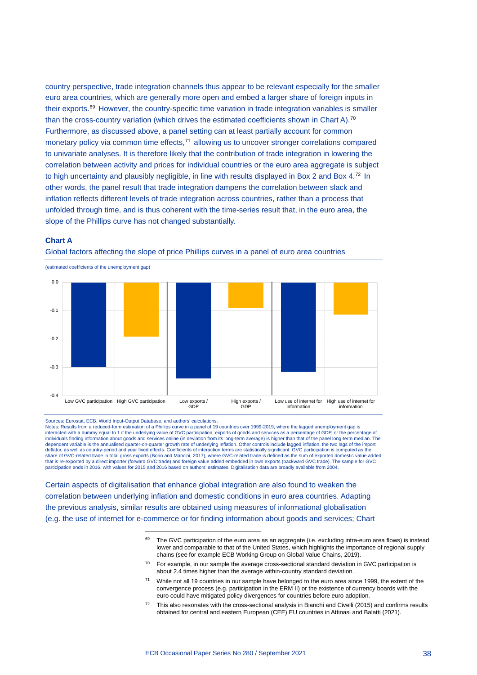country perspective, trade integration channels thus appear to be relevant especially for the smaller euro area countries, which are generally more open and embed a larger share of foreign inputs in their exports.[69](#page-40-0) However, the country-specific time variation in trade integration variables is smaller than the cross-country variation (which drives the estimated coefficients shown in Chart A).<sup>[70](#page-40-1)</sup> Furthermore, as discussed above, a panel setting can at least partially account for common monetary policy via common time effects,<sup>[71](#page-40-2)</sup> allowing us to uncover stronger correlations compared to univariate analyses. It is therefore likely that the contribution of trade integration in lowering the correlation between activity and prices for individual countries or the euro area aggregate is subject to high uncertainty and plausibly negligible, in line with results displayed in Box 2 and Box 4.[72](#page-40-3) In other words, the panel result that trade integration dampens the correlation between slack and inflation reflects different levels of trade integration across countries, rather than a process that unfolded through time, and is thus coherent with the time-series result that, in the euro area, the slope of the Phillips curve has not changed substantially.

#### **Chart A**



Global factors affecting the slope of price Phillips curves in a panel of euro area countries

Sources: Eurostat, ECB, World Input-Output Database, and authors' calculations.

Notes: Results from a reduced-form estimation of a Phillips curve in a panel of 19 countries over 1999-2019, where the lagged unemployment gap is<br>interacted with a dummy equal to 1 if the underlying value of GVC participat dependent variable is the annualised quarter-on-quarter growth rate of underlying inflation. Other controls include lagged inflation, the two lags of the import deflator, as well as country-period and year fixed effects. Coefficients of interaction terms are statistically significant. GVC participation is computed as the share of GVC-related trade in total gross exports (Borin and Mancini, 2017), where GVC-related trade is defined as the sum of exported domestic value added<br>that is re-exported by a direct importer (forward GVC trade) and f participation ends in 2016, with values for 2015 and 2016 based on authors' estimates. Digitalisation data are broadly available from 2004.

<span id="page-40-3"></span><span id="page-40-2"></span><span id="page-40-1"></span><span id="page-40-0"></span>Certain aspects of digitalisation that enhance global integration are also found to weaken the correlation between underlying inflation and domestic conditions in euro area countries. Adapting the previous analysis, similar results are obtained using measures of informational globalisation (e.g. the use of internet for e-commerce or for finding information about goods and services; Chart

- While not all 19 countries in our sample have belonged to the euro area since 1999, the extent of the convergence process (e.g. participation in the ERM II) or the existence of currency boards with the euro could have mitigated policy divergences for countries before euro adoption.
- $72$  This also resonates with the cross-sectional analysis in Bianchi and Civelli (2015) and confirms results obtained for central and eastern European (CEE) EU countries in Attinasi and Balatti (2021).

<sup>&</sup>lt;sup>69</sup> The GVC participation of the euro area as an aggregate (i.e. excluding intra-euro area flows) is instead lower and comparable to that of the United States, which highlights the importance of regional supply chains (see for example ECB Working Group on Global Value Chains, 2019).

<sup>&</sup>lt;sup>70</sup> For example, in our sample the average cross-sectional standard deviation in GVC participation is about 2.4 times higher than the average within-country standard deviation.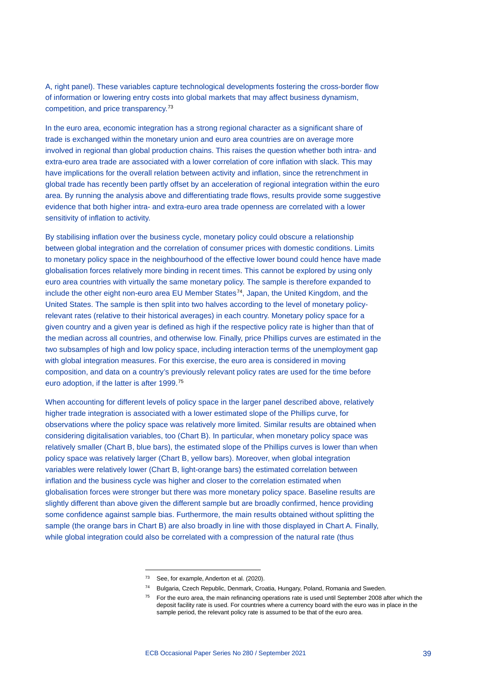A, right panel). These variables capture technological developments fostering the cross-border flow of information or lowering entry costs into global markets that may affect business dynamism, competition, and price transparency.[73](#page-41-0)

In the euro area, economic integration has a strong regional character as a significant share of trade is exchanged within the monetary union and euro area countries are on average more involved in regional than global production chains. This raises the question whether both intra- and extra-euro area trade are associated with a lower correlation of core inflation with slack. This may have implications for the overall relation between activity and inflation, since the retrenchment in global trade has recently been partly offset by an acceleration of regional integration within the euro area. By running the analysis above and differentiating trade flows, results provide some suggestive evidence that both higher intra- and extra-euro area trade openness are correlated with a lower sensitivity of inflation to activity.

By stabilising inflation over the business cycle, monetary policy could obscure a relationship between global integration and the correlation of consumer prices with domestic conditions. Limits to monetary policy space in the neighbourhood of the effective lower bound could hence have made globalisation forces relatively more binding in recent times. This cannot be explored by using only euro area countries with virtually the same monetary policy. The sample is therefore expanded to include the other eight non-euro area EU Member States<sup>74</sup>, Japan, the United Kingdom, and the United States. The sample is then split into two halves according to the level of monetary policyrelevant rates (relative to their historical averages) in each country. Monetary policy space for a given country and a given year is defined as high if the respective policy rate is higher than that of the median across all countries, and otherwise low. Finally, price Phillips curves are estimated in the two subsamples of high and low policy space, including interaction terms of the unemployment gap with global integration measures. For this exercise, the euro area is considered in moving composition, and data on a country's previously relevant policy rates are used for the time before euro adoption, if the latter is after 1999.[75](#page-41-2)

When accounting for different levels of policy space in the larger panel described above, relatively higher trade integration is associated with a lower estimated slope of the Phillips curve, for observations where the policy space was relatively more limited. Similar results are obtained when considering digitalisation variables, too (Chart B). In particular, when monetary policy space was relatively smaller (Chart B, blue bars), the estimated slope of the Phillips curves is lower than when policy space was relatively larger (Chart B, yellow bars). Moreover, when global integration variables were relatively lower (Chart B, light-orange bars) the estimated correlation between inflation and the business cycle was higher and closer to the correlation estimated when globalisation forces were stronger but there was more monetary policy space. Baseline results are slightly different than above given the different sample but are broadly confirmed, hence providing some confidence against sample bias. Furthermore, the main results obtained without splitting the sample (the orange bars in Chart B) are also broadly in line with those displayed in Chart A. Finally, while global integration could also be correlated with a compression of the natural rate (thus

<sup>&</sup>lt;sup>73</sup> See, for example, Anderton et al. (2020).

<span id="page-41-2"></span><span id="page-41-1"></span><span id="page-41-0"></span><sup>74</sup> Bulgaria, Czech Republic, Denmark, Croatia, Hungary, Poland, Romania and Sweden.

<sup>&</sup>lt;sup>75</sup> For the euro area, the main refinancing operations rate is used until September 2008 after which the deposit facility rate is used. For countries where a currency board with the euro was in place in the sample period, the relevant policy rate is assumed to be that of the euro area.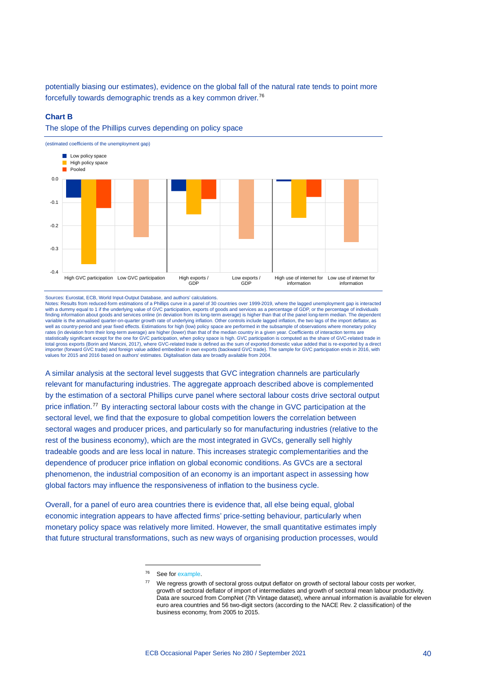potentially biasing our estimates), evidence on the global fall of the natural rate tends to point more forcefully towards demographic trends as a key common driver.[76](#page-42-0)

#### **Chart B**





Sources: Eurostat, ECB, World Input-Output Database, and authors' calculations.

Notes: Results from reduced-form estimations of a Phillips curve in a panel of 30 countries over 1999-2019, where the lagged unemployment gap is interacted<br>with a dummy equal to 1 if the underlying value of GVC participati finding information about goods and services online (in deviation from its long-term average) is higher than that of the panel long-term median. The dependent variable is the annualised quarter-on-quarter growth rate of underlying inflation. Other controls include lagged inflation, the two lags of the import deflator, as<br>well as country-period and year fixed effects. Estimations rates (in deviation from their long-term average) are higher (lower) than that of the median country in a given year. Coefficients of interaction terms are<br>statistically significant except for the one for GVC participation total gross exports (Borin and Mancini, 2017), where GVC-related trade is defined as the sum of exported domestic value added that is re-exported by a direct importer (forward GVC trade) and foreign value added embedded in own exports (backward GVC trade). The sample for GVC participation ends in 2016, with<br>values for 2015 and 2016 based on authors' estimates. Digitalisation da

A similar analysis at the sectoral level suggests that GVC integration channels are particularly relevant for manufacturing industries. The aggregate approach described above is complemented by the estimation of a sectoral Phillips curve panel where sectoral labour costs drive sectoral output price inflation.<sup>[77](#page-42-1)</sup> By interacting sectoral labour costs with the change in GVC participation at the sectoral level, we find that the exposure to global competition lowers the correlation between sectoral wages and producer prices, and particularly so for manufacturing industries (relative to the rest of the business economy), which are the most integrated in GVCs, generally sell highly tradeable goods and are less local in nature. This increases strategic complementarities and the dependence of producer price inflation on global economic conditions. As GVCs are a sectoral phenomenon, the industrial composition of an economy is an important aspect in assessing how global factors may influence the responsiveness of inflation to the business cycle.

<span id="page-42-1"></span><span id="page-42-0"></span>Overall, for a panel of euro area countries there is evidence that, all else being equal, global economic integration appears to have affected firms' price-setting behaviour, particularly when monetary policy space was relatively more limited. However, the small quantitative estimates imply that future structural transformations, such as new ways of organising production processes, would

<sup>76</sup> See for [example.](https://www.ecb.europa.eu/press/key/date/2021/html/ecb.sp210426%7E0ac9c74462.en.html)

<sup>77</sup> We regress growth of sectoral gross output deflator on growth of sectoral labour costs per worker, growth of sectoral deflator of import of intermediates and growth of sectoral mean labour productivity. Data are sourced from CompNet (7th Vintage dataset), where annual information is available for eleven euro area countries and 56 two-digit sectors (according to the NACE Rev. 2 classification) of the business economy, from 2005 to 2015.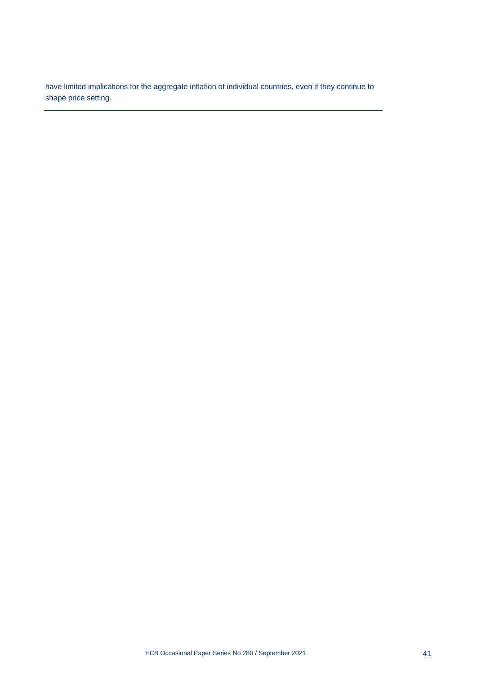have limited implications for the aggregate inflation of individual countries, even if they continue to shape price setting.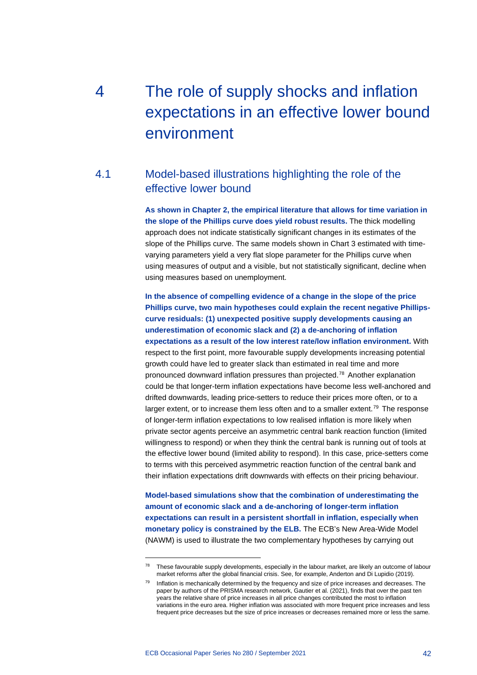# 4 The role of supply shocks and inflation expectations in an effective lower bound environment

# 4.1 Model-based illustrations highlighting the role of the effective lower bound

**As shown in Chapter 2, the empirical literature that allows for time variation in the slope of the Phillips curve does yield robust results.** The thick modelling approach does not indicate statistically significant changes in its estimates of the slope of the Phillips curve. The same models shown in Chart 3 estimated with timevarying parameters yield a very flat slope parameter for the Phillips curve when using measures of output and a visible, but not statistically significant, decline when using measures based on unemployment.

**In the absence of compelling evidence of a change in the slope of the price Phillips curve, two main hypotheses could explain the recent negative Phillipscurve residuals: (1) unexpected positive supply developments causing an underestimation of economic slack and (2) a de-anchoring of inflation expectations as a result of the low interest rate/low inflation environment.** With respect to the first point, more favourable supply developments increasing potential growth could have led to greater slack than estimated in real time and more pronounced downward inflation pressures than projected.[78](#page-44-0) Another explanation could be that longer-term inflation expectations have become less well-anchored and drifted downwards, leading price-setters to reduce their prices more often, or to a larger extent, or to increase them less often and to a smaller extent.<sup>[79](#page-44-1)</sup> The response of longer-term inflation expectations to low realised inflation is more likely when private sector agents perceive an asymmetric central bank reaction function (limited willingness to respond) or when they think the central bank is running out of tools at the effective lower bound (limited ability to respond). In this case, price-setters come to terms with this perceived asymmetric reaction function of the central bank and their inflation expectations drift downwards with effects on their pricing behaviour.

**Model-based simulations show that the combination of underestimating the amount of economic slack and a de-anchoring of longer-term inflation expectations can result in a persistent shortfall in inflation, especially when monetary policy is constrained by the ELB.** The ECB's New Area-Wide Model (NAWM) is used to illustrate the two complementary hypotheses by carrying out

<span id="page-44-0"></span><sup>&</sup>lt;sup>78</sup> These favourable supply developments, especially in the labour market, are likely an outcome of labour market reforms after the global financial crisis. See, for example, Anderton and Di Lupidio (2019).

<span id="page-44-1"></span> $79$  Inflation is mechanically determined by the frequency and size of price increases and decreases. The paper by authors of the PRISMA research network, Gautier et al. (2021), finds that over the past ten years the relative share of price increases in all price changes contributed the most to inflation variations in the euro area. Higher inflation was associated with more frequent price increases and less frequent price decreases but the size of price increases or decreases remained more or less the same.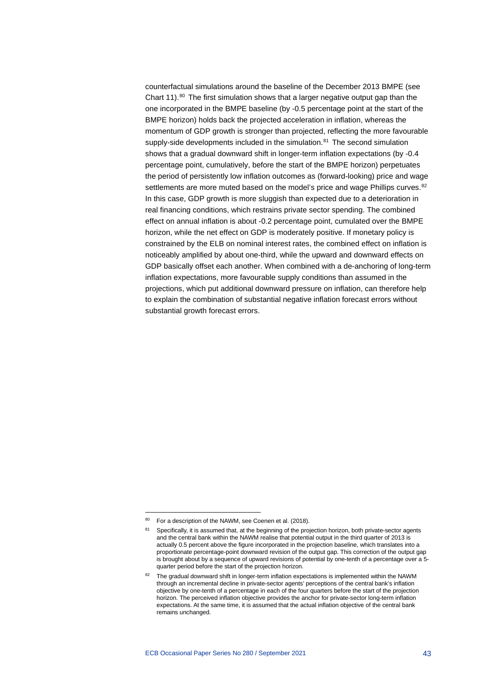counterfactual simulations around the baseline of the December 2013 BMPE (see Chart 11). $80$  The first simulation shows that a larger negative output gap than the one incorporated in the BMPE baseline (by -0.5 percentage point at the start of the BMPE horizon) holds back the projected acceleration in inflation, whereas the momentum of GDP growth is stronger than projected, reflecting the more favourable supply-side developments included in the simulation.<sup>[81](#page-45-1)</sup> The second simulation shows that a gradual downward shift in longer-term inflation expectations (by -0.4 percentage point, cumulatively, before the start of the BMPE horizon) perpetuates the period of persistently low inflation outcomes as (forward-looking) price and wage settlements are more muted based on the model's price and wage Phillips curves.<sup>[82](#page-45-2)</sup> In this case, GDP growth is more sluggish than expected due to a deterioration in real financing conditions, which restrains private sector spending. The combined effect on annual inflation is about -0.2 percentage point, cumulated over the BMPE horizon, while the net effect on GDP is moderately positive. If monetary policy is constrained by the ELB on nominal interest rates, the combined effect on inflation is noticeably amplified by about one-third, while the upward and downward effects on GDP basically offset each another. When combined with a de-anchoring of long-term inflation expectations, more favourable supply conditions than assumed in the projections, which put additional downward pressure on inflation, can therefore help to explain the combination of substantial negative inflation forecast errors without substantial growth forecast errors.

<span id="page-45-1"></span><span id="page-45-0"></span><sup>80</sup> For a description of the NAWM, see Coenen et al. (2018).

<sup>81</sup> Specifically, it is assumed that, at the beginning of the projection horizon, both private-sector agents and the central bank within the NAWM realise that potential output in the third quarter of 2013 is actually 0.5 percent above the figure incorporated in the projection baseline, which translates into a proportionate percentage-point downward revision of the output gap. This correction of the output gap is brought about by a sequence of upward revisions of potential by one-tenth of a percentage over a 5 quarter period before the start of the projection horizon.

<span id="page-45-2"></span><sup>&</sup>lt;sup>82</sup> The gradual downward shift in longer-term inflation expectations is implemented within the NAWM through an incremental decline in private-sector agents' perceptions of the central bank's inflation objective by one-tenth of a percentage in each of the four quarters before the start of the projection horizon. The perceived inflation objective provides the anchor for private-sector long-term inflation expectations. At the same time, it is assumed that the actual inflation objective of the central bank remains unchanged.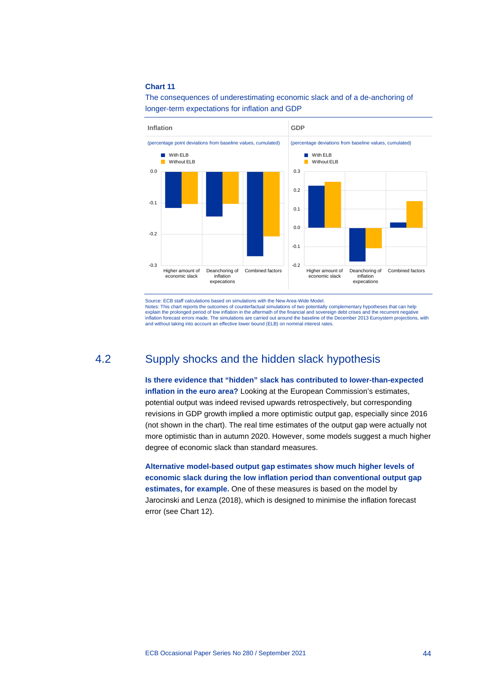#### **Chart 11**

The consequences of underestimating economic slack and of a de-anchoring of longer-term expectations for inflation and GDP



Source: ECB staff calculations based on simulations with the New Area-Wide Model.<br>Notes: This chart reports the outcomes of counterfactual simulations of two potentially complementary hypotheses that can help Notes: This chart reports the outcomes of counterfactual simulations of two potentially complementary hypotheses that can help<br>explain the prolonged period of low inflation in the aftermath of the financial and sovereign d and without taking into account an effective lower bound (ELB) on nominal interest rates.

# 4.2 Supply shocks and the hidden slack hypothesis

**Is there evidence that "hidden" slack has contributed to lower-than-expected inflation in the euro area?** Looking at the European Commission's estimates, potential output was indeed revised upwards retrospectively, but corresponding revisions in GDP growth implied a more optimistic output gap, especially since 2016 (not shown in the chart). The real time estimates of the output gap were actually not more optimistic than in autumn 2020. However, some models suggest a much higher degree of economic slack than standard measures.

**Alternative model-based output gap estimates show much higher levels of economic slack during the low inflation period than conventional output gap estimates, for example.** One of these measures is based on the model by Jarocinski and Lenza (2018), which is designed to minimise the inflation forecast error (see Chart 12).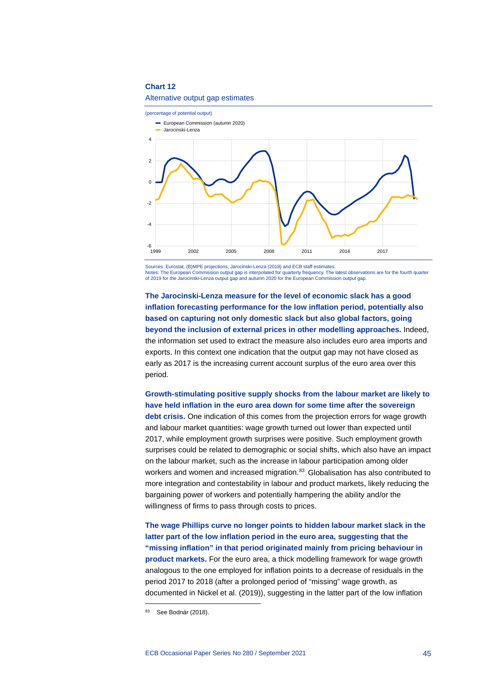#### **Chart 12**

### Alternative output gap estimates



Sources: Eurostat, (B)MPE projections, Jarocinski-Lenza (2018) and ECB staff estimates. Notes: The European Commission output gap is interpolated for quarterly frequency. The latest observations are for the fourth quarter of 2019 for the Jarocinski-Lenza output gap and autumn 2020 for the European Commission output gap.

**The Jarocinski-Lenza measure for the level of economic slack has a good inflation forecasting performance for the low inflation period, potentially also based on capturing not only domestic slack but also global factors, going beyond the inclusion of external prices in other modelling approaches.** Indeed, the information set used to extract the measure also includes euro area imports and exports. In this context one indication that the output gap may not have closed as early as 2017 is the increasing current account surplus of the euro area over this period.

**Growth-stimulating positive supply shocks from the labour market are likely to have held inflation in the euro area down for some time after the sovereign debt crisis.** One indication of this comes from the projection errors for wage growth and labour market quantities: wage growth turned out lower than expected until 2017, while employment growth surprises were positive. Such employment growth surprises could be related to demographic or social shifts, which also have an impact on the labour market, such as the increase in labour participation among older workers and women and increased migration.<sup>[83](#page-47-0)</sup> Globalisation has also contributed to more integration and contestability in labour and product markets, likely reducing the bargaining power of workers and potentially hampering the ability and/or the willingness of firms to pass through costs to prices.

**The wage Phillips curve no longer points to hidden labour market slack in the latter part of the low inflation period in the euro area, suggesting that the "missing inflation" in that period originated mainly from pricing behaviour in product markets.** For the euro area, a thick modelling framework for wage growth analogous to the one employed for inflation points to a decrease of residuals in the period 2017 to 2018 (after a prolonged period of "missing" wage growth, as documented in Nickel et al. (2019)), suggesting in the latter part of the low inflation

<span id="page-47-0"></span><sup>83</sup> See Bodnár (2018).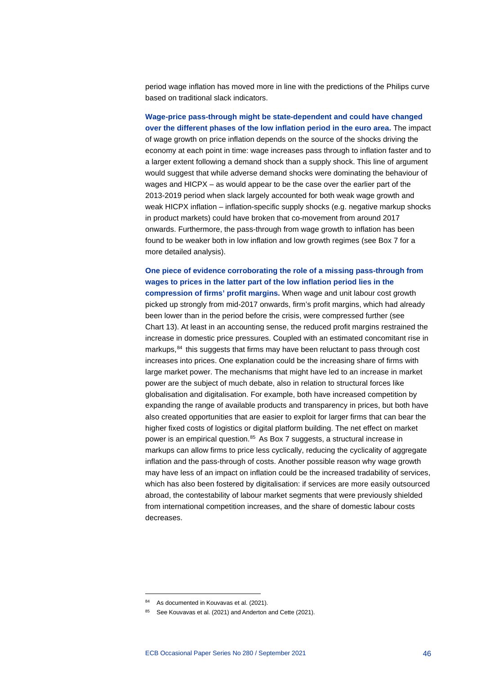period wage inflation has moved more in line with the predictions of the Philips curve based on traditional slack indicators.

**Wage-price pass-through might be state-dependent and could have changed over the different phases of the low inflation period in the euro area.** The impact of wage growth on price inflation depends on the source of the shocks driving the economy at each point in time: wage increases pass through to inflation faster and to a larger extent following a demand shock than a supply shock. This line of argument would suggest that while adverse demand shocks were dominating the behaviour of wages and HICPX – as would appear to be the case over the earlier part of the 2013-2019 period when slack largely accounted for both weak wage growth and weak HICPX inflation – inflation-specific supply shocks (e.g. negative markup shocks in product markets) could have broken that co-movement from around 2017 onwards. Furthermore, the pass-through from wage growth to inflation has been found to be weaker both in low inflation and low growth regimes (see Box 7 for a more detailed analysis).

**One piece of evidence corroborating the role of a missing pass-through from wages to prices in the latter part of the low inflation period lies in the compression of firms' profit margins.** When wage and unit labour cost growth picked up strongly from mid-2017 onwards, firm's profit margins, which had already been lower than in the period before the crisis, were compressed further (see Chart 13). At least in an accounting sense, the reduced profit margins restrained the increase in domestic price pressures. Coupled with an estimated concomitant rise in markups, [84](#page-48-0) this suggests that firms may have been reluctant to pass through cost increases into prices. One explanation could be the increasing share of firms with large market power. The mechanisms that might have led to an increase in market power are the subject of much debate, also in relation to structural forces like globalisation and digitalisation. For example, both have increased competition by expanding the range of available products and transparency in prices, but both have also created opportunities that are easier to exploit for larger firms that can bear the higher fixed costs of logistics or digital platform building. The net effect on market power is an empirical question.<sup>[85](#page-48-1)</sup> As Box 7 suggests, a structural increase in markups can allow firms to price less cyclically, reducing the cyclicality of aggregate inflation and the pass-through of costs. Another possible reason why wage growth may have less of an impact on inflation could be the increased tradability of services, which has also been fostered by digitalisation: if services are more easily outsourced abroad, the contestability of labour market segments that were previously shielded from international competition increases, and the share of domestic labour costs decreases.

<sup>84</sup> As documented in Kouvavas et al. (2021).

<span id="page-48-1"></span><span id="page-48-0"></span><sup>85</sup> See Kouvavas et al. (2021) and Anderton and Cette (2021).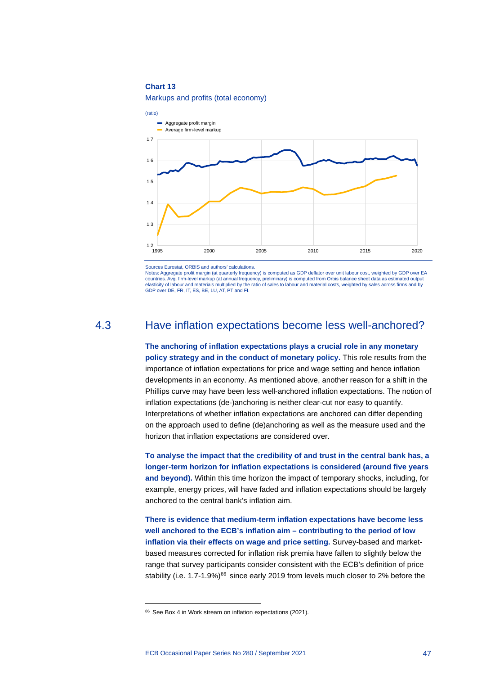#### **Chart 13**



Markups and profits (total economy)

Sources Eurostat, ORBIS and authors' calculations.

Notes: Aggregate profit margin (at quarterly frequency) is computed as GDP deflator over unit labour cost, weighted by GDP over EA countries. Avg. firm-level markup (at annual frequency, preliminary) is computed from Orbis balance sheet data as estimated output elasticity of labour and materials multiplied by the ratio of sales to labour and material costs, weighted by sales across firms and by GDP over DE, FR, IT, ES, BE, LU, AT, PT and FI.

# 4.3 Have inflation expectations become less well-anchored?

**The anchoring of inflation expectations plays a crucial role in any monetary policy strategy and in the conduct of monetary policy.** This role results from the importance of inflation expectations for price and wage setting and hence inflation developments in an economy. As mentioned above, another reason for a shift in the Phillips curve may have been less well-anchored inflation expectations. The notion of inflation expectations (de-)anchoring is neither clear-cut nor easy to quantify. Interpretations of whether inflation expectations are anchored can differ depending on the approach used to define (de)anchoring as well as the measure used and the horizon that inflation expectations are considered over.

**To analyse the impact that the credibility of and trust in the central bank has, a longer-term horizon for inflation expectations is considered (around five years and beyond).** Within this time horizon the impact of temporary shocks, including, for example, energy prices, will have faded and inflation expectations should be largely anchored to the central bank's inflation aim.

**There is evidence that medium-term inflation expectations have become less well anchored to the ECB's inflation aim – contributing to the period of low inflation via their effects on wage and price setting.** Survey-based and marketbased measures corrected for inflation risk premia have fallen to slightly below the range that survey participants consider consistent with the ECB's definition of price stability (i.e.  $1.7-1.9\%$ )<sup>[86](#page-49-0)</sup> since early 2019 from levels much closer to 2% before the

<span id="page-49-0"></span><sup>86</sup> See Box 4 in Work stream on inflation expectations (2021).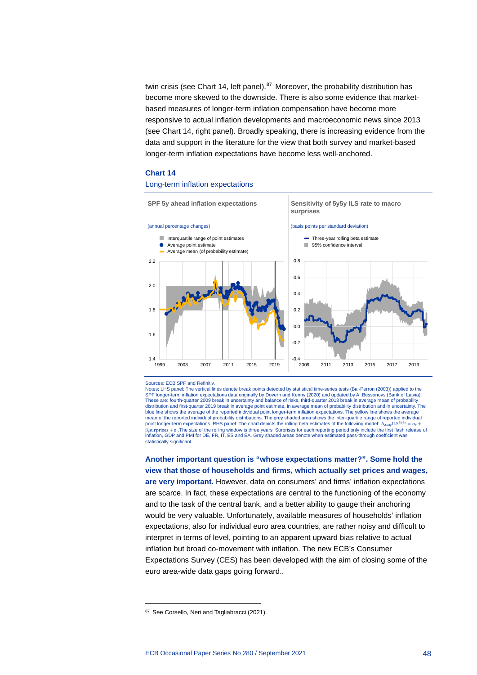twin crisis (see Chart 14, left panel).<sup>[87](#page-50-0)</sup> Moreover, the probability distribution has become more skewed to the downside. There is also some evidence that marketbased measures of longer-term inflation compensation have become more responsive to actual inflation developments and macroeconomic news since 2013 (see Chart 14, right panel). Broadly speaking, there is increasing evidence from the data and support in the literature for the view that both survey and market-based longer-term inflation expectations have become less well-anchored.

#### **Chart 14**

#### Long-term inflation expectations



#### Sources: ECB SPF and Refinitiv.

Notes: LHS panel: The vertical lines denote break points detected by statistical time-series tests (Bai-Perron (2003)) applied to the SPF longer-term inflation expectations data originally by Dovern and Kenny (2020) and updated by A. Bessonovs (Bank of Latvia).<br>These are: fourth-quarter 2009 break in uncertainty and balance of risks, third-quarter 2013 b distribution and first-quarter 2019 break in average point estimate, in average mean of probability distribution and in uncertainty. The<br>blue line shows the average of the reported individual point longer-term inflation ex mean of the reported individual probability distributions. The grey shaded area shows the inter-quartile range of reported individual point longer-term expectations. RHS panel: The chart depicts the rolling beta estimates of the following model:  $\Delta_{\text{daily}}$ ILS<sup>5y5y</sup> =  $\alpha_t$  +  $β$ <sub>t</sub>surprises + ε<sub>t</sub>. The size of the rolling window is three years. Surprises for each reporting period only include the first flash release of inflation, GDP and PMI for DE, FR, IT, ES and EA. Grey shaded areas denote when estimated pass-through coefficient was statistically significant.

**Another important question is "whose expectations matter?". Some hold the view that those of households and firms, which actually set prices and wages, are very important.** However, data on consumers' and firms' inflation expectations are scarce. In fact, these expectations are central to the functioning of the economy and to the task of the central bank, and a better ability to gauge their anchoring would be very valuable. Unfortunately, available measures of households' inflation expectations, also for individual euro area countries, are rather noisy and difficult to interpret in terms of level, pointing to an apparent upward bias relative to actual inflation but broad co-movement with inflation. The new ECB's Consumer Expectations Survey (CES) has been developed with the aim of closing some of the euro area-wide data gaps going forward..

<span id="page-50-0"></span><sup>87</sup> See Corsello, Neri and Tagliabracci (2021).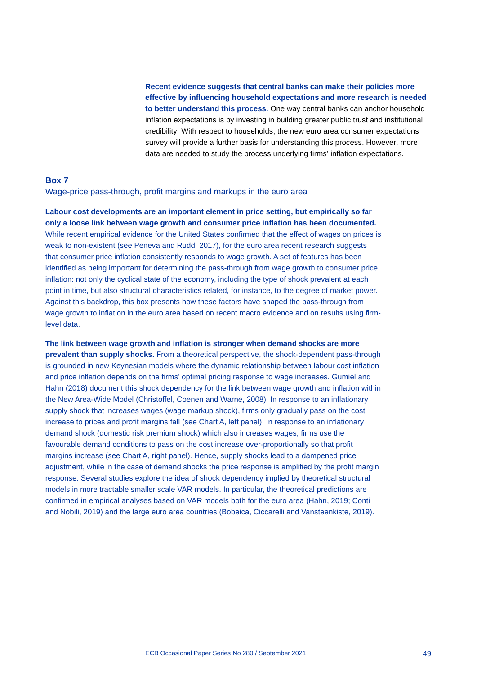**Recent evidence suggests that central banks can make their policies more effective by influencing household expectations and more research is needed to better understand this process.** One way central banks can anchor household inflation expectations is by investing in building greater public trust and institutional credibility. With respect to households, the new euro area consumer expectations survey will provide a further basis for understanding this process. However, more data are needed to study the process underlying firms' inflation expectations.

# **Box 7** Wage-price pass-through, profit margins and markups in the euro area

**Labour cost developments are an important element in price setting, but empirically so far only a loose link between wage growth and consumer price inflation has been documented.** While recent empirical evidence for the United States confirmed that the effect of wages on prices is weak to non-existent (see Peneva and Rudd, 2017), for the euro area recent research suggests that consumer price inflation consistently responds to wage growth. A set of features has been identified as being important for determining the pass-through from wage growth to consumer price inflation: not only the cyclical state of the economy, including the type of shock prevalent at each point in time, but also structural characteristics related, for instance, to the degree of market power. Against this backdrop, this box presents how these factors have shaped the pass-through from wage growth to inflation in the euro area based on recent macro evidence and on results using firmlevel data.

**The link between wage growth and inflation is stronger when demand shocks are more prevalent than supply shocks.** From a theoretical perspective, the shock-dependent pass-through is grounded in new Keynesian models where the dynamic relationship between labour cost inflation and price inflation depends on the firms' optimal pricing response to wage increases. Gumiel and Hahn (2018) document this shock dependency for the link between wage growth and inflation within the New Area-Wide Model (Christoffel, Coenen and Warne, 2008). In response to an inflationary supply shock that increases wages (wage markup shock), firms only gradually pass on the cost increase to prices and profit margins fall (see Chart A, left panel). In response to an inflationary demand shock (domestic risk premium shock) which also increases wages, firms use the favourable demand conditions to pass on the cost increase over-proportionally so that profit margins increase (see Chart A, right panel). Hence, supply shocks lead to a dampened price adjustment, while in the case of demand shocks the price response is amplified by the profit margin response. Several studies explore the idea of shock dependency implied by theoretical structural models in more tractable smaller scale VAR models. In particular, the theoretical predictions are confirmed in empirical analyses based on VAR models both for the euro area (Hahn, 2019; Conti and Nobili, 2019) and the large euro area countries (Bobeica, Ciccarelli and Vansteenkiste, 2019).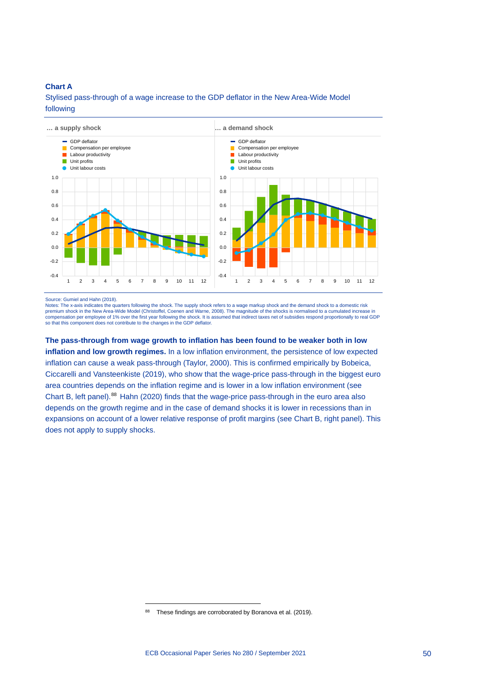## **Chart A**

Stylised pass-through of a wage increase to the GDP deflator in the New Area-Wide Model following



Source: Gumiel and Hahn (2018).

Notes: The x-axis indicates the quarters following the shock. The supply shock refers to a wage markup shock and the demand shock to a domestic risk premium shock in the New Area-Wide Model (Christoffel, Coenen and Warne, 2008). The magnitude of the shocks is normalised to a cumulated increase in<br>compensation per employee of 1% over the first year following the shock. so that this component does not contribute to the changes in the GDP deflator.

**The pass-through from wage growth to inflation has been found to be weaker both in low inflation and low growth regimes.** In a low inflation environment, the persistence of low expected inflation can cause a weak pass-through (Taylor, 2000). This is confirmed empirically by Bobeica, Ciccarelli and Vansteenkiste (2019), who show that the wage-price pass-through in the biggest euro area countries depends on the inflation regime and is lower in a low inflation environment (see Chart B, left panel).[88](#page-52-0) Hahn (2020) finds that the wage-price pass-through in the euro area also depends on the growth regime and in the case of demand shocks it is lower in recessions than in expansions on account of a lower relative response of profit margins (see Chart B, right panel). This does not apply to supply shocks.

<span id="page-52-0"></span><sup>88</sup> These findings are corroborated by Boranova et al. (2019).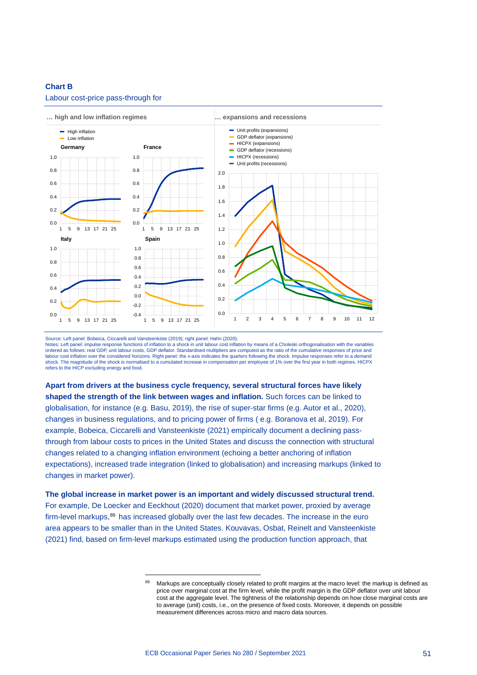#### **Chart B**



#### Labour cost-price pass-through for

Source: Left panel: Bobeica, Ciccarelli and Vansteenkiste (2019); right panel: Hahn (2020).<br>Notes: Left panel: impulse response functions of inflation to a shock in unit labour cost inflation by means of a Choleski orthogo ordered as follows: real GDP, unit labour costs, GDP deflator. Standardised multipliers are computed as the ratio of the cumulative responses of price and labour cost inflation over the considered horizons. Right panel: the x-axis indicates the quarters following the shock. Impulse responses refer to a demand shock. The magnitude of the shock is normalised to a cumulated increase in compensation per employee of 1% over the first year in both regimes. HICPX refers to the HICP excluding energy and food.

**Apart from drivers at the business cycle frequency, several structural forces have likely shaped the strength of the link between wages and inflation.** Such forces can be linked to globalisation, for instance (e.g. Basu, 2019), the rise of super-star firms (e.g. Autor et al., 2020), changes in business regulations, and to pricing power of firms ( e.g. Boranova et al, 2019). For example, Bobeica, Ciccarelli and Vansteenkiste (2021) empirically document a declining passthrough from labour costs to prices in the United States and discuss the connection with structural changes related to a changing inflation environment (echoing a better anchoring of inflation expectations), increased trade integration (linked to globalisation) and increasing markups (linked to changes in market power).

<span id="page-53-0"></span>**The global increase in market power is an important and widely discussed structural trend.** For example, De Loecker and Eeckhout (2020) document that market power, proxied by average firm-level markups,<sup>89</sup> has increased globally over the last few decades. The increase in the euro area appears to be smaller than in the United States. Kouvavas, Osbat, Reinelt and Vansteenkiste (2021) find, based on firm-level markups estimated using the production function approach, that

<sup>89</sup> Markups are conceptually closely related to profit margins at the macro level: the markup is defined as price over marginal cost at the firm level, while the profit margin is the GDP deflator over unit labour cost at the aggregate level. The tightness of the relationship depends on how close marginal costs are to average (unit) costs, i.e., on the presence of fixed costs. Moreover, it depends on possible measurement differences across micro and macro data sources.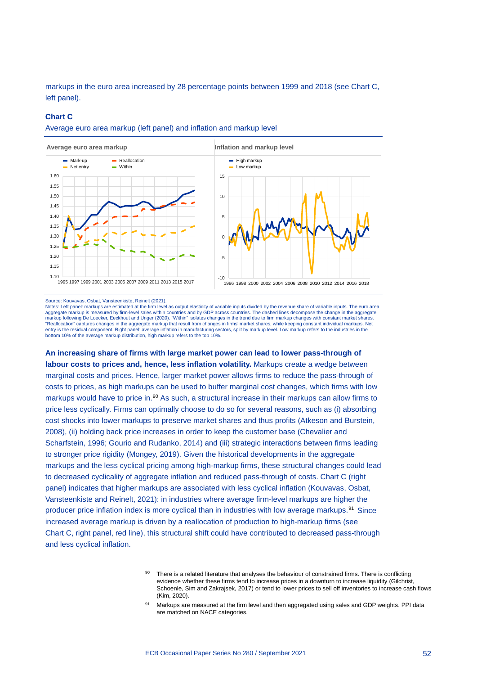markups in the euro area increased by 28 percentage points between 1999 and 2018 (see Chart C, left panel).

#### **Chart C**

#### Average euro area markup (left panel) and inflation and markup level

Average euro area markup **Inflation and markup level** 



#### Source: Kouvavas, Osbat, Vansteenkiste, Reinelt (2021).

Notes: Left panel: markups are estimated at the firm level as output elasticity of variable inputs divided by the revenue share of variable inputs. The euro area aggregate markup is measured by firm-level sales within countries and by GDP across countries. The dashed lines decompose the change in the aggregate<br>markup following De Loecker, Eeckhout and Unger (2020). "Within" isolate "Reallocation" captures changes in the aggregate markup that result from changes in firms' market shares, while keeping constant individual markups. Net entry is the residual component. Right panel: average inflation in manufacturing sectors, split by markup level. Low markup refers to the industries in the bottom 10% of the average markup distribution, high markup refers to the top 10%.

**An increasing share of firms with large market power can lead to lower pass-through of labour costs to prices and, hence, less inflation volatility.** Markups create a wedge between marginal costs and prices. Hence, larger market power allows firms to reduce the pass-through of costs to prices, as high markups can be used to buffer marginal cost changes, which firms with low markups would have to price in.<sup>[90](#page-54-0)</sup> As such, a structural increase in their markups can allow firms to price less cyclically. Firms can optimally choose to do so for several reasons, such as (i) absorbing cost shocks into lower markups to preserve market shares and thus profits (Atkeson and Burstein, 2008), (ii) holding back price increases in order to keep the customer base (Chevalier and Scharfstein, 1996; Gourio and Rudanko, 2014) and (iii) strategic interactions between firms leading to stronger price rigidity (Mongey, 2019). Given the historical developments in the aggregate markups and the less cyclical pricing among high-markup firms, these structural changes could lead to decreased cyclicality of aggregate inflation and reduced pass-through of costs. Chart C (right panel) indicates that higher markups are associated with less cyclical inflation (Kouvavas, Osbat, Vansteenkiste and Reinelt, 2021): in industries where average firm-level markups are higher the producer price inflation index is more cyclical than in industries with low average markups.[91](#page-54-1) Since increased average markup is driven by a reallocation of production to high-markup firms (see Chart C, right panel, red line), this structural shift could have contributed to decreased pass-through and less cyclical inflation.

<span id="page-54-0"></span><sup>90</sup> There is a related literature that analyses the behaviour of constrained firms. There is conflicting evidence whether these firms tend to increase prices in a downturn to increase liquidity (Gilchrist, Schoenle, Sim and Zakrajsek, 2017) or tend to lower prices to sell off inventories to increase cash flows (Kim, 2020).

<span id="page-54-1"></span><sup>91</sup> Markups are measured at the firm level and then aggregated using sales and GDP weights. PPI data are matched on NACE categories.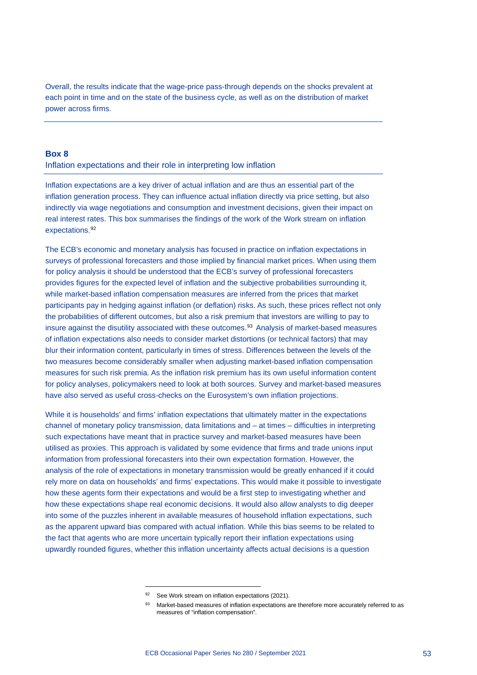Overall, the results indicate that the wage-price pass-through depends on the shocks prevalent at each point in time and on the state of the business cycle, as well as on the distribution of market power across firms.

## **Box 8**

### Inflation expectations and their role in interpreting low inflation

Inflation expectations are a key driver of actual inflation and are thus an essential part of the inflation generation process. They can influence actual inflation directly via price setting, but also indirectly via wage negotiations and consumption and investment decisions, given their impact on real interest rates. This box summarises the findings of the work of the Work stream on inflation expectations.<sup>[92](#page-55-0)</sup>

The ECB's economic and monetary analysis has focused in practice on inflation expectations in surveys of professional forecasters and those implied by financial market prices. When using them for policy analysis it should be understood that the ECB's survey of professional forecasters provides figures for the expected level of inflation and the subjective probabilities surrounding it, while market-based inflation compensation measures are inferred from the prices that market participants pay in hedging against inflation (or deflation) risks. As such, these prices reflect not only the probabilities of different outcomes, but also a risk premium that investors are willing to pay to insure against the disutility associated with these outcomes.<sup>[93](#page-55-1)</sup> Analysis of market-based measures of inflation expectations also needs to consider market distortions (or technical factors) that may blur their information content, particularly in times of stress. Differences between the levels of the two measures become considerably smaller when adjusting market-based inflation compensation measures for such risk premia. As the inflation risk premium has its own useful information content for policy analyses, policymakers need to look at both sources. Survey and market-based measures have also served as useful cross-checks on the Eurosystem's own inflation projections.

While it is households' and firms' inflation expectations that ultimately matter in the expectations channel of monetary policy transmission, data limitations and – at times – difficulties in interpreting such expectations have meant that in practice survey and market-based measures have been utilised as proxies. This approach is validated by some evidence that firms and trade unions input information from professional forecasters into their own expectation formation. However, the analysis of the role of expectations in monetary transmission would be greatly enhanced if it could rely more on data on households' and firms' expectations. This would make it possible to investigate how these agents form their expectations and would be a first step to investigating whether and how these expectations shape real economic decisions. It would also allow analysts to dig deeper into some of the puzzles inherent in available measures of household inflation expectations, such as the apparent upward bias compared with actual inflation. While this bias seems to be related to the fact that agents who are more uncertain typically report their inflation expectations using upwardly rounded figures, whether this inflation uncertainty affects actual decisions is a question

<span id="page-55-1"></span><span id="page-55-0"></span><sup>92</sup> See Work stream on inflation expectations (2021).

<sup>93</sup> Market-based measures of inflation expectations are therefore more accurately referred to as measures of "inflation compensation".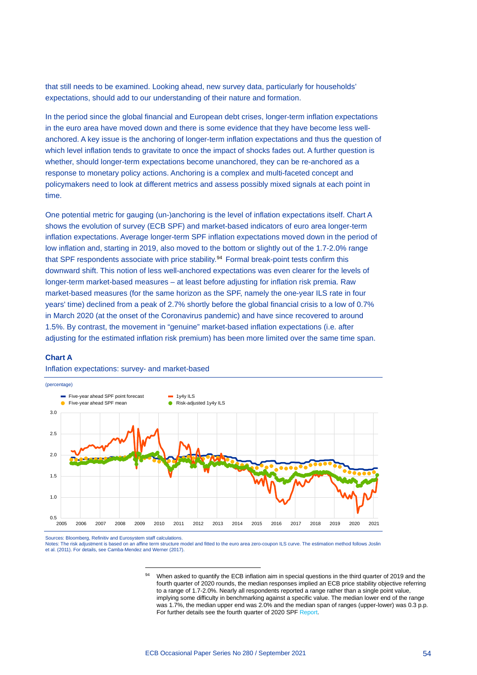that still needs to be examined. Looking ahead, new survey data, particularly for households' expectations, should add to our understanding of their nature and formation.

In the period since the global financial and European debt crises, longer-term inflation expectations in the euro area have moved down and there is some evidence that they have become less wellanchored. A key issue is the anchoring of longer-term inflation expectations and thus the question of which level inflation tends to gravitate to once the impact of shocks fades out. A further question is whether, should longer-term expectations become unanchored, they can be re-anchored as a response to monetary policy actions. Anchoring is a complex and multi-faceted concept and policymakers need to look at different metrics and assess possibly mixed signals at each point in time.

One potential metric for gauging (un-)anchoring is the level of inflation expectations itself. Chart A shows the evolution of survey (ECB SPF) and market-based indicators of euro area longer-term inflation expectations. Average longer-term SPF inflation expectations moved down in the period of low inflation and, starting in 2019, also moved to the bottom or slightly out of the 1.7-2.0% range that SPF respondents associate with price stability.[94](#page-56-0) Formal break-point tests confirm this downward shift. This notion of less well-anchored expectations was even clearer for the levels of longer-term market-based measures – at least before adjusting for inflation risk premia. Raw market-based measures (for the same horizon as the SPF, namely the one-year ILS rate in four years' time) declined from a peak of 2.7% shortly before the global financial crisis to a low of 0.7% in March 2020 (at the onset of the Coronavirus pandemic) and have since recovered to around 1.5%. By contrast, the movement in "genuine" market-based inflation expectations (i.e. after adjusting for the estimated inflation risk premium) has been more limited over the same time span.

#### **Chart A**

#### Inflation expectations: survey- and market-based



Sources: Bloomberg, Refinitiv and Eurosystem staff calculations.

<span id="page-56-0"></span>Notes: The risk adjustment is based on an affine term structure model and fitted to the euro area zero-coupon ILS curve. The estimation method follows Joslin et al. (2011). For details, see Camba-Mendez and Werner (2017).

<sup>94</sup> When asked to quantify the ECB inflation aim in special questions in the third quarter of 2019 and the fourth quarter of 2020 rounds, the median responses implied an ECB price stability objective referring to a range of 1.7-2.0%. Nearly all respondents reported a range rather than a single point value, implying some difficulty in benchmarking against a specific value. The median lower end of the range was 1.7%, the median upper end was 2.0% and the median span of ranges (upper-lower) was 0.3 p.p. For further details see the fourth quarter of 2020 SP[F Report.](https://www.ecb.europa.eu/stats/ecb_surveys/survey_of_professional_forecasters/html/ecb.spf2020q4%7Edab5d8085d.en.html)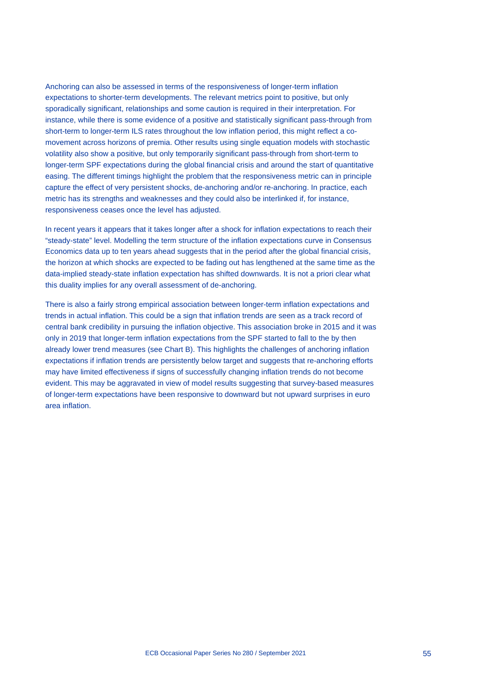Anchoring can also be assessed in terms of the responsiveness of longer-term inflation expectations to shorter-term developments. The relevant metrics point to positive, but only sporadically significant, relationships and some caution is required in their interpretation. For instance, while there is some evidence of a positive and statistically significant pass-through from short-term to longer-term ILS rates throughout the low inflation period, this might reflect a comovement across horizons of premia. Other results using single equation models with stochastic volatility also show a positive, but only temporarily significant pass-through from short-term to longer-term SPF expectations during the global financial crisis and around the start of quantitative easing. The different timings highlight the problem that the responsiveness metric can in principle capture the effect of very persistent shocks, de-anchoring and/or re-anchoring. In practice, each metric has its strengths and weaknesses and they could also be interlinked if, for instance, responsiveness ceases once the level has adjusted.

In recent years it appears that it takes longer after a shock for inflation expectations to reach their "steady-state" level. Modelling the term structure of the inflation expectations curve in Consensus Economics data up to ten years ahead suggests that in the period after the global financial crisis, the horizon at which shocks are expected to be fading out has lengthened at the same time as the data-implied steady-state inflation expectation has shifted downwards. It is not a priori clear what this duality implies for any overall assessment of de-anchoring.

There is also a fairly strong empirical association between longer-term inflation expectations and trends in actual inflation. This could be a sign that inflation trends are seen as a track record of central bank credibility in pursuing the inflation objective. This association broke in 2015 and it was only in 2019 that longer-term inflation expectations from the SPF started to fall to the by then already lower trend measures (see Chart B). This highlights the challenges of anchoring inflation expectations if inflation trends are persistently below target and suggests that re-anchoring efforts may have limited effectiveness if signs of successfully changing inflation trends do not become evident. This may be aggravated in view of model results suggesting that survey-based measures of longer-term expectations have been responsive to downward but not upward surprises in euro area inflation.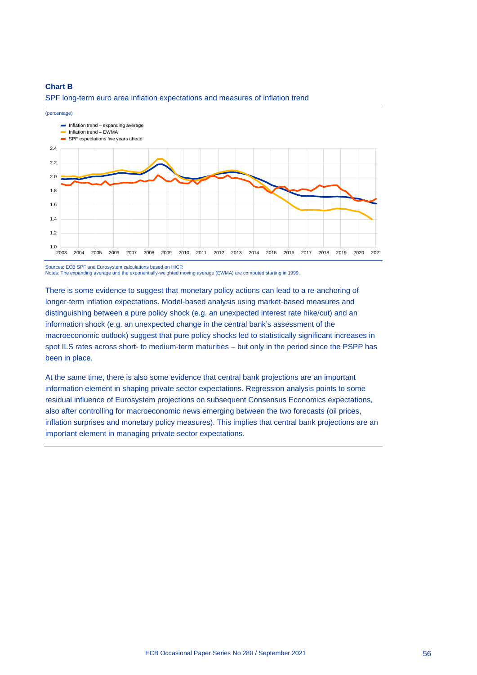## **Chart B**



SPF long-term euro area inflation expectations and measures of inflation trend

Sources: ECB SPF and Eurosystem calculations based on HICP. Notes: The expanding average and the exponentially-weighted moving average (EWMA) are computed starting in 1999.

There is some evidence to suggest that monetary policy actions can lead to a re-anchoring of longer-term inflation expectations. Model-based analysis using market-based measures and distinguishing between a pure policy shock (e.g. an unexpected interest rate hike/cut) and an information shock (e.g. an unexpected change in the central bank's assessment of the macroeconomic outlook) suggest that pure policy shocks led to statistically significant increases in spot ILS rates across short- to medium-term maturities – but only in the period since the PSPP has been in place.

At the same time, there is also some evidence that central bank projections are an important information element in shaping private sector expectations. Regression analysis points to some residual influence of Eurosystem projections on subsequent Consensus Economics expectations, also after controlling for macroeconomic news emerging between the two forecasts (oil prices, inflation surprises and monetary policy measures). This implies that central bank projections are an important element in managing private sector expectations.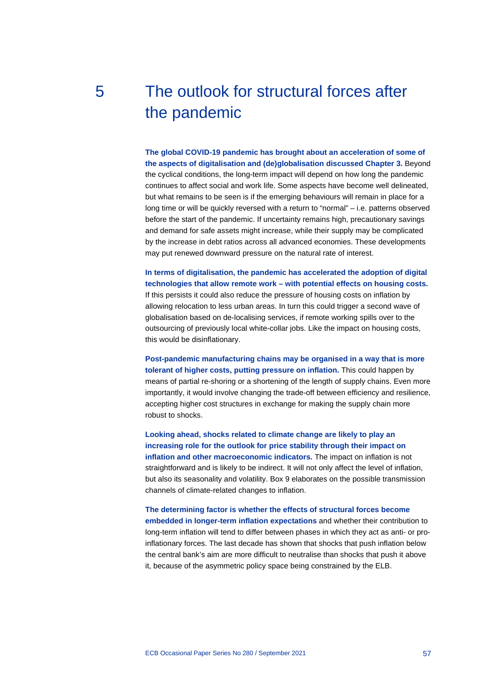# 5 The outlook for structural forces after the pandemic

**The global COVID-19 pandemic has brought about an acceleration of some of the aspects of digitalisation and (de)globalisation discussed Chapter 3.** Beyond the cyclical conditions, the long-term impact will depend on how long the pandemic continues to affect social and work life. Some aspects have become well delineated, but what remains to be seen is if the emerging behaviours will remain in place for a long time or will be quickly reversed with a return to "normal" – i.e. patterns observed before the start of the pandemic. If uncertainty remains high, precautionary savings and demand for safe assets might increase, while their supply may be complicated by the increase in debt ratios across all advanced economies. These developments may put renewed downward pressure on the natural rate of interest.

**In terms of digitalisation, the pandemic has accelerated the adoption of digital technologies that allow remote work – with potential effects on housing costs.** If this persists it could also reduce the pressure of housing costs on inflation by allowing relocation to less urban areas. In turn this could trigger a second wave of globalisation based on de-localising services, if remote working spills over to the outsourcing of previously local white-collar jobs. Like the impact on housing costs, this would be disinflationary.

**Post-pandemic manufacturing chains may be organised in a way that is more tolerant of higher costs, putting pressure on inflation.** This could happen by means of partial re-shoring or a shortening of the length of supply chains. Even more importantly, it would involve changing the trade-off between efficiency and resilience, accepting higher cost structures in exchange for making the supply chain more robust to shocks.

**Looking ahead, shocks related to climate change are likely to play an increasing role for the outlook for price stability through their impact on inflation and other macroeconomic indicators.** The impact on inflation is not straightforward and is likely to be indirect. It will not only affect the level of inflation, but also its seasonality and volatility. Box 9 elaborates on the possible transmission channels of climate-related changes to inflation.

**The determining factor is whether the effects of structural forces become embedded in longer-term inflation expectations** and whether their contribution to long-term inflation will tend to differ between phases in which they act as anti- or proinflationary forces. The last decade has shown that shocks that push inflation below the central bank's aim are more difficult to neutralise than shocks that push it above it, because of the asymmetric policy space being constrained by the ELB.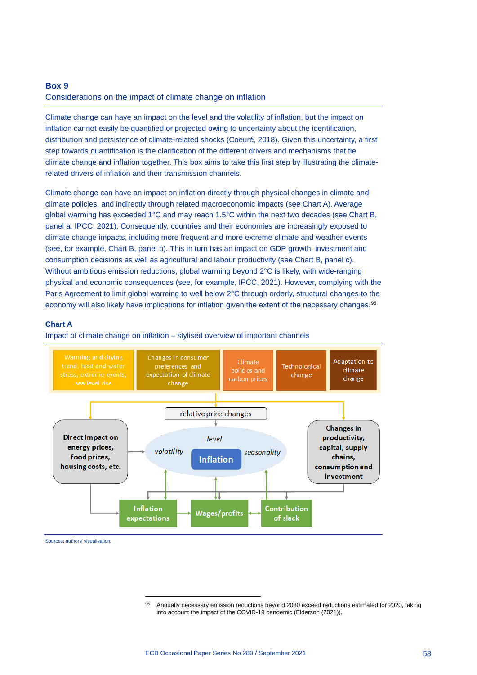## **Box 9**

### Considerations on the impact of climate change on inflation

Climate change can have an impact on the level and the volatility of inflation, but the impact on inflation cannot easily be quantified or projected owing to uncertainty about the identification, distribution and persistence of climate-related shocks (Coeuré, 2018). Given this uncertainty, a first step towards quantification is the clarification of the different drivers and mechanisms that tie climate change and inflation together. This box aims to take this first step by illustrating the climaterelated drivers of inflation and their transmission channels.

Climate change can have an impact on inflation directly through physical changes in climate and climate policies, and indirectly through related macroeconomic impacts (see Chart A). Average global warming has exceeded 1°C and may reach 1.5°C within the next two decades (see Chart B, panel a; IPCC, 2021). Consequently, countries and their economies are increasingly exposed to climate change impacts, including more frequent and more extreme climate and weather events (see, for example, Chart B, panel b). This in turn has an impact on GDP growth, investment and consumption decisions as well as agricultural and labour productivity (see Chart B, panel c). Without ambitious emission reductions, global warming beyond 2°C is likely, with wide-ranging physical and economic consequences (see, for example, IPCC, 2021). However, complying with the Paris Agreement to limit global warming to well below 2°C through orderly, structural changes to the economy will also likely have implications for inflation given the extent of the necessary changes.<sup>[95](#page-60-0)</sup>

#### **Chart A**

Impact of climate change on inflation – stylised overview of important channels



<span id="page-60-0"></span>Sources: authors' visualisation.

<sup>95</sup> Annually necessary emission reductions beyond 2030 exceed reductions estimated for 2020, taking into account the impact of the COVID-19 pandemic (Elderson (2021)).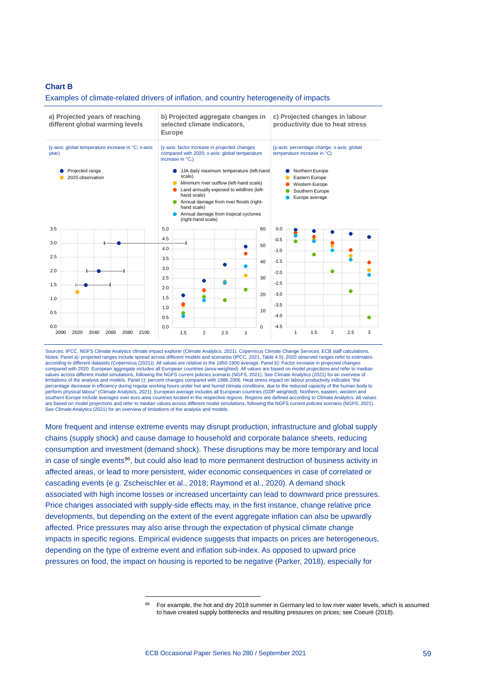#### **Chart B**

#### Examples of climate-related drivers of inflation, and country heterogeneity of impacts



Sources: IPCC, NGFS Climate Analytics climate impact explorer (Climate Analytics, 2021), Copernicus Climate Change Services, ECB staff calculations. Notes: Panel a): projected ranges include spread across different models and scenarios (IPCC, 2021, Table 4.5). 2020 observed ranges refer to estimates<br>according to different datasets (Copernicus (2021)). All values are re values across different model simulations, following the NGFS current policies scenario (NGFS, 2021). See Climate Analytics (2021) for an overview of limitations of the analysis and models. Panel c): percent changes compared with 1986-2006. Heat stress impact on labour productivity indicates "the percentage decrease in efficiency during regular working hours under hot and humid climate conditions, due to the reduced capacity of the human body to perform physical labour" (Climate Analytics, 2021). European average includes all European countries (GDP weighted). Northern, eastern, western and southern Europe include averages over euro area countries located in the respective regions. Regions are defined according to Climate Analytics. All values<br>are based on model projections and refer to median values across d See Climate Analytics (2021) for an overview of limitations of the analysis and models.

More frequent and intense extreme events may disrupt production, infrastructure and global supply chains (supply shock) and cause damage to household and corporate balance sheets, reducing consumption and investment (demand shock). These disruptions may be more temporary and local in case of single events<sup>96</sup>, but could also lead to more permanent destruction of business activity in affected areas, or lead to more persistent, wider economic consequences in case of correlated or cascading events (e.g. Zscheischler et al., 2018; Raymond et al., 2020). A demand shock associated with high income losses or increased uncertainty can lead to downward price pressures. Price changes associated with supply-side effects may, in the first instance, change relative price developments, but depending on the extent of the event aggregate inflation can also be upwardly affected. Price pressures may also arise through the expectation of physical climate change impacts in specific regions. Empirical evidence suggests that impacts on prices are heterogeneous, depending on the type of extreme event and inflation sub-index. As opposed to upward price pressures on food, the impact on housing is reported to be negative (Parker, 2018), especially for

<span id="page-61-0"></span><sup>96</sup> For example, the hot and dry 2018 summer in Germany led to low river water levels, which is assumed to have created supply bottlenecks and resulting pressures on prices; see Coeuré (2018).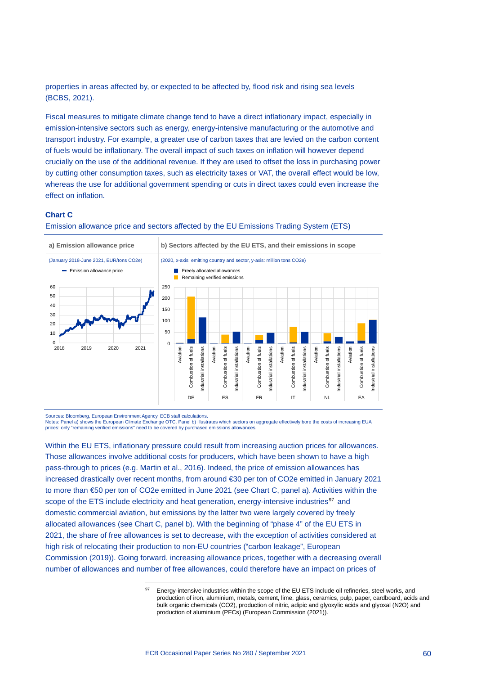properties in areas affected by, or expected to be affected by, flood risk and rising sea levels (BCBS, 2021).

Fiscal measures to mitigate climate change tend to have a direct inflationary impact, especially in emission-intensive sectors such as energy, energy-intensive manufacturing or the automotive and transport industry. For example, a greater use of carbon taxes that are levied on the carbon content of fuels would be inflationary. The overall impact of such taxes on inflation will however depend crucially on the use of the additional revenue. If they are used to offset the loss in purchasing power by cutting other consumption taxes, such as electricity taxes or VAT, the overall effect would be low, whereas the use for additional government spending or cuts in direct taxes could even increase the effect on inflation.

## **Chart C**

Emission allowance price and sectors affected by the EU Emissions Trading System (ETS)



Sources: Bloomberg, European Environment Agency, ECB staff calculations.

Notes: Panel a) shows the European Climate Exchange OTC. Panel b) illustrates which sectors on aggregate effectively bore the costs of increasing EUA prices: only "remaining verified emissions" need to be covered by purchased emissions allowances.

Within the EU ETS, inflationary pressure could result from increasing auction prices for allowances. Those allowances involve additional costs for producers, which have been shown to have a high pass-through to prices (e.g. Martin et al., 2016). Indeed, the price of emission allowances has increased drastically over recent months, from around €30 per ton of CO2e emitted in January 2021 to more than €50 per ton of CO2e emitted in June 2021 (see Chart C, panel a). Activities within the scope of the ETS include electricity and heat generation, energy-intensive industries<sup>[97](#page-62-0)</sup> and domestic commercial aviation, but emissions by the latter two were largely covered by freely allocated allowances (see Chart C, panel b). With the beginning of "phase 4" of the EU ETS in 2021, the share of free allowances is set to decrease, with the exception of activities considered at high risk of relocating their production to non-EU countries ("carbon leakage", European Commission (2019)). Going forward, increasing allowance prices, together with a decreasing overall number of allowances and number of free allowances, could therefore have an impact on prices of

<span id="page-62-0"></span>Energy-intensive industries within the scope of the EU ETS include oil refineries, steel works, and production of iron, aluminium, metals, cement, lime, glass, ceramics, pulp, paper, cardboard, acids and bulk organic chemicals (CO2), production of nitric, adipic and glyoxylic acids and glyoxal (N2O) and production of aluminium (PFCs) (European Commission (2021)).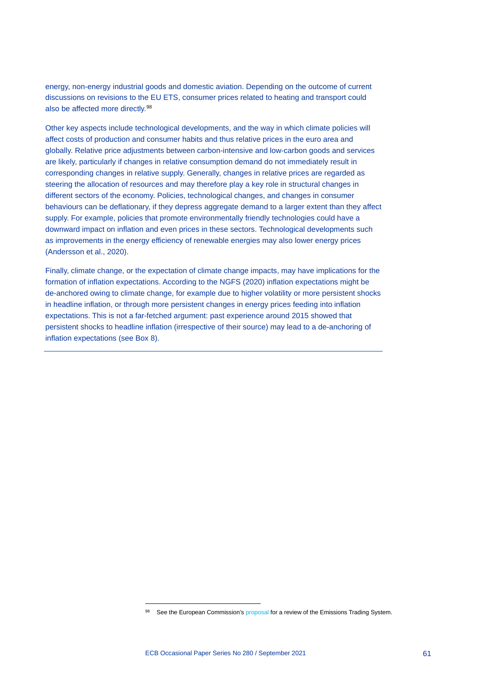energy, non-energy industrial goods and domestic aviation. Depending on the outcome of current discussions on revisions to the EU ETS, consumer prices related to heating and transport could also be affected more directly.<sup>[98](#page-63-0)</sup>

Other key aspects include technological developments, and the way in which climate policies will affect costs of production and consumer habits and thus relative prices in the euro area and globally. Relative price adjustments between carbon-intensive and low-carbon goods and services are likely, particularly if changes in relative consumption demand do not immediately result in corresponding changes in relative supply. Generally, changes in relative prices are regarded as steering the allocation of resources and may therefore play a key role in structural changes in different sectors of the economy. Policies, technological changes, and changes in consumer behaviours can be deflationary, if they depress aggregate demand to a larger extent than they affect supply. For example, policies that promote environmentally friendly technologies could have a downward impact on inflation and even prices in these sectors. Technological developments such as improvements in the energy efficiency of renewable energies may also lower energy prices (Andersson et al., 2020).

Finally, climate change, or the expectation of climate change impacts, may have implications for the formation of inflation expectations. According to the NGFS (2020) inflation expectations might be de-anchored owing to climate change, for example due to higher volatility or more persistent shocks in headline inflation, or through more persistent changes in energy prices feeding into inflation expectations. This is not a far-fetched argument: past experience around 2015 showed that persistent shocks to headline inflation (irrespective of their source) may lead to a de-anchoring of inflation expectations (see Box 8).

<span id="page-63-0"></span><sup>98</sup> See the European Commission's [proposal](https://ec.europa.eu/info/sites/default/files/revision-eu-ets_with-annex_en_0.pdf) for a review of the Emissions Trading System.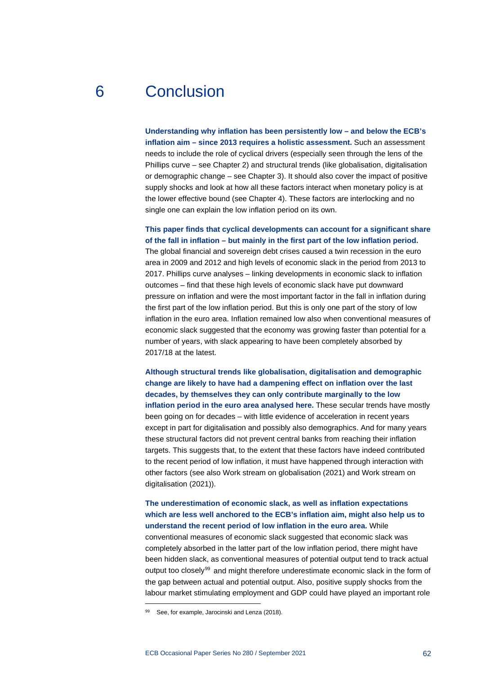# 6 Conclusion

**Understanding why inflation has been persistently low – and below the ECB's inflation aim – since 2013 requires a holistic assessment.** Such an assessment needs to include the role of cyclical drivers (especially seen through the lens of the Phillips curve – see Chapter 2) and structural trends (like globalisation, digitalisation or demographic change – see Chapter 3). It should also cover the impact of positive supply shocks and look at how all these factors interact when monetary policy is at the lower effective bound (see Chapter 4). These factors are interlocking and no single one can explain the low inflation period on its own.

# **This paper finds that cyclical developments can account for a significant share of the fall in inflation – but mainly in the first part of the low inflation period.**

The global financial and sovereign debt crises caused a twin recession in the euro area in 2009 and 2012 and high levels of economic slack in the period from 2013 to 2017. Phillips curve analyses – linking developments in economic slack to inflation outcomes – find that these high levels of economic slack have put downward pressure on inflation and were the most important factor in the fall in inflation during the first part of the low inflation period. But this is only one part of the story of low inflation in the euro area. Inflation remained low also when conventional measures of economic slack suggested that the economy was growing faster than potential for a number of years, with slack appearing to have been completely absorbed by 2017/18 at the latest.

**Although structural trends like globalisation, digitalisation and demographic change are likely to have had a dampening effect on inflation over the last decades, by themselves they can only contribute marginally to the low inflation period in the euro area analysed here.** These secular trends have mostly been going on for decades – with little evidence of acceleration in recent years except in part for digitalisation and possibly also demographics. And for many years these structural factors did not prevent central banks from reaching their inflation targets. This suggests that, to the extent that these factors have indeed contributed to the recent period of low inflation, it must have happened through interaction with other factors (see also Work stream on globalisation (2021) and Work stream on digitalisation (2021)).

# **The underestimation of economic slack, as well as inflation expectations which are less well anchored to the ECB's inflation aim, might also help us to understand the recent period of low inflation in the euro area.** While

conventional measures of economic slack suggested that economic slack was completely absorbed in the latter part of the low inflation period, there might have been hidden slack, as conventional measures of potential output tend to track actual output too closely<sup>[99](#page-64-0)</sup> and might therefore underestimate economic slack in the form of the gap between actual and potential output. Also, positive supply shocks from the labour market stimulating employment and GDP could have played an important role

<span id="page-64-0"></span><sup>99</sup> See, for example, Jarocinski and Lenza (2018).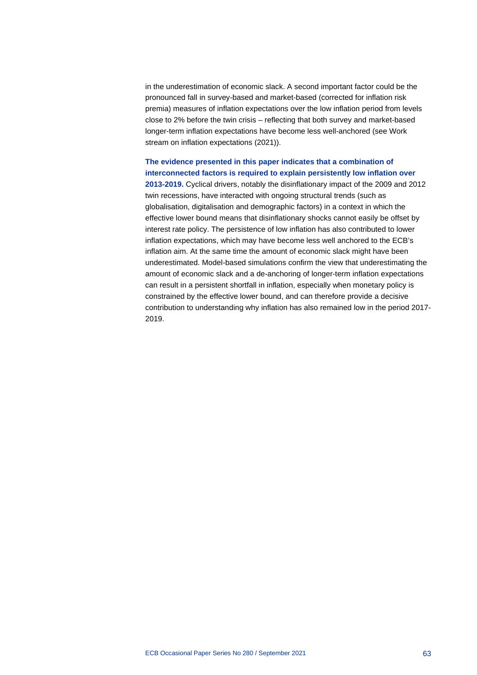in the underestimation of economic slack. A second important factor could be the pronounced fall in survey-based and market-based (corrected for inflation risk premia) measures of inflation expectations over the low inflation period from levels close to 2% before the twin crisis – reflecting that both survey and market-based longer-term inflation expectations have become less well-anchored (see Work stream on inflation expectations (2021)).

# **The evidence presented in this paper indicates that a combination of interconnected factors is required to explain persistently low inflation over**

**2013-2019.** Cyclical drivers, notably the disinflationary impact of the 2009 and 2012 twin recessions, have interacted with ongoing structural trends (such as globalisation, digitalisation and demographic factors) in a context in which the effective lower bound means that disinflationary shocks cannot easily be offset by interest rate policy. The persistence of low inflation has also contributed to lower inflation expectations, which may have become less well anchored to the ECB's inflation aim. At the same time the amount of economic slack might have been underestimated. Model-based simulations confirm the view that underestimating the amount of economic slack and a de-anchoring of longer-term inflation expectations can result in a persistent shortfall in inflation, especially when monetary policy is constrained by the effective lower bound, and can therefore provide a decisive contribution to understanding why inflation has also remained low in the period 2017- 2019.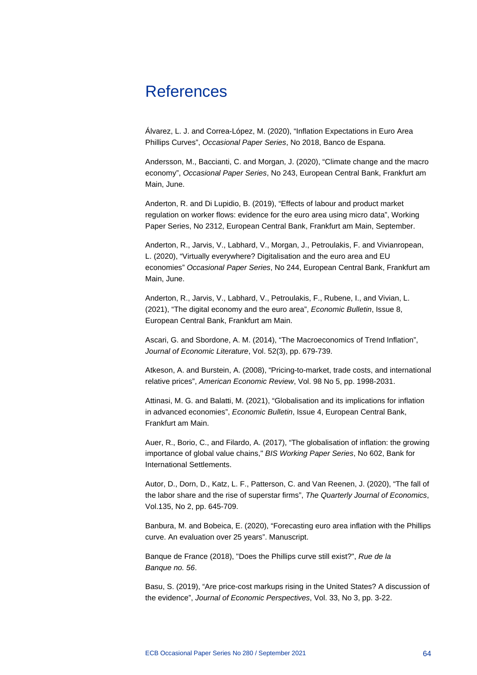# References

Álvarez, L. J. and Correa-López, M. (2020), "Inflation Expectations in Euro Area Phillips Curves", *Occasional Paper Series*, No 2018, Banco de Espana.

Andersson, M., Baccianti, C. and Morgan, J. (2020), "Climate change and the macro economy", *Occasional Paper Series*, No 243, European Central Bank, Frankfurt am Main, June.

Anderton, R. and Di Lupidio, B. (2019), "Effects of labour and product market regulation on worker flows: evidence for the euro area using micro data", Working Paper Series, No 2312, European Central Bank, Frankfurt am Main, September.

Anderton, R., Jarvis, V., Labhard, V., Morgan, J., Petroulakis, F. and Vivianropean, L. (2020), "Virtually everywhere? Digitalisation and the euro area and EU economies" *Occasional Paper Series*, No 244, European Central Bank, Frankfurt am Main, June.

Anderton, R., Jarvis, V., Labhard, V., Petroulakis, F., Rubene, I., and Vivian, L. (2021), "The digital economy and the euro area", *Economic Bulletin*, Issue 8, European Central Bank, Frankfurt am Main.

Ascari, G. and Sbordone, A. M. (2014), "The Macroeconomics of Trend Inflation", *Journal of Economic Literature*, Vol. 52(3), pp. 679-739.

Atkeson, A. and Burstein, A. (2008), "Pricing-to-market, trade costs, and international relative prices", *American Economic Review*, Vol. 98 No 5, pp. 1998-2031.

Attinasi, M. G. and Balatti, M. (2021), "Globalisation and its implications for inflation in advanced economies", *Economic Bulletin*, Issue 4, European Central Bank, Frankfurt am Main.

Auer, R., Borio, C., and Filardo, A. (2017), "The globalisation of inflation: the growing importance of global value chains," *BIS Working Paper Series*, No 602, Bank for International Settlements.

Autor, D., Dorn, D., Katz, L. F., Patterson, C. and Van Reenen, J. (2020), "The fall of the labor share and the rise of superstar firms", *The Quarterly Journal of Economics*, Vol.135, No 2, pp. 645-709.

Banbura, M. and Bobeica, E. (2020), "Forecasting euro area inflation with the Phillips curve. An evaluation over 25 years". Manuscript.

Banque de France (2018), "Does the Phillips curve still exist?", *Rue de la Banque no. 56*.

Basu, S. (2019), "Are price-cost markups rising in the United States? A discussion of the evidence", *Journal of Economic Perspectives*, Vol. 33, No 3, pp. 3-22.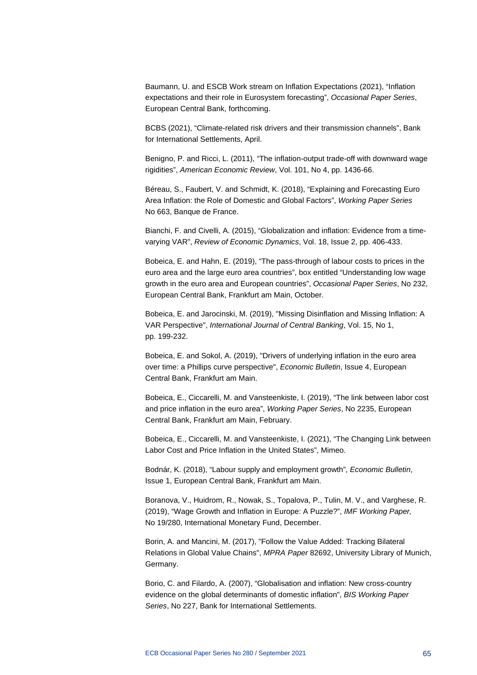Baumann, U. and ESCB Work stream on Inflation Expectations (2021), "Inflation expectations and their role in Eurosystem forecasting", *Occasional Paper Series*, European Central Bank, forthcoming.

BCBS (2021), "Climate-related risk drivers and their transmission channels", Bank for International Settlements, April.

Benigno, P. and Ricci, L. (2011), "The inflation-output trade-off with downward wage rigidities", *American Economic Review*, Vol. 101, No 4, pp. 1436-66.

Béreau, S., Faubert, V. and Schmidt, K. (2018), "Explaining and Forecasting Euro Area Inflation: the Role of Domestic and Global Factors", *Working Paper Series* No 663, Banque de France.

Bianchi, F. and Civelli, A. (2015), "Globalization and inflation: Evidence from a timevarying VAR", *Review of Economic Dynamics*, Vol. 18, Issue 2, pp. 406-433.

Bobeica, E. and Hahn, E. (2019), "The pass-through of labour costs to prices in the euro area and the large euro area countries", box entitled "Understanding low wage growth in the euro area and European countries", *Occasional Paper Series*, No 232, European Central Bank, Frankfurt am Main, October.

Bobeica, E. and Jarocinski, M. (2019), "Missing Disinflation and Missing Inflation: A VAR Perspective", *International Journal of Central Banking*, Vol. 15, No 1, pp. 199-232.

Bobeica, E. and Sokol, A. (2019), "Drivers of underlying inflation in the euro area over time: a Phillips curve perspective", *Economic Bulletin*, Issue 4, European Central Bank, Frankfurt am Main.

Bobeica, E., Ciccarelli, M. and Vansteenkiste, I. (2019), "The link between labor cost and price inflation in the euro area", *Working Paper Series*, No 2235, European Central Bank, Frankfurt am Main, February.

Bobeica, E., Ciccarelli, M. and Vansteenkiste, I. (2021), "The Changing Link between Labor Cost and Price Inflation in the United States", Mimeo.

Bodnár, K. (2018), "Labour supply and employment growth", *Economic Bulletin*, Issue 1, European Central Bank, Frankfurt am Main.

Boranova, V., Huidrom, R., Nowak, S., Topalova, P., Tulin, M. V., and Varghese, R. (2019), "Wage Growth and Inflation in Europe: A Puzzle?", *IMF Working Paper,* No 19/280, International Monetary Fund, December.

Borin, A. and Mancini, M. (2017), "Follow the Value Added: Tracking Bilateral Relations in Global Value Chains", *MPRA Paper* 82692, University Library of Munich, Germany.

Borio, C. and Filardo, A. (2007), "Globalisation and inflation: New cross-country evidence on the global determinants of domestic inflation", *BIS Working Paper Series*, No 227, Bank for International Settlements.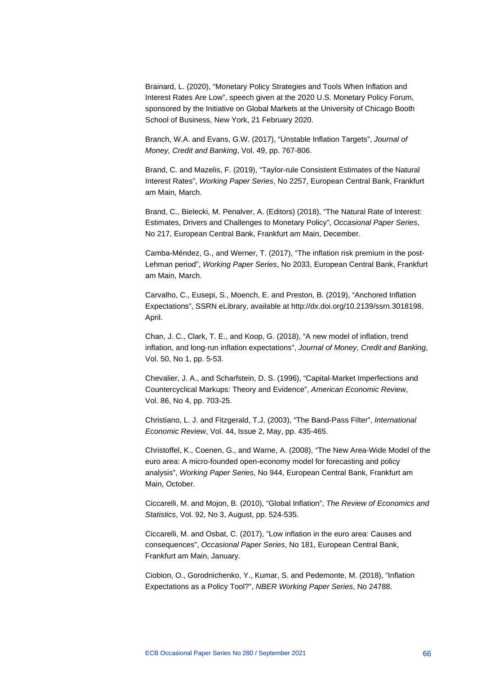Brainard, L. (2020), "Monetary Policy Strategies and Tools When Inflation and Interest Rates Are Low", speech given at the 2020 U.S. Monetary Policy Forum, sponsored by the Initiative on Global Markets at the University of Chicago Booth School of Business, New York, 21 February 2020.

Branch, W.A. and Evans, G.W. (2017), "Unstable Inflation Targets", *Journal of Money, Credit and Banking*, Vol. 49, pp. 767-806.

Brand, C. and Mazelis, F. (2019), "Taylor-rule Consistent Estimates of the Natural Interest Rates", *Working Paper Series*, No 2257, European Central Bank, Frankfurt am Main, March.

Brand, C., Bielecki, M. Penalver, A. (Editors) (2018), "The Natural Rate of Interest: Estimates, Drivers and Challenges to Monetary Policy", *Occasional Paper Series*, No 217, European Central Bank, Frankfurt am Main, December.

Camba-Méndez, G., and Werner, T. (2017), "The inflation risk premium in the post-Lehman period", *Working Paper Series*, No 2033, European Central Bank, Frankfurt am Main, March.

Carvalho, C., Eusepi, S., Moench, E. and Preston, B. (2019), "Anchored Inflation Expectations", SSRN eLibrary, available at http://dx.doi.org/10.2139/ssrn.3018198, April.

Chan, J. C., Clark, T. E., and Koop, G. (2018), "A new model of inflation, trend inflation, and long-run inflation expectations", *Journal of Money, Credit and Banking*, Vol. 50, No 1, pp. 5-53.

Chevalier, J. A., and Scharfstein, D. S. (1996), "Capital-Market Imperfections and Countercyclical Markups: Theory and Evidence", *American Economic Review*, Vol. 86, No 4, pp. 703-25.

Christiano, L. J. and Fitzgerald, T.J. (2003), "The Band-Pass Filter", *International Economic Review*, Vol. 44, Issue 2, May, pp. 435-465.

Christoffel, K., Coenen, G., and Warne, A. (2008), "The New Area-Wide Model of the euro area: A micro-founded open-economy model for forecasting and policy analysis", *Working Paper Series*, No 944, European Central Bank, Frankfurt am Main, October.

Ciccarelli, M. and Mojon, B. (2010), "Global Inflation", *The Review of Economics and Statistics*, Vol. 92, No 3, August, pp. 524-535.

Ciccarelli, M. and Osbat, C. (2017), "Low inflation in the euro area: Causes and consequences", *Occasional Paper Series*, No 181, European Central Bank, Frankfurt am Main, January.

Ciobion, O., Gorodnichenko, Y., Kumar, S. and Pedemonte, M. (2018), "Inflation Expectations as a Policy Tool?", *NBER Working Paper Series*, No 24788.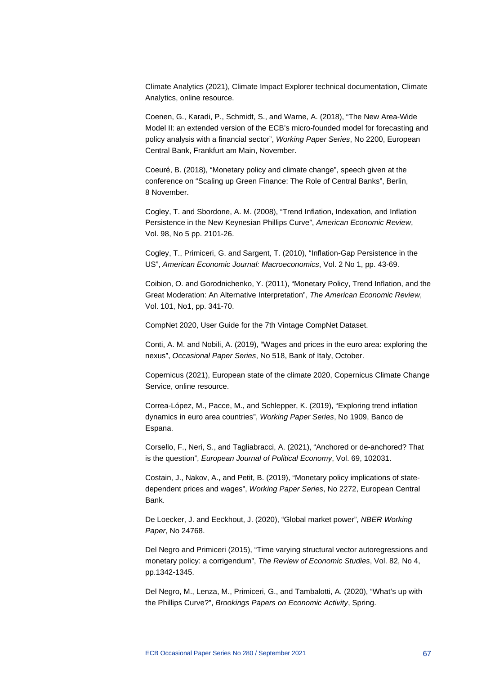Climate Analytics (2021), Climate Impact Explorer technical documentation, Climate Analytics, online resource.

Coenen, G., Karadi, P., Schmidt, S., and Warne, A. (2018), "The New Area-Wide Model II: an extended version of the ECB's micro-founded model for forecasting and policy analysis with a financial sector", *Working Paper Series*, No 2200, European Central Bank, Frankfurt am Main, November.

Coeuré, B. (2018), "Monetary policy and climate change", speech given at the conference on "Scaling up Green Finance: The Role of Central Banks", Berlin, 8 November.

Cogley, T. and Sbordone, A. M. (2008), "Trend Inflation, Indexation, and Inflation Persistence in the New Keynesian Phillips Curve", *American Economic Review*, Vol. 98, No 5 pp. 2101-26.

Cogley, T., Primiceri, G. and Sargent, T. (2010), "Inflation-Gap Persistence in the US", *American Economic Journal: Macroeconomics*, Vol. 2 No 1, pp. 43-69.

Coibion, O. and Gorodnichenko, Y. (2011), "Monetary Policy, Trend Inflation, and the Great Moderation: An Alternative Interpretation", *The American Economic Review*, Vol. 101, No1, pp. 341-70.

CompNet 2020, User Guide for the 7th Vintage CompNet Dataset.

Conti, A. M. and Nobili, A. (2019), "Wages and prices in the euro area: exploring the nexus", *Occasional Paper Series*, No 518, Bank of Italy, October.

Copernicus (2021), European state of the climate 2020, Copernicus Climate Change Service, online resource.

Correa-López, M., Pacce, M., and Schlepper, K. (2019), "Exploring trend inflation dynamics in euro area countries", *Working Paper Series*, No 1909, Banco de Espana.

Corsello, F., Neri, S., and Tagliabracci, A. (2021), "Anchored or de-anchored? That is the question", *European Journal of Political Economy*, Vol. 69, 102031.

Costain, J., Nakov, A., and Petit, B. (2019), "Monetary policy implications of statedependent prices and wages", *Working Paper Series*, No 2272, European Central Bank.

De Loecker, J. and Eeckhout, J. (2020), "Global market power", *NBER Working Paper*, No 24768.

Del Negro and Primiceri (2015), "Time varying structural vector autoregressions and monetary policy: a corrigendum", *The Review of Economic Studies*, Vol. 82, No 4, pp.1342-1345.

Del Negro, M., Lenza, M., Primiceri, G., and Tambalotti, A. (2020), "What's up with the Phillips Curve?", *Brookings Papers on Economic Activity*, Spring.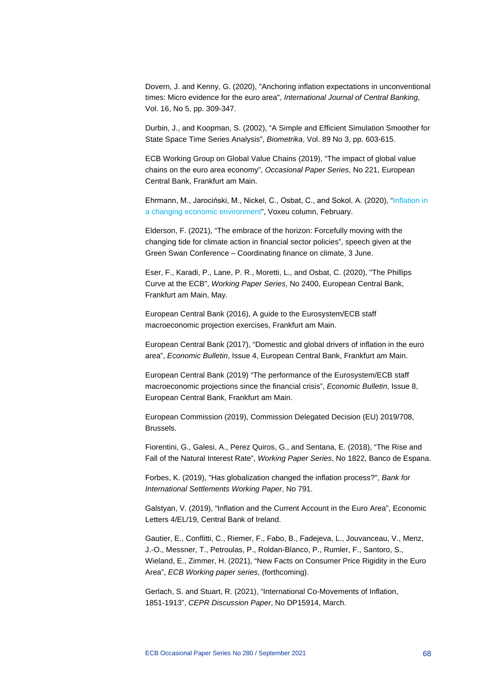Dovern, J. and Kenny, G. (2020), "Anchoring inflation expectations in unconventional times: Micro evidence for the euro area", *International Journal of Central Banking*, Vol. 16, No 5, pp. 309-347.

Durbin, J., and Koopman, S. (2002), "A Simple and Efficient Simulation Smoother for State Space Time Series Analysis", *Biometrika*, Vol. 89 No 3, pp. 603-615.

ECB Working Group on Global Value Chains (2019), "The impact of global value chains on the euro area economy", *Occasional Paper Series*, No 221, European Central Bank, Frankfurt am Main.

Ehrmann, M., Jarociński, M., Nickel, C., Osbat, C., and Sokol, A. (2020), ["Inflation in](https://voxeu.org/article/inflation-changing-economic-environment)  [a changing economic environment"](https://voxeu.org/article/inflation-changing-economic-environment), Voxeu column, February.

Elderson, F. (2021), "The embrace of the horizon: Forcefully moving with the changing tide for climate action in financial sector policies", speech given at the Green Swan Conference – Coordinating finance on climate, 3 June.

Eser, F., Karadi, P., Lane, P. R., Moretti, L., and Osbat, C. (2020), "The Phillips Curve at the ECB", *Working Paper Series*, No 2400, European Central Bank, Frankfurt am Main, May.

European Central Bank (2016), A guide to the Eurosystem/ECB staff macroeconomic projection exercises, Frankfurt am Main.

European Central Bank (2017), "Domestic and global drivers of inflation in the euro area", *Economic Bulletin*, Issue 4, European Central Bank, Frankfurt am Main.

European Central Bank (2019) "The performance of the Eurosystem/ECB staff macroeconomic projections since the financial crisis", *Economic Bulletin*, Issue 8, European Central Bank, Frankfurt am Main.

European Commission (2019), Commission Delegated Decision (EU) 2019/708, Brussels.

Fiorentini, G., Galesi, A., Perez Quiros, G., and Sentana, E. (2018), "The Rise and Fall of the Natural Interest Rate", *Working Paper Series*, No 1822, Banco de Espana.

Forbes, K. (2019), "Has globalization changed the inflation process?", *Bank for International Settlements Working Paper*, No 791.

Galstyan, V. (2019), "Inflation and the Current Account in the Euro Area", Economic Letters 4/EL/19, Central Bank of Ireland.

Gautier, E., Conflitti, C., Riemer, F., Fabo, B., Fadejeva, L., Jouvanceau, V., Menz, J.-O., Messner, T., Petroulas, P., Roldan-Blanco, P., Rumler, F., Santoro, S., Wieland, E., Zimmer, H. (2021), "New Facts on Consumer Price Rigidity in the Euro Area", *ECB Working paper series*, (forthcoming).

Gerlach, S. and Stuart, R. (2021), "International Co-Movements of Inflation, 1851-1913", *CEPR Discussion Paper*, No DP15914, March.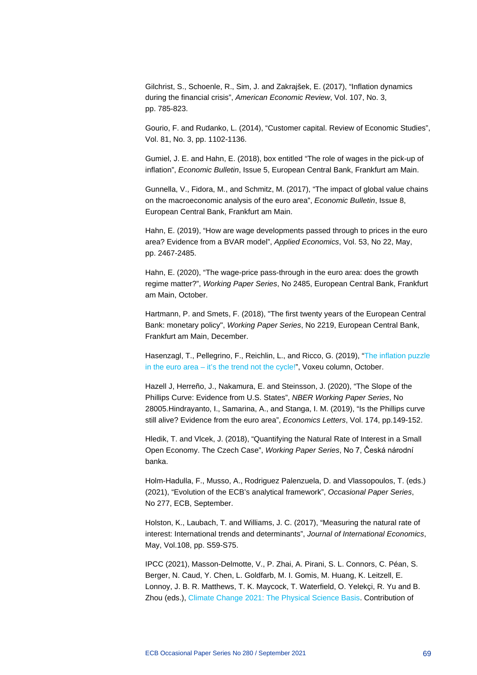Gilchrist, S., Schoenle, R., Sim, J. and Zakrajšek, E. (2017), "Inflation dynamics during the financial crisis", *American Economic Review*, Vol. 107, No. 3, pp. 785-823.

Gourio, F. and Rudanko, L. (2014), "Customer capital. Review of Economic Studies", Vol. 81, No. 3, pp. 1102-1136.

Gumiel, J. E. and Hahn, E. (2018), box entitled "The role of wages in the pick-up of inflation", *Economic Bulletin*, Issue 5, European Central Bank, Frankfurt am Main.

Gunnella, V., Fidora, M., and Schmitz, M. (2017), "The impact of global value chains on the macroeconomic analysis of the euro area", *Economic Bulletin*, Issue 8, European Central Bank, Frankfurt am Main.

Hahn, E. (2019), "How are wage developments passed through to prices in the euro area? Evidence from a BVAR model", *Applied Economics*, Vol. 53, No 22, May, pp. 2467-2485.

Hahn, E. (2020), "The wage-price pass-through in the euro area: does the growth regime matter?", *Working Paper Series*, No 2485, European Central Bank, Frankfurt am Main, October.

Hartmann, P. and Smets, F. (2018), "The first twenty years of the European Central Bank: monetary policy", *Working Paper Series*, No 2219, European Central Bank, Frankfurt am Main, December.

Hasenzagl, T., Pellegrino, F., Reichlin, L., and Ricco, G. (2019), ["The inflation puzzle](https://voxeu.org/article/inflation-puzzle-euro-area)  in the euro area – [it's the trend not the cycle!"](https://voxeu.org/article/inflation-puzzle-euro-area), Voxeu column, October.

Hazell J, Herreño, J., Nakamura, E. and Steinsson, J. (2020), "The Slope of the Phillips Curve: Evidence from U.S. States", *NBER Working Paper Series*, No 28005.Hindrayanto, I., Samarina, A., and Stanga, I. M. (2019), "Is the Phillips curve still alive? Evidence from the euro area", *Economics Letters*, Vol. 174, pp.149-152.

Hledik, T. and Vlcek, J. (2018), "Quantifying the Natural Rate of Interest in a Small Open Economy. The Czech Case", *Working Paper Series*, No 7, Česká národní banka.

Holm-Hadulla, F., Musso, A., Rodriguez Palenzuela, D. and Vlassopoulos, T. (eds.) (2021), "Evolution of the ECB's analytical framework", *Occasional Paper Series*, No 277, ECB, September.

Holston, K., Laubach, T. and Williams, J. C. (2017), "Measuring the natural rate of interest: International trends and determinants", *Journal of International Economics*, May, Vol.108, pp. S59-S75.

IPCC (2021), Masson-Delmotte, V., P. Zhai, A. Pirani, S. L. Connors, C. Péan, S. Berger, N. Caud, Y. Chen, L. Goldfarb, M. I. Gomis, M. Huang, K. Leitzell, E. Lonnoy, J. B. R. Matthews, T. K. Maycock, T. Waterfield, O. Yelekçi, R. Yu and B. Zhou (eds.), [Climate Change 2021: The Physical Science Basis.](https://www.ipcc.ch/report/ar6/wg1/) Contribution of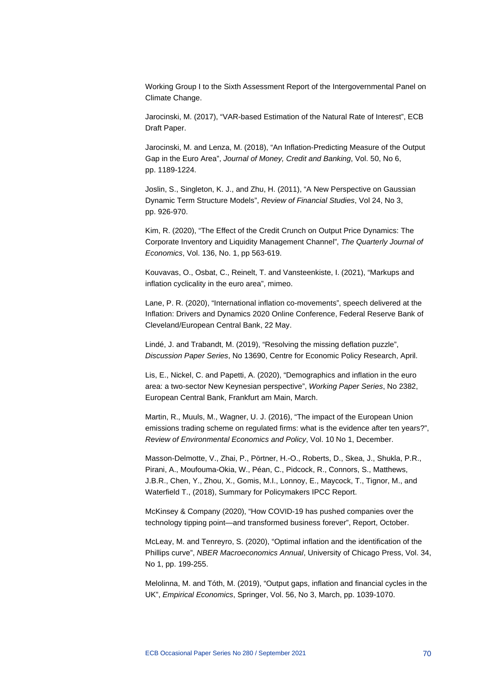Working Group I to the Sixth Assessment Report of the Intergovernmental Panel on Climate Change.

Jarocinski, M. (2017), "VAR-based Estimation of the Natural Rate of Interest", ECB Draft Paper.

Jarocinski, M. and Lenza, M. (2018), "An Inflation-Predicting Measure of the Output Gap in the Euro Area", *Journal of Money, Credit and Banking*, Vol. 50, No 6, pp. 1189-1224.

Joslin, S., Singleton, K. J., and Zhu, H. (2011), "A New Perspective on Gaussian Dynamic Term Structure Models", *Review of Financial Studies*, Vol 24, No 3, pp. 926-970.

Kim, R. (2020), "The Effect of the Credit Crunch on Output Price Dynamics: The Corporate Inventory and Liquidity Management Channel", *The Quarterly Journal of Economics*, Vol. 136, No. 1, pp 563-619.

Kouvavas, O., Osbat, C., Reinelt, T. and Vansteenkiste, I. (2021), "Markups and inflation cyclicality in the euro area", mimeo.

Lane, P. R. (2020), "International inflation co-movements", speech delivered at the Inflation: Drivers and Dynamics 2020 Online Conference, Federal Reserve Bank of Cleveland/European Central Bank, 22 May.

Lindé, J. and Trabandt, M. (2019), "Resolving the missing deflation puzzle", *Discussion Paper Series*, No 13690, Centre for Economic Policy Research, April.

Lis, E., Nickel, C. and Papetti, A. (2020), "Demographics and inflation in the euro area: a two-sector New Keynesian perspective", *Working Paper Series*, No 2382, European Central Bank, Frankfurt am Main, March.

Martin, R., Muuls, M., Wagner, U. J. (2016), "The impact of the European Union emissions trading scheme on regulated firms: what is the evidence after ten years?", *Review of Environmental Economics and Policy*, Vol. 10 No 1, December.

Masson-Delmotte, V., Zhai, P., Pörtner, H.-O., Roberts, D., Skea, J., Shukla, P.R., Pirani, A., Moufouma-Okia, W., Péan, C., Pidcock, R., Connors, S., Matthews, J.B.R., Chen, Y., Zhou, X., Gomis, M.I., Lonnoy, E., Maycock, T., Tignor, M., and Waterfield T., (2018), Summary for Policymakers IPCC Report.

McKinsey & Company (2020), "How COVID-19 has pushed companies over the technology tipping point—and transformed business forever", Report, October.

McLeay, M. and Tenreyro, S. (2020), "Optimal inflation and the identification of the Phillips curve", *NBER Macroeconomics Annual*, University of Chicago Press, Vol. 34, No 1, pp. 199-255.

Melolinna, M. and Tóth, M. (2019), "Output gaps, inflation and financial cycles in the UK", *Empirical Economics*, Springer, Vol. 56, No 3, March, pp. 1039-1070.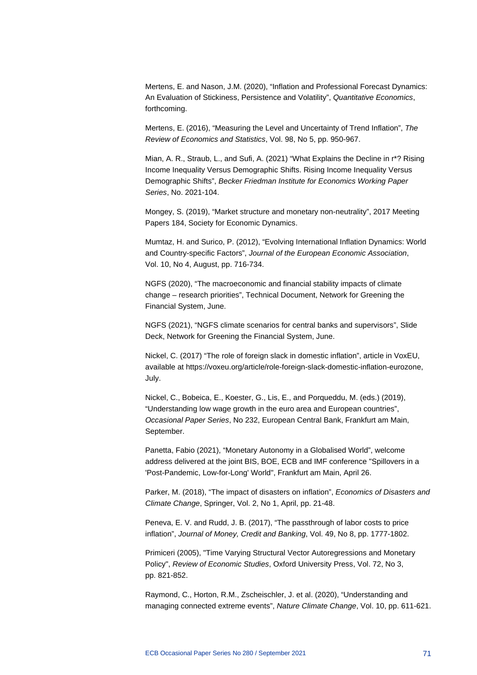Mertens, E. and Nason, J.M. (2020), "Inflation and Professional Forecast Dynamics: An Evaluation of Stickiness, Persistence and Volatility", *Quantitative Economics*, forthcoming.

Mertens, E. (2016), "Measuring the Level and Uncertainty of Trend Inflation", *The Review of Economics and Statistics*, Vol. 98, No 5, pp. 950-967.

Mian, A. R., Straub, L., and Sufi, A. (2021) "What Explains the Decline in r\*? Rising Income Inequality Versus Demographic Shifts. Rising Income Inequality Versus Demographic Shifts", *Becker Friedman Institute for Economics Working Paper Series*, No. 2021-104.

Mongey, S. (2019), "Market structure and monetary non-neutrality", 2017 Meeting Papers 184, Society for Economic Dynamics.

Mumtaz, H. and Surico, P. (2012), "Evolving International Inflation Dynamics: World and Country-specific Factors", *Journal of the European Economic Association*, Vol. 10, No 4, August, pp. 716-734.

NGFS (2020), "The macroeconomic and financial stability impacts of climate change – research priorities", Technical Document, Network for Greening the Financial System, June.

NGFS (2021), "NGFS climate scenarios for central banks and supervisors", Slide Deck, Network for Greening the Financial System, June.

Nickel, C. (2017) "The role of foreign slack in domestic inflation", article in VoxEU, available at https://voxeu.org/article/role-foreign-slack-domestic-inflation-eurozone, July.

Nickel, C., Bobeica, E., Koester, G., Lis, E., and Porqueddu, M. (eds.) (2019), "Understanding low wage growth in the euro area and European countries", *Occasional Paper Series*, No 232, European Central Bank, Frankfurt am Main, September.

Panetta, Fabio (2021), "Monetary Autonomy in a Globalised World", welcome address delivered at the joint BIS, BOE, ECB and IMF conference "Spillovers in a 'Post-Pandemic, Low-for-Long' World", Frankfurt am Main, April 26.

Parker, M. (2018), "The impact of disasters on inflation", *Economics of Disasters and Climate Change*, Springer, Vol. 2, No 1, April, pp. 21-48.

Peneva, E. V. and Rudd, J. B. (2017), "The passthrough of labor costs to price inflation", *Journal of Money, Credit and Banking*, Vol. 49, No 8, pp. 1777-1802.

Primiceri (2005), "Time Varying Structural Vector Autoregressions and Monetary Policy", *Review of Economic Studies*, Oxford University Press, Vol. 72, No 3, pp. 821-852.

Raymond, C., Horton, R.M., Zscheischler, J. et al. (2020), "Understanding and managing connected extreme events", *Nature Climate Change*, Vol. 10, pp. 611-621.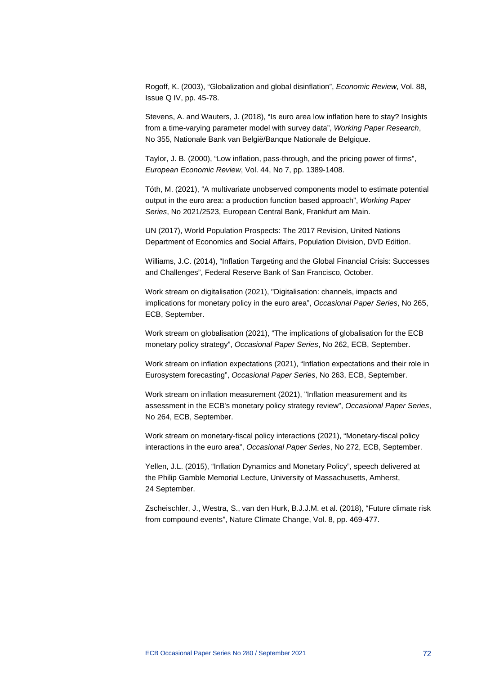Rogoff, K. (2003), "Globalization and global disinflation", *Economic Review*, Vol. 88, Issue Q IV, pp. 45-78.

Stevens, A. and Wauters, J. (2018), "Is euro area low inflation here to stay? Insights from a time-varying parameter model with survey data", *Working Paper Research*, No 355, Nationale Bank van België/Banque Nationale de Belgique.

Taylor, J. B. (2000), "Low inflation, pass-through, and the pricing power of firms", *European Economic Review*, Vol. 44, No 7, pp. 1389-1408.

Tóth, M. (2021), "A multivariate unobserved components model to estimate potential output in the euro area: a production function based approach", *Working Paper Series*, No 2021/2523, European Central Bank, Frankfurt am Main.

UN (2017), World Population Prospects: The 2017 Revision, United Nations Department of Economics and Social Affairs, Population Division, DVD Edition.

Williams, J.C. (2014), "Inflation Targeting and the Global Financial Crisis: Successes and Challenges", Federal Reserve Bank of San Francisco, October.

Work stream on digitalisation (2021), "Digitalisation: channels, impacts and implications for monetary policy in the euro area", *Occasional Paper Series*, No 265, ECB, September.

Work stream on globalisation (2021), "The implications of globalisation for the ECB monetary policy strategy", *Occasional Paper Series*, No 262, ECB, September.

Work stream on inflation expectations (2021), "Inflation expectations and their role in Eurosystem forecasting", *Occasional Paper Series*, No 263, ECB, September.

Work stream on inflation measurement (2021), "Inflation measurement and its assessment in the ECB's monetary policy strategy review", *Occasional Paper Series*, No 264, ECB, September.

Work stream on monetary-fiscal policy interactions (2021), "Monetary-fiscal policy interactions in the euro area", *Occasional Paper Series*, No 272, ECB, September.

Yellen, J.L. (2015), "Inflation Dynamics and Monetary Policy", speech delivered at the Philip Gamble Memorial Lecture, University of Massachusetts, Amherst, 24 September.

Zscheischler, J., Westra, S., van den Hurk, B.J.J.M. et al. (2018), "Future climate risk from compound events", Nature Climate Change, Vol. 8, pp. 469-477.